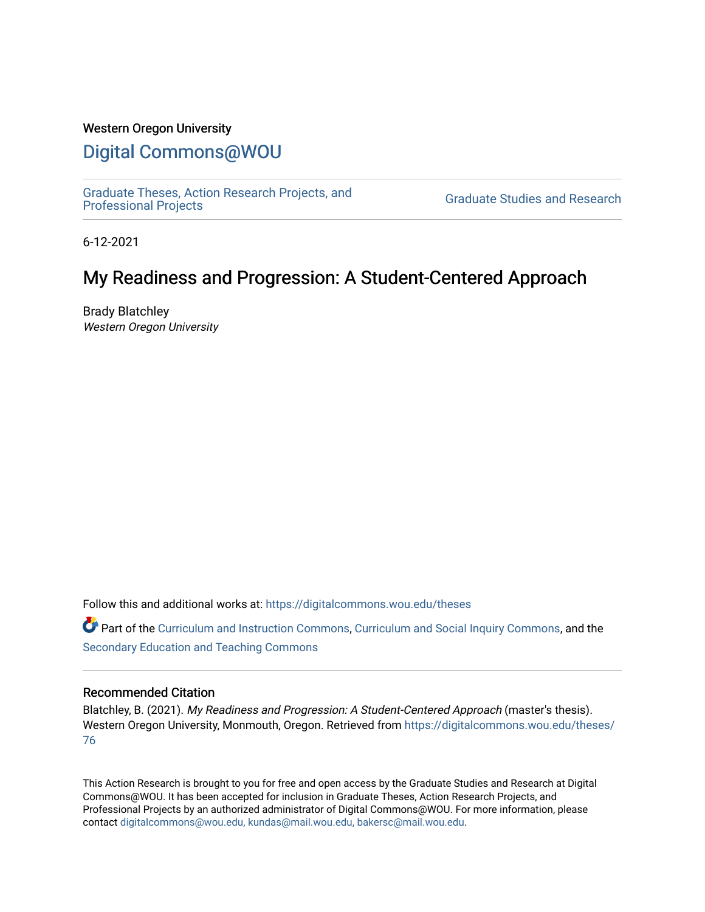## Western Oregon University

# [Digital Commons@WOU](https://digitalcommons.wou.edu/)

[Graduate Theses, Action Research Projects, and](https://digitalcommons.wou.edu/theses) 

**Graduate Studies and Research** 

6-12-2021

# My Readiness and Progression: A Student-Centered Approach

Brady Blatchley Western Oregon University

Follow this and additional works at: [https://digitalcommons.wou.edu/theses](https://digitalcommons.wou.edu/theses?utm_source=digitalcommons.wou.edu%2Ftheses%2F76&utm_medium=PDF&utm_campaign=PDFCoverPages) 

**C** Part of the [Curriculum and Instruction Commons,](https://network.bepress.com/hgg/discipline/786?utm_source=digitalcommons.wou.edu%2Ftheses%2F76&utm_medium=PDF&utm_campaign=PDFCoverPages) [Curriculum and Social Inquiry Commons,](https://network.bepress.com/hgg/discipline/1038?utm_source=digitalcommons.wou.edu%2Ftheses%2F76&utm_medium=PDF&utm_campaign=PDFCoverPages) and the [Secondary Education and Teaching Commons](https://network.bepress.com/hgg/discipline/809?utm_source=digitalcommons.wou.edu%2Ftheses%2F76&utm_medium=PDF&utm_campaign=PDFCoverPages)

## Recommended Citation

Blatchley, B. (2021). My Readiness and Progression: A Student-Centered Approach (master's thesis). Western Oregon University, Monmouth, Oregon. Retrieved from [https://digitalcommons.wou.edu/theses/](https://digitalcommons.wou.edu/theses/76?utm_source=digitalcommons.wou.edu%2Ftheses%2F76&utm_medium=PDF&utm_campaign=PDFCoverPages) [76](https://digitalcommons.wou.edu/theses/76?utm_source=digitalcommons.wou.edu%2Ftheses%2F76&utm_medium=PDF&utm_campaign=PDFCoverPages)

This Action Research is brought to you for free and open access by the Graduate Studies and Research at Digital Commons@WOU. It has been accepted for inclusion in Graduate Theses, Action Research Projects, and Professional Projects by an authorized administrator of Digital Commons@WOU. For more information, please contact [digitalcommons@wou.edu, kundas@mail.wou.edu, bakersc@mail.wou.edu](mailto:digitalcommons@wou.edu,%20kundas@mail.wou.edu,%20bakersc@mail.wou.edu).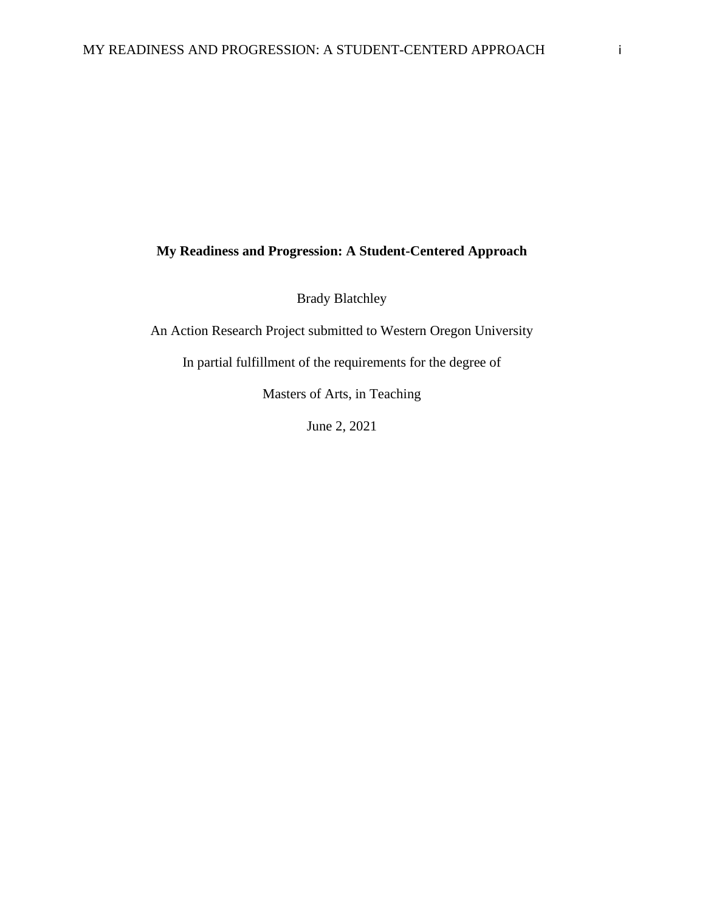## **My Readiness and Progression: A Student-Centered Approach**

Brady Blatchley

An Action Research Project submitted to Western Oregon University

In partial fulfillment of the requirements for the degree of

Masters of Arts, in Teaching

June 2, 2021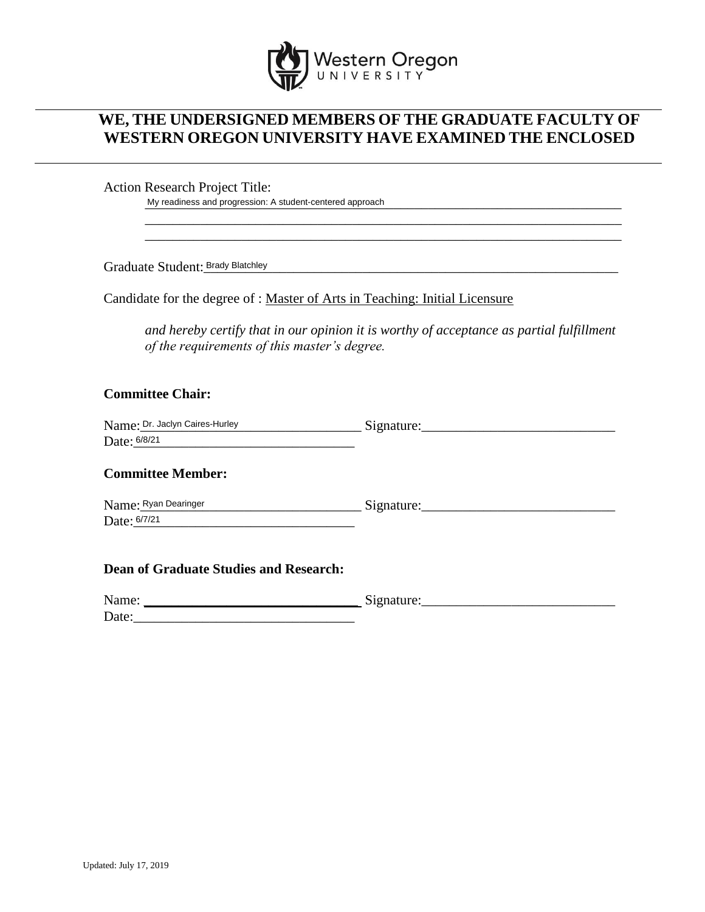

## **WE, THE UNDERSIGNED MEMBERS OF THE GRADUATE FACULTY OF WESTERN OREGON UNIVERSITY HAVE EXAMINED THE ENCLOSED**

Action Research Project Title:

My readiness and progression: A student-centered approach

Graduate Student: Brady Blatchley **Student of the Student of Black Control** to the Student of Black Control to the

Candidate for the degree of : Master of Arts in Teaching: Initial Licensure

*and hereby certify that in our opinion it is worthy of acceptance as partial fulfillment of the requirements of this master's degree.*

\_\_\_\_\_\_\_\_\_\_\_\_\_\_\_\_\_\_\_\_\_\_\_\_\_\_\_\_\_\_\_\_\_\_\_\_\_\_\_\_\_\_\_\_\_\_\_\_\_\_\_\_\_\_\_\_\_\_\_\_\_\_\_\_\_\_\_\_\_ \_\_\_\_\_\_\_\_\_\_\_\_\_\_\_\_\_\_\_\_\_\_\_\_\_\_\_\_\_\_\_\_\_\_\_\_\_\_\_\_\_\_\_\_\_\_\_\_\_\_\_\_\_\_\_\_\_\_\_\_\_\_\_\_\_\_\_\_\_

## **Committee Chair:**

| Name: Dr. Jaclyn Caires-Hurley | Signature. |
|--------------------------------|------------|
| Date: 6/8/21                   |            |

## **Committee Member:**

 $Signature:$ Date: 6/7/21 Name: Ryan Dearinger

## **Dean of Graduate Studies and Research:**

| Name: | $\tilde{\phantom{a}}$<br>$\sim$ |
|-------|---------------------------------|
| Date: |                                 |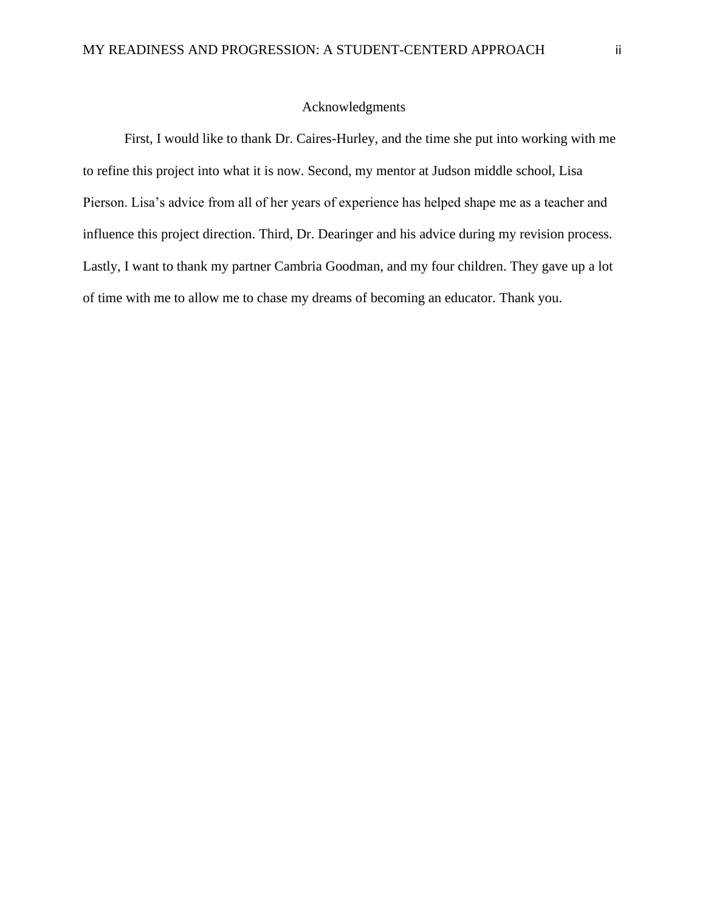### Acknowledgments

First, I would like to thank Dr. Caires-Hurley, and the time she put into working with me to refine this project into what it is now. Second, my mentor at Judson middle school, Lisa Pierson. Lisa's advice from all of her years of experience has helped shape me as a teacher and influence this project direction. Third, Dr. Dearinger and his advice during my revision process. Lastly, I want to thank my partner Cambria Goodman, and my four children. They gave up a lot of time with me to allow me to chase my dreams of becoming an educator. Thank you.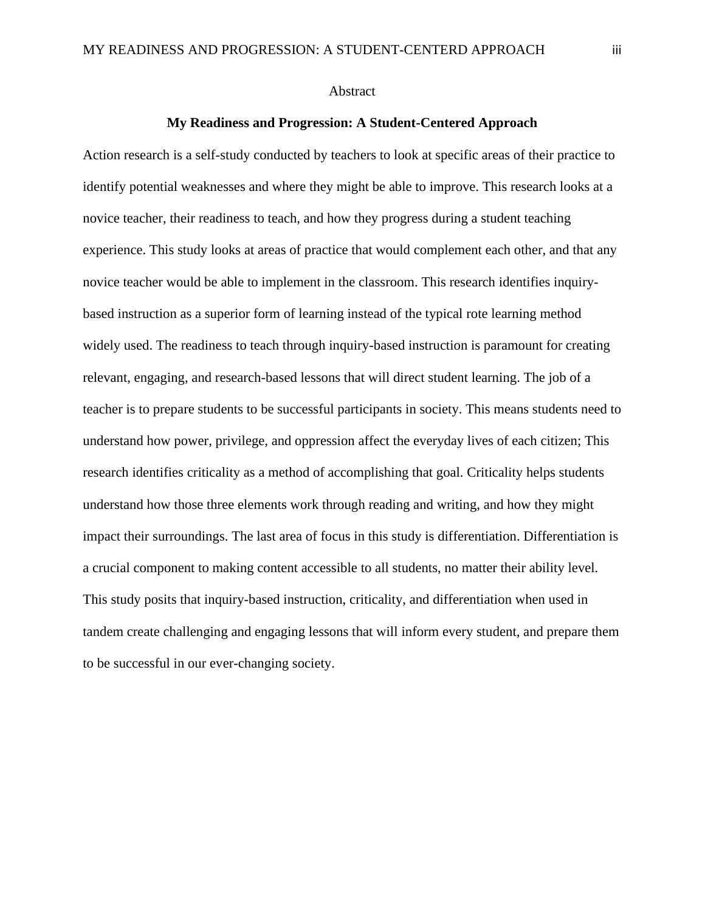### Abstract

## **My Readiness and Progression: A Student-Centered Approach**

Action research is a self-study conducted by teachers to look at specific areas of their practice to identify potential weaknesses and where they might be able to improve. This research looks at a novice teacher, their readiness to teach, and how they progress during a student teaching experience. This study looks at areas of practice that would complement each other, and that any novice teacher would be able to implement in the classroom. This research identifies inquirybased instruction as a superior form of learning instead of the typical rote learning method widely used. The readiness to teach through inquiry-based instruction is paramount for creating relevant, engaging, and research-based lessons that will direct student learning. The job of a teacher is to prepare students to be successful participants in society. This means students need to understand how power, privilege, and oppression affect the everyday lives of each citizen; This research identifies criticality as a method of accomplishing that goal. Criticality helps students understand how those three elements work through reading and writing, and how they might impact their surroundings. The last area of focus in this study is differentiation. Differentiation is a crucial component to making content accessible to all students, no matter their ability level. This study posits that inquiry-based instruction, criticality, and differentiation when used in tandem create challenging and engaging lessons that will inform every student, and prepare them to be successful in our ever-changing society.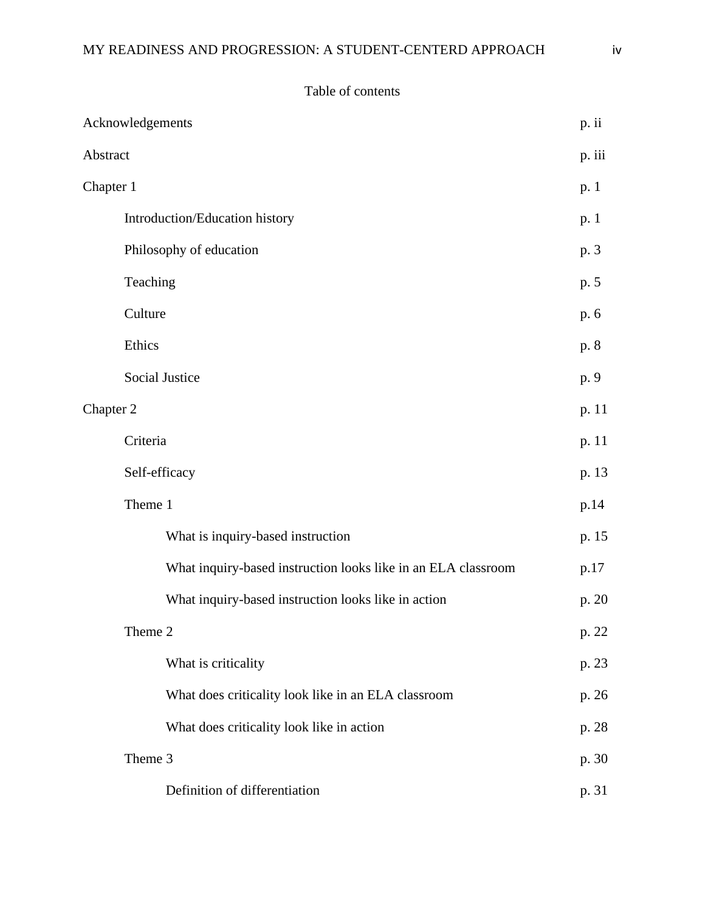## Table of contents

|           | Acknowledgements                                              | p. ii  |
|-----------|---------------------------------------------------------------|--------|
| Abstract  |                                                               | p. iii |
| Chapter 1 |                                                               | p. 1   |
|           | Introduction/Education history                                | p. 1   |
|           | Philosophy of education                                       | p. 3   |
|           | Teaching                                                      | p. 5   |
|           | Culture                                                       | p. 6   |
|           | Ethics                                                        | p. 8   |
|           | Social Justice                                                | p. 9   |
|           | Chapter 2                                                     |        |
|           | Criteria                                                      | p. 11  |
|           | Self-efficacy                                                 | p. 13  |
|           | Theme 1                                                       | p.14   |
|           | What is inquiry-based instruction                             | p. 15  |
|           | What inquiry-based instruction looks like in an ELA classroom | p.17   |
|           | What inquiry-based instruction looks like in action           | p. 20  |
|           | Theme 2                                                       | p. 22  |
|           | What is criticality                                           | p. 23  |
|           | What does criticality look like in an ELA classroom           | p. 26  |
|           | What does criticality look like in action                     | p. 28  |
|           | Theme 3                                                       | p. 30  |
|           | Definition of differentiation                                 | p. 31  |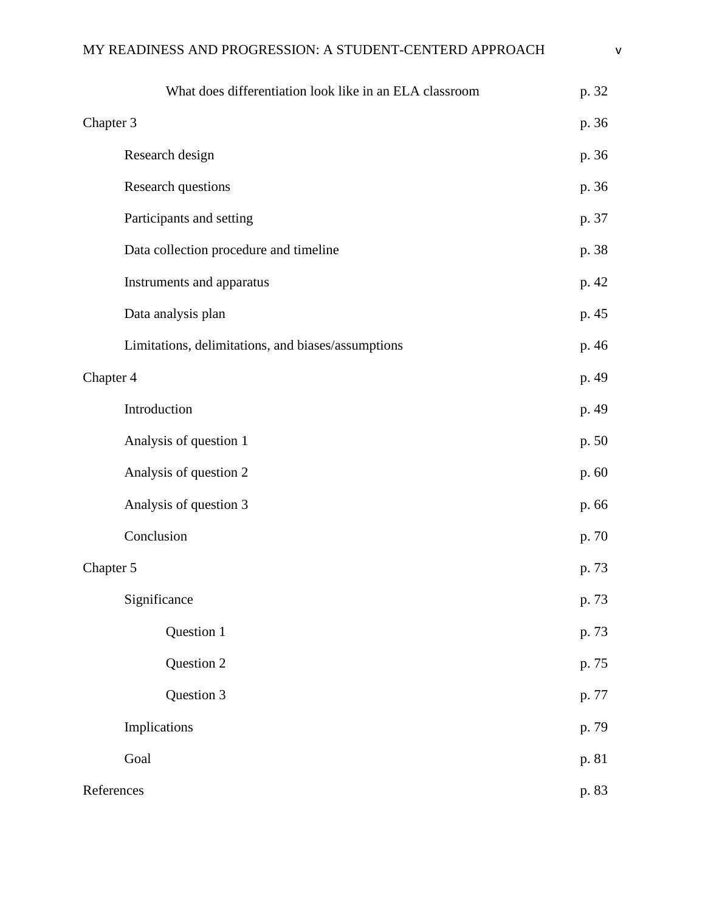| What does differentiation look like in an ELA classroom | p. 32 |
|---------------------------------------------------------|-------|
| Chapter 3                                               |       |
| Research design                                         | p. 36 |
| Research questions                                      | p. 36 |
| Participants and setting                                | p. 37 |
| Data collection procedure and timeline                  | p. 38 |
| Instruments and apparatus                               | p. 42 |
| Data analysis plan                                      | p. 45 |
| Limitations, delimitations, and biases/assumptions      | p. 46 |
| Chapter 4                                               | p. 49 |
| Introduction                                            | p. 49 |
| Analysis of question 1                                  | p. 50 |
| Analysis of question 2                                  | p. 60 |
| Analysis of question 3                                  | p. 66 |
| Conclusion                                              | p. 70 |
| Chapter 5                                               | p. 73 |
| Significance                                            | p. 73 |
| Question 1                                              | p. 73 |
| Question 2                                              | p. 75 |
| Question 3                                              | p. 77 |
| Implications                                            | p. 79 |
| Goal                                                    | p. 81 |
| References                                              |       |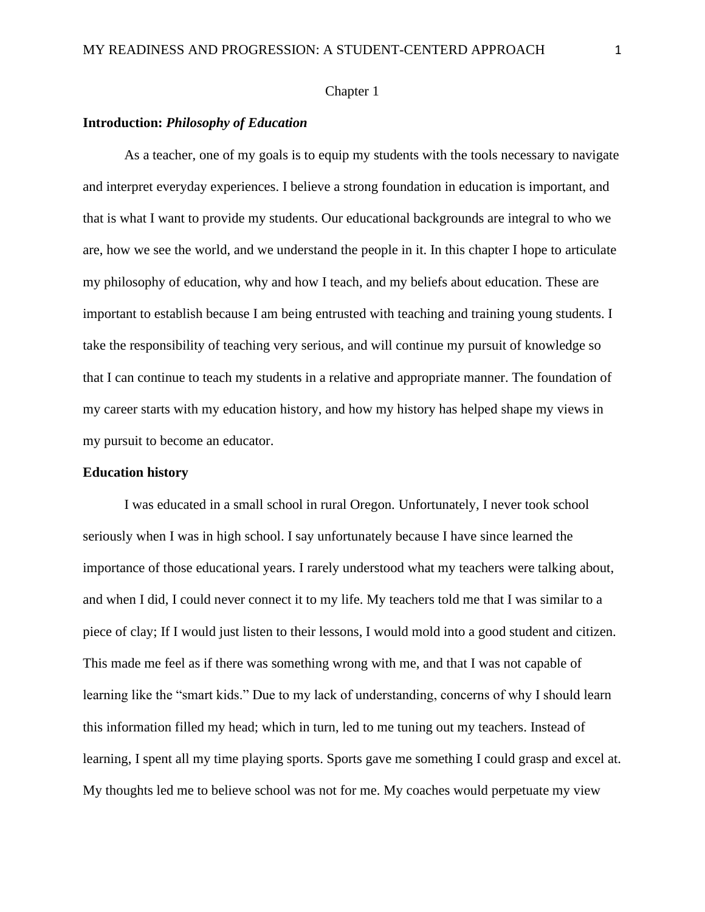## Chapter 1

### **Introduction:** *Philosophy of Education*

As a teacher, one of my goals is to equip my students with the tools necessary to navigate and interpret everyday experiences. I believe a strong foundation in education is important, and that is what I want to provide my students. Our educational backgrounds are integral to who we are, how we see the world, and we understand the people in it. In this chapter I hope to articulate my philosophy of education, why and how I teach, and my beliefs about education. These are important to establish because I am being entrusted with teaching and training young students. I take the responsibility of teaching very serious, and will continue my pursuit of knowledge so that I can continue to teach my students in a relative and appropriate manner. The foundation of my career starts with my education history, and how my history has helped shape my views in my pursuit to become an educator.

#### **Education history**

I was educated in a small school in rural Oregon. Unfortunately, I never took school seriously when I was in high school. I say unfortunately because I have since learned the importance of those educational years. I rarely understood what my teachers were talking about, and when I did, I could never connect it to my life. My teachers told me that I was similar to a piece of clay; If I would just listen to their lessons, I would mold into a good student and citizen. This made me feel as if there was something wrong with me, and that I was not capable of learning like the "smart kids." Due to my lack of understanding, concerns of why I should learn this information filled my head; which in turn, led to me tuning out my teachers. Instead of learning, I spent all my time playing sports. Sports gave me something I could grasp and excel at. My thoughts led me to believe school was not for me. My coaches would perpetuate my view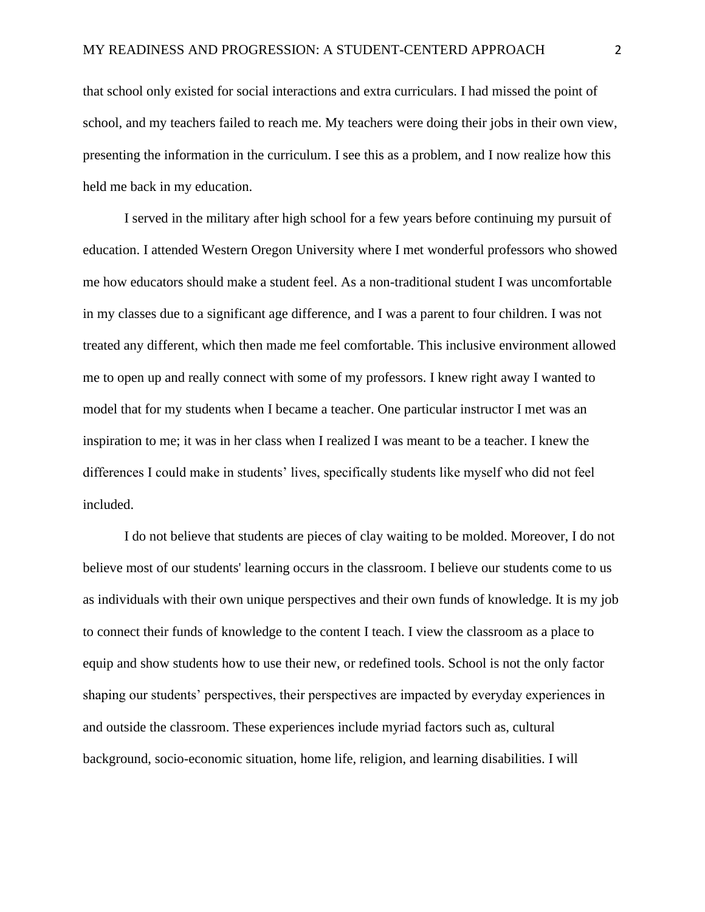that school only existed for social interactions and extra curriculars. I had missed the point of school, and my teachers failed to reach me. My teachers were doing their jobs in their own view, presenting the information in the curriculum. I see this as a problem, and I now realize how this held me back in my education.

I served in the military after high school for a few years before continuing my pursuit of education. I attended Western Oregon University where I met wonderful professors who showed me how educators should make a student feel. As a non-traditional student I was uncomfortable in my classes due to a significant age difference, and I was a parent to four children. I was not treated any different, which then made me feel comfortable. This inclusive environment allowed me to open up and really connect with some of my professors. I knew right away I wanted to model that for my students when I became a teacher. One particular instructor I met was an inspiration to me; it was in her class when I realized I was meant to be a teacher. I knew the differences I could make in students' lives, specifically students like myself who did not feel included.

I do not believe that students are pieces of clay waiting to be molded. Moreover, I do not believe most of our students' learning occurs in the classroom. I believe our students come to us as individuals with their own unique perspectives and their own funds of knowledge. It is my job to connect their funds of knowledge to the content I teach. I view the classroom as a place to equip and show students how to use their new, or redefined tools. School is not the only factor shaping our students' perspectives, their perspectives are impacted by everyday experiences in and outside the classroom. These experiences include myriad factors such as, cultural background, socio-economic situation, home life, religion, and learning disabilities. I will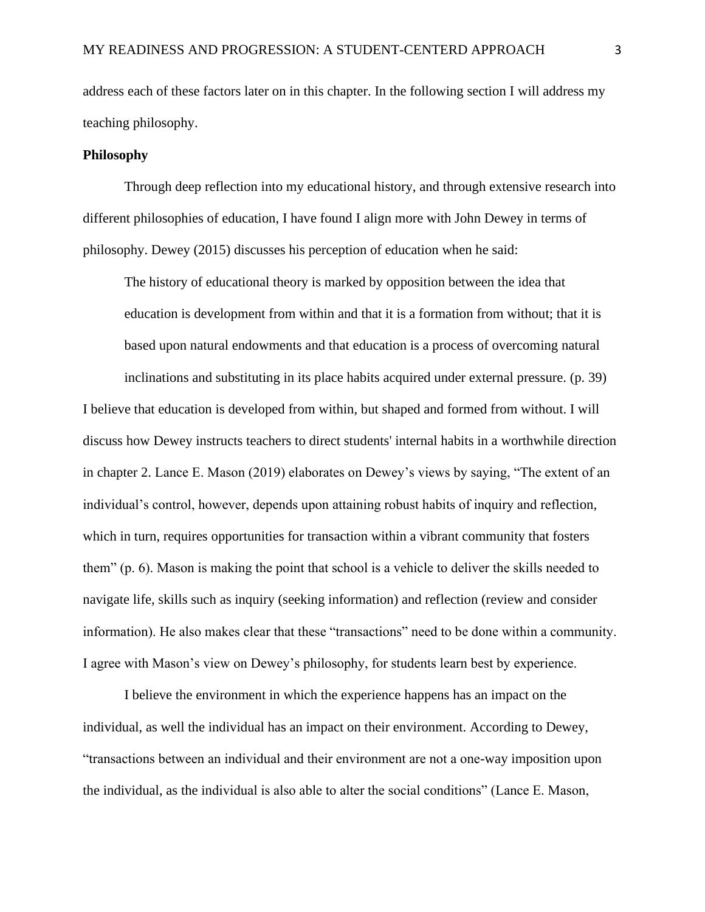address each of these factors later on in this chapter. In the following section I will address my teaching philosophy.

### **Philosophy**

Through deep reflection into my educational history, and through extensive research into different philosophies of education, I have found I align more with John Dewey in terms of philosophy. Dewey (2015) discusses his perception of education when he said:

The history of educational theory is marked by opposition between the idea that education is development from within and that it is a formation from without; that it is based upon natural endowments and that education is a process of overcoming natural inclinations and substituting in its place habits acquired under external pressure. (p. 39)

I believe that education is developed from within, but shaped and formed from without. I will discuss how Dewey instructs teachers to direct students' internal habits in a worthwhile direction in chapter 2. Lance E. Mason (2019) elaborates on Dewey's views by saying, "The extent of an individual's control, however, depends upon attaining robust habits of inquiry and reflection, which in turn, requires opportunities for transaction within a vibrant community that fosters them" (p. 6). Mason is making the point that school is a vehicle to deliver the skills needed to navigate life, skills such as inquiry (seeking information) and reflection (review and consider information). He also makes clear that these "transactions" need to be done within a community. I agree with Mason's view on Dewey's philosophy, for students learn best by experience.

I believe the environment in which the experience happens has an impact on the individual, as well the individual has an impact on their environment. According to Dewey, "transactions between an individual and their environment are not a one-way imposition upon the individual, as the individual is also able to alter the social conditions" (Lance E. Mason,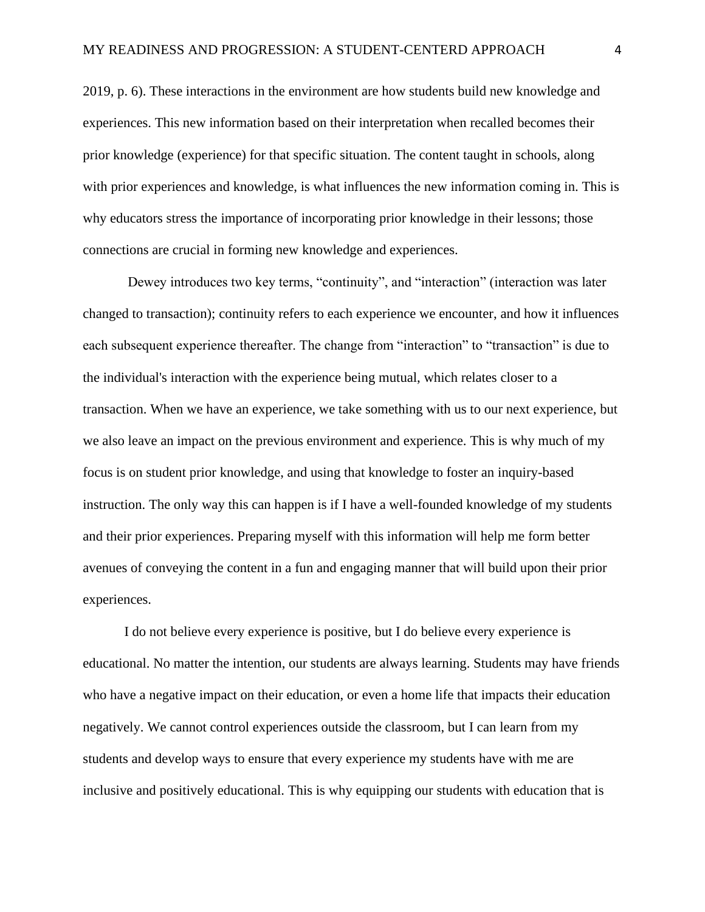2019, p. 6). These interactions in the environment are how students build new knowledge and experiences. This new information based on their interpretation when recalled becomes their prior knowledge (experience) for that specific situation. The content taught in schools, along with prior experiences and knowledge, is what influences the new information coming in. This is why educators stress the importance of incorporating prior knowledge in their lessons; those connections are crucial in forming new knowledge and experiences.

Dewey introduces two key terms, "continuity", and "interaction" (interaction was later changed to transaction); continuity refers to each experience we encounter, and how it influences each subsequent experience thereafter. The change from "interaction" to "transaction" is due to the individual's interaction with the experience being mutual, which relates closer to a transaction. When we have an experience, we take something with us to our next experience, but we also leave an impact on the previous environment and experience. This is why much of my focus is on student prior knowledge, and using that knowledge to foster an inquiry-based instruction. The only way this can happen is if I have a well-founded knowledge of my students and their prior experiences. Preparing myself with this information will help me form better avenues of conveying the content in a fun and engaging manner that will build upon their prior experiences.

I do not believe every experience is positive, but I do believe every experience is educational. No matter the intention, our students are always learning. Students may have friends who have a negative impact on their education, or even a home life that impacts their education negatively. We cannot control experiences outside the classroom, but I can learn from my students and develop ways to ensure that every experience my students have with me are inclusive and positively educational. This is why equipping our students with education that is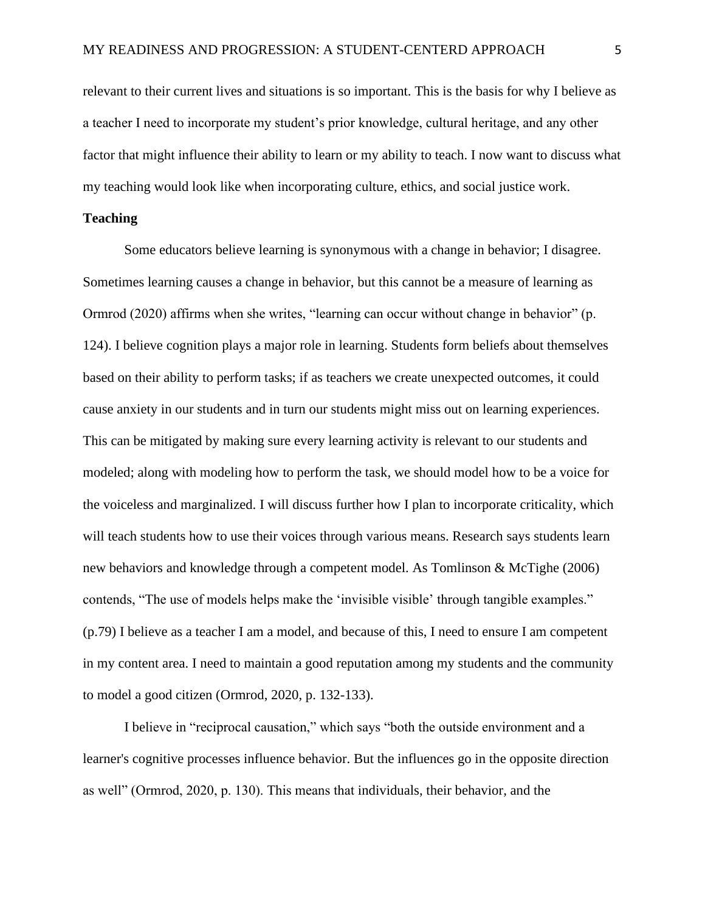relevant to their current lives and situations is so important. This is the basis for why I believe as a teacher I need to incorporate my student's prior knowledge, cultural heritage, and any other factor that might influence their ability to learn or my ability to teach. I now want to discuss what my teaching would look like when incorporating culture, ethics, and social justice work.

## **Teaching**

Some educators believe learning is synonymous with a change in behavior; I disagree. Sometimes learning causes a change in behavior, but this cannot be a measure of learning as Ormrod (2020) affirms when she writes, "learning can occur without change in behavior" (p. 124). I believe cognition plays a major role in learning. Students form beliefs about themselves based on their ability to perform tasks; if as teachers we create unexpected outcomes, it could cause anxiety in our students and in turn our students might miss out on learning experiences. This can be mitigated by making sure every learning activity is relevant to our students and modeled; along with modeling how to perform the task, we should model how to be a voice for the voiceless and marginalized. I will discuss further how I plan to incorporate criticality, which will teach students how to use their voices through various means. Research says students learn new behaviors and knowledge through a competent model. As Tomlinson & McTighe (2006) contends, "The use of models helps make the 'invisible visible' through tangible examples." (p.79) I believe as a teacher I am a model, and because of this, I need to ensure I am competent in my content area. I need to maintain a good reputation among my students and the community to model a good citizen (Ormrod, 2020, p. 132-133).

I believe in "reciprocal causation," which says "both the outside environment and a learner's cognitive processes influence behavior. But the influences go in the opposite direction as well" (Ormrod, 2020, p. 130). This means that individuals, their behavior, and the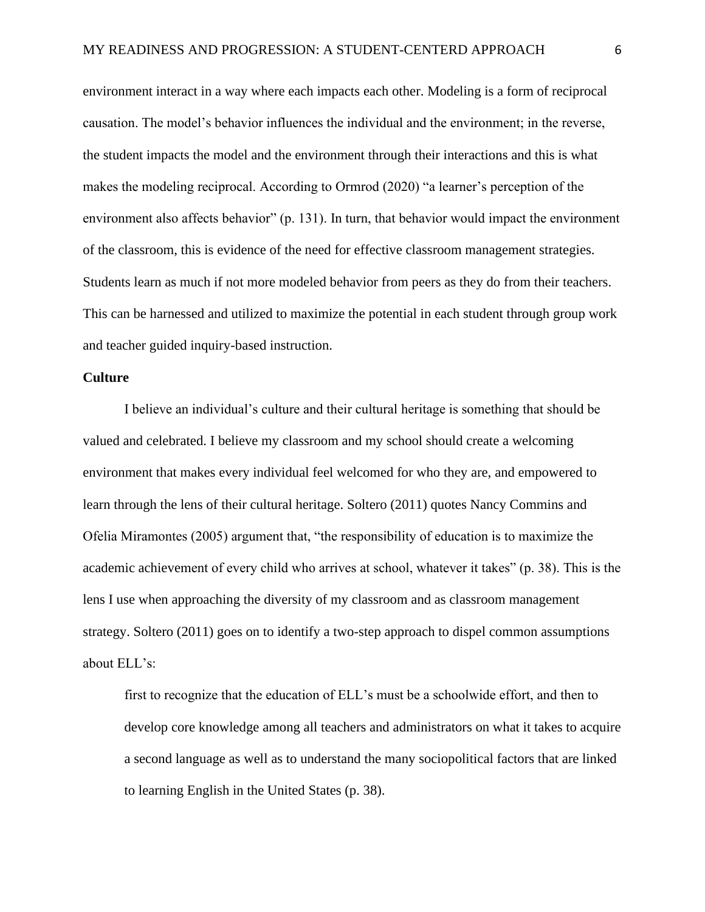environment interact in a way where each impacts each other. Modeling is a form of reciprocal causation. The model's behavior influences the individual and the environment; in the reverse, the student impacts the model and the environment through their interactions and this is what makes the modeling reciprocal. According to Ormrod (2020) "a learner's perception of the environment also affects behavior" (p. 131). In turn, that behavior would impact the environment of the classroom, this is evidence of the need for effective classroom management strategies. Students learn as much if not more modeled behavior from peers as they do from their teachers. This can be harnessed and utilized to maximize the potential in each student through group work and teacher guided inquiry-based instruction.

## **Culture**

I believe an individual's culture and their cultural heritage is something that should be valued and celebrated. I believe my classroom and my school should create a welcoming environment that makes every individual feel welcomed for who they are, and empowered to learn through the lens of their cultural heritage. Soltero (2011) quotes Nancy Commins and Ofelia Miramontes (2005) argument that, "the responsibility of education is to maximize the academic achievement of every child who arrives at school, whatever it takes" (p. 38). This is the lens I use when approaching the diversity of my classroom and as classroom management strategy. Soltero (2011) goes on to identify a two-step approach to dispel common assumptions about ELL's:

first to recognize that the education of ELL's must be a schoolwide effort, and then to develop core knowledge among all teachers and administrators on what it takes to acquire a second language as well as to understand the many sociopolitical factors that are linked to learning English in the United States (p. 38).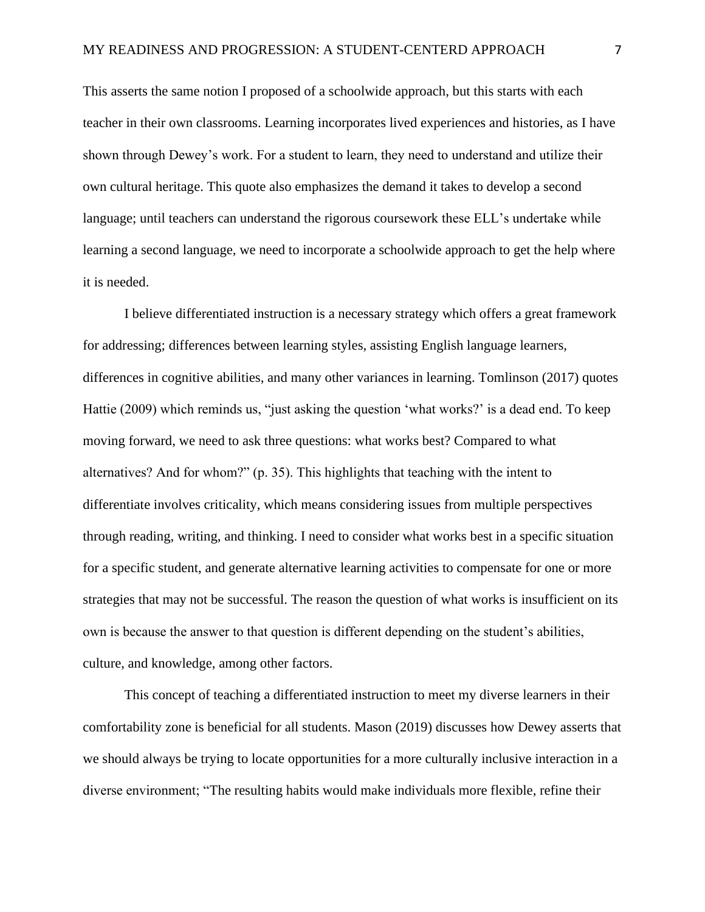This asserts the same notion I proposed of a schoolwide approach, but this starts with each teacher in their own classrooms. Learning incorporates lived experiences and histories, as I have shown through Dewey's work. For a student to learn, they need to understand and utilize their own cultural heritage. This quote also emphasizes the demand it takes to develop a second language; until teachers can understand the rigorous coursework these ELL's undertake while learning a second language, we need to incorporate a schoolwide approach to get the help where it is needed.

I believe differentiated instruction is a necessary strategy which offers a great framework for addressing; differences between learning styles, assisting English language learners, differences in cognitive abilities, and many other variances in learning. Tomlinson (2017) quotes Hattie (2009) which reminds us, "just asking the question 'what works?' is a dead end. To keep moving forward, we need to ask three questions: what works best? Compared to what alternatives? And for whom?" (p. 35). This highlights that teaching with the intent to differentiate involves criticality, which means considering issues from multiple perspectives through reading, writing, and thinking. I need to consider what works best in a specific situation for a specific student, and generate alternative learning activities to compensate for one or more strategies that may not be successful. The reason the question of what works is insufficient on its own is because the answer to that question is different depending on the student's abilities, culture, and knowledge, among other factors.

This concept of teaching a differentiated instruction to meet my diverse learners in their comfortability zone is beneficial for all students. Mason (2019) discusses how Dewey asserts that we should always be trying to locate opportunities for a more culturally inclusive interaction in a diverse environment; "The resulting habits would make individuals more flexible, refine their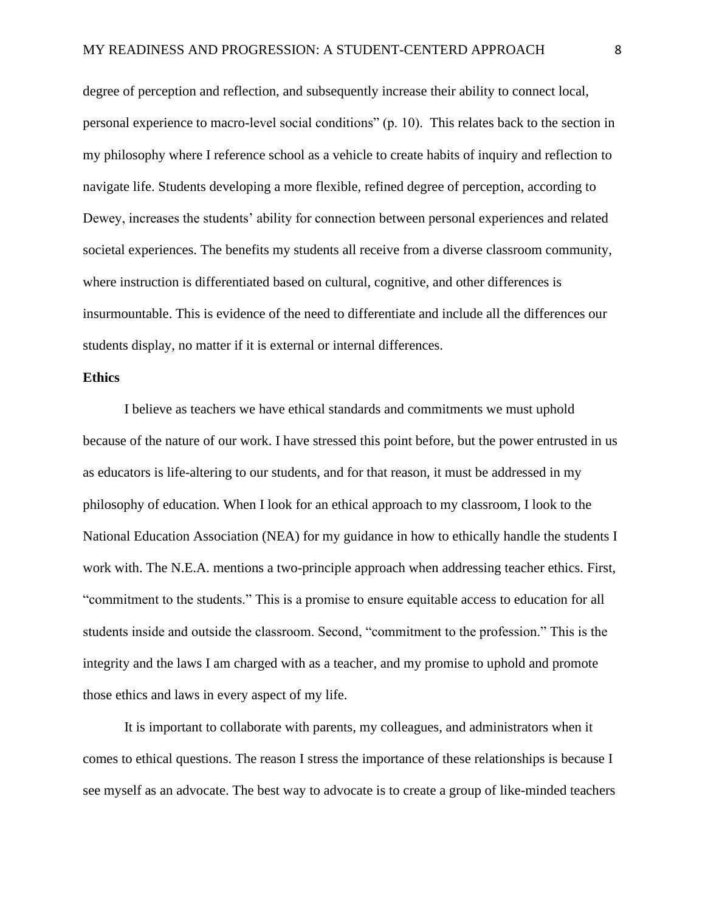degree of perception and reflection, and subsequently increase their ability to connect local, personal experience to macro-level social conditions" (p. 10). This relates back to the section in my philosophy where I reference school as a vehicle to create habits of inquiry and reflection to navigate life. Students developing a more flexible, refined degree of perception, according to Dewey, increases the students' ability for connection between personal experiences and related societal experiences. The benefits my students all receive from a diverse classroom community, where instruction is differentiated based on cultural, cognitive, and other differences is insurmountable. This is evidence of the need to differentiate and include all the differences our students display, no matter if it is external or internal differences.

## **Ethics**

I believe as teachers we have ethical standards and commitments we must uphold because of the nature of our work. I have stressed this point before, but the power entrusted in us as educators is life-altering to our students, and for that reason, it must be addressed in my philosophy of education. When I look for an ethical approach to my classroom, I look to the National Education Association (NEA) for my guidance in how to ethically handle the students I work with. The N.E.A. mentions a two-principle approach when addressing teacher ethics. First, "commitment to the students." This is a promise to ensure equitable access to education for all students inside and outside the classroom. Second, "commitment to the profession." This is the integrity and the laws I am charged with as a teacher, and my promise to uphold and promote those ethics and laws in every aspect of my life.

It is important to collaborate with parents, my colleagues, and administrators when it comes to ethical questions. The reason I stress the importance of these relationships is because I see myself as an advocate. The best way to advocate is to create a group of like-minded teachers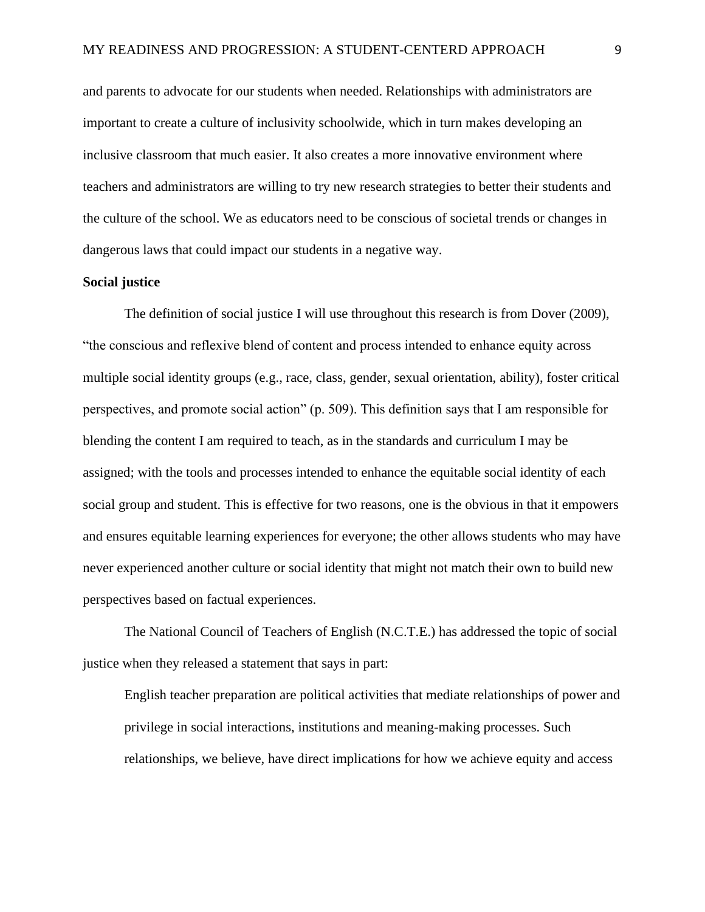and parents to advocate for our students when needed. Relationships with administrators are important to create a culture of inclusivity schoolwide, which in turn makes developing an inclusive classroom that much easier. It also creates a more innovative environment where teachers and administrators are willing to try new research strategies to better their students and the culture of the school. We as educators need to be conscious of societal trends or changes in dangerous laws that could impact our students in a negative way.

## **Social justice**

The definition of social justice I will use throughout this research is from Dover (2009), "the conscious and reflexive blend of content and process intended to enhance equity across multiple social identity groups (e.g., race, class, gender, sexual orientation, ability), foster critical perspectives, and promote social action" (p. 509). This definition says that I am responsible for blending the content I am required to teach, as in the standards and curriculum I may be assigned; with the tools and processes intended to enhance the equitable social identity of each social group and student. This is effective for two reasons, one is the obvious in that it empowers and ensures equitable learning experiences for everyone; the other allows students who may have never experienced another culture or social identity that might not match their own to build new perspectives based on factual experiences.

The National Council of Teachers of English (N.C.T.E.) has addressed the topic of social justice when they released a statement that says in part:

English teacher preparation are political activities that mediate relationships of power and privilege in social interactions, institutions and meaning-making processes. Such relationships, we believe, have direct implications for how we achieve equity and access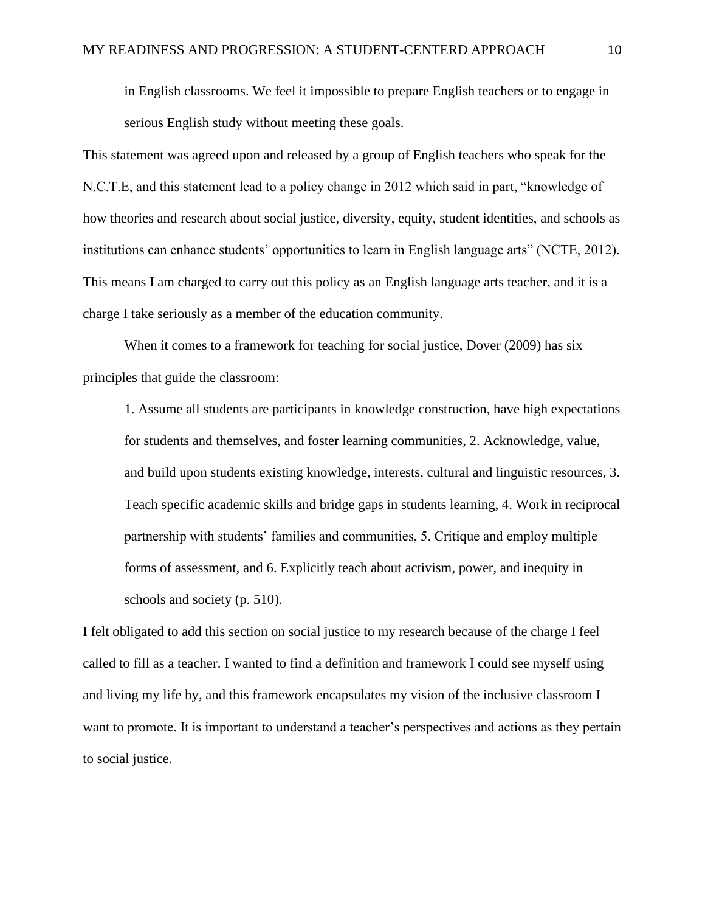in English classrooms. We feel it impossible to prepare English teachers or to engage in serious English study without meeting these goals.

This statement was agreed upon and released by a group of English teachers who speak for the N.C.T.E, and this statement lead to a policy change in 2012 which said in part, "knowledge of how theories and research about social justice, diversity, equity, student identities, and schools as institutions can enhance students' opportunities to learn in English language arts" (NCTE, 2012). This means I am charged to carry out this policy as an English language arts teacher, and it is a charge I take seriously as a member of the education community.

When it comes to a framework for teaching for social justice, Dover (2009) has six principles that guide the classroom:

1. Assume all students are participants in knowledge construction, have high expectations for students and themselves, and foster learning communities, 2. Acknowledge, value, and build upon students existing knowledge, interests, cultural and linguistic resources, 3. Teach specific academic skills and bridge gaps in students learning, 4. Work in reciprocal partnership with students' families and communities, 5. Critique and employ multiple forms of assessment, and 6. Explicitly teach about activism, power, and inequity in schools and society (p. 510).

I felt obligated to add this section on social justice to my research because of the charge I feel called to fill as a teacher. I wanted to find a definition and framework I could see myself using and living my life by, and this framework encapsulates my vision of the inclusive classroom I want to promote. It is important to understand a teacher's perspectives and actions as they pertain to social justice.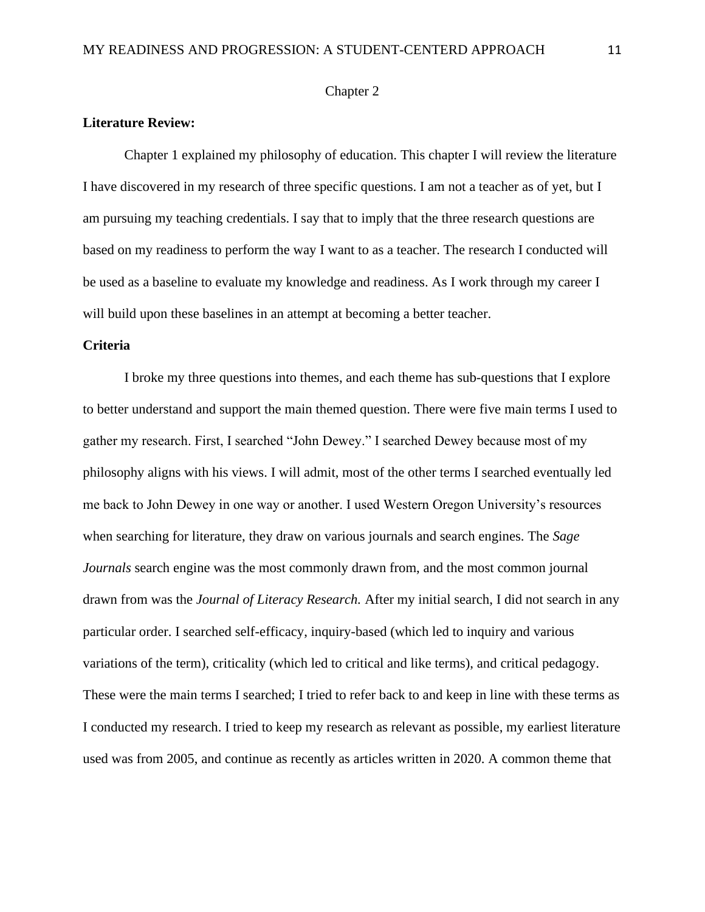## Chapter 2

## **Literature Review:**

Chapter 1 explained my philosophy of education. This chapter I will review the literature I have discovered in my research of three specific questions. I am not a teacher as of yet, but I am pursuing my teaching credentials. I say that to imply that the three research questions are based on my readiness to perform the way I want to as a teacher. The research I conducted will be used as a baseline to evaluate my knowledge and readiness. As I work through my career I will build upon these baselines in an attempt at becoming a better teacher.

## **Criteria**

I broke my three questions into themes, and each theme has sub-questions that I explore to better understand and support the main themed question. There were five main terms I used to gather my research. First, I searched "John Dewey." I searched Dewey because most of my philosophy aligns with his views. I will admit, most of the other terms I searched eventually led me back to John Dewey in one way or another. I used Western Oregon University's resources when searching for literature, they draw on various journals and search engines. The *Sage Journals* search engine was the most commonly drawn from, and the most common journal drawn from was the *Journal of Literacy Research.* After my initial search, I did not search in any particular order. I searched self-efficacy, inquiry-based (which led to inquiry and various variations of the term), criticality (which led to critical and like terms), and critical pedagogy. These were the main terms I searched; I tried to refer back to and keep in line with these terms as I conducted my research. I tried to keep my research as relevant as possible, my earliest literature used was from 2005, and continue as recently as articles written in 2020. A common theme that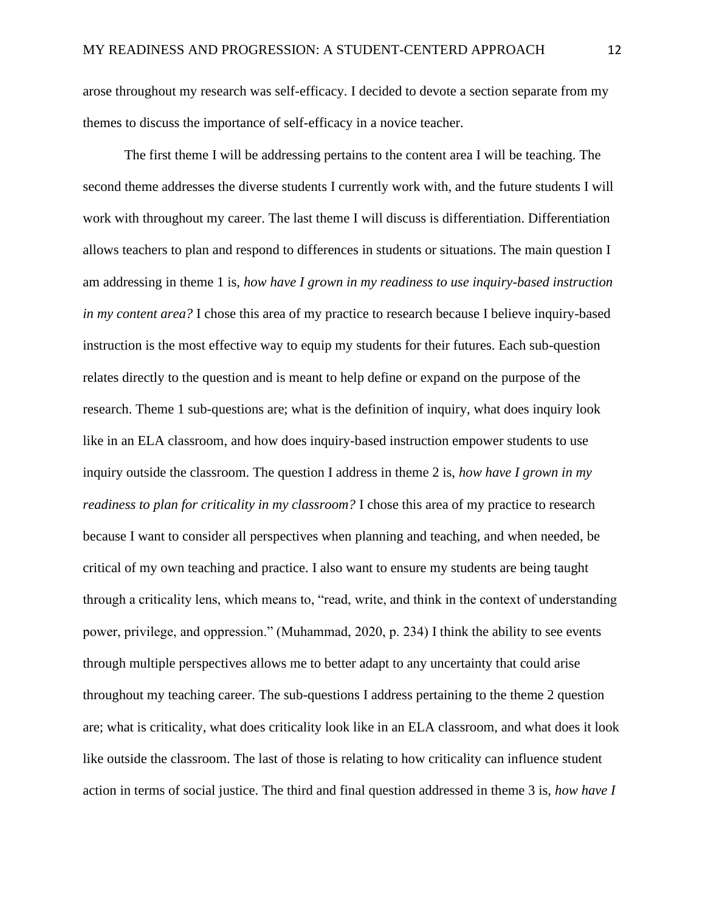arose throughout my research was self-efficacy. I decided to devote a section separate from my themes to discuss the importance of self-efficacy in a novice teacher.

The first theme I will be addressing pertains to the content area I will be teaching. The second theme addresses the diverse students I currently work with, and the future students I will work with throughout my career. The last theme I will discuss is differentiation. Differentiation allows teachers to plan and respond to differences in students or situations. The main question I am addressing in theme 1 is, *how have I grown in my readiness to use inquiry-based instruction in my content area?* I chose this area of my practice to research because I believe inquiry-based instruction is the most effective way to equip my students for their futures. Each sub-question relates directly to the question and is meant to help define or expand on the purpose of the research. Theme 1 sub-questions are; what is the definition of inquiry, what does inquiry look like in an ELA classroom, and how does inquiry-based instruction empower students to use inquiry outside the classroom. The question I address in theme 2 is, *how have I grown in my readiness to plan for criticality in my classroom?* I chose this area of my practice to research because I want to consider all perspectives when planning and teaching, and when needed, be critical of my own teaching and practice. I also want to ensure my students are being taught through a criticality lens, which means to, "read, write, and think in the context of understanding power, privilege, and oppression." (Muhammad, 2020, p. 234) I think the ability to see events through multiple perspectives allows me to better adapt to any uncertainty that could arise throughout my teaching career. The sub-questions I address pertaining to the theme 2 question are; what is criticality, what does criticality look like in an ELA classroom, and what does it look like outside the classroom. The last of those is relating to how criticality can influence student action in terms of social justice. The third and final question addressed in theme 3 is, *how have I*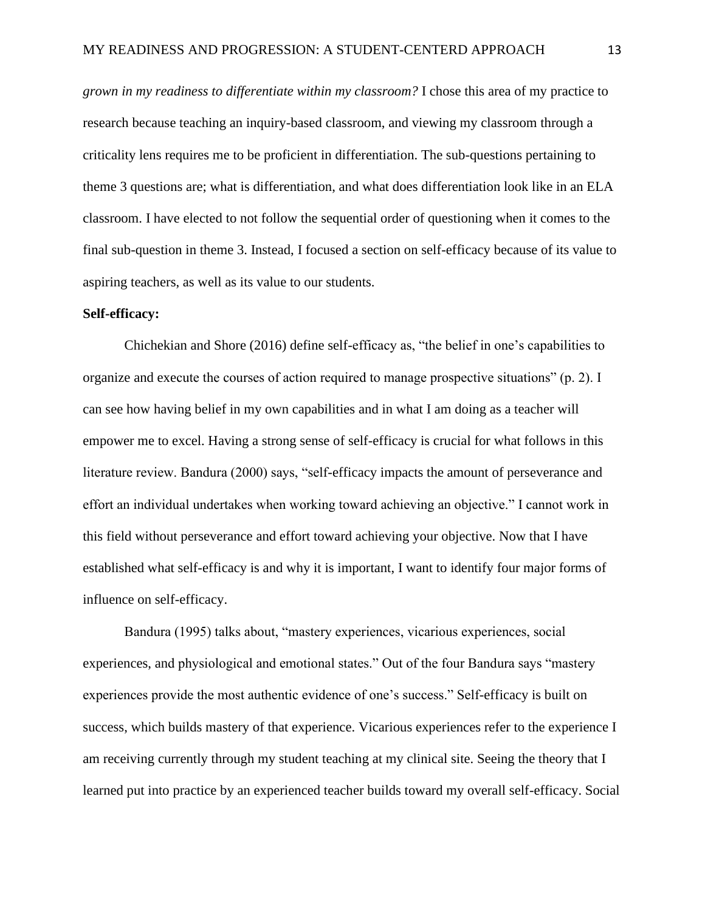*grown in my readiness to differentiate within my classroom?* I chose this area of my practice to research because teaching an inquiry-based classroom, and viewing my classroom through a criticality lens requires me to be proficient in differentiation. The sub-questions pertaining to theme 3 questions are; what is differentiation, and what does differentiation look like in an ELA classroom. I have elected to not follow the sequential order of questioning when it comes to the final sub-question in theme 3. Instead, I focused a section on self-efficacy because of its value to aspiring teachers, as well as its value to our students.

#### **Self-efficacy:**

Chichekian and Shore (2016) define self-efficacy as, "the belief in one's capabilities to organize and execute the courses of action required to manage prospective situations" (p. 2). I can see how having belief in my own capabilities and in what I am doing as a teacher will empower me to excel. Having a strong sense of self-efficacy is crucial for what follows in this literature review. Bandura (2000) says, "self-efficacy impacts the amount of perseverance and effort an individual undertakes when working toward achieving an objective." I cannot work in this field without perseverance and effort toward achieving your objective. Now that I have established what self-efficacy is and why it is important, I want to identify four major forms of influence on self-efficacy.

Bandura (1995) talks about, "mastery experiences, vicarious experiences, social experiences, and physiological and emotional states." Out of the four Bandura says "mastery experiences provide the most authentic evidence of one's success." Self-efficacy is built on success, which builds mastery of that experience. Vicarious experiences refer to the experience I am receiving currently through my student teaching at my clinical site. Seeing the theory that I learned put into practice by an experienced teacher builds toward my overall self-efficacy. Social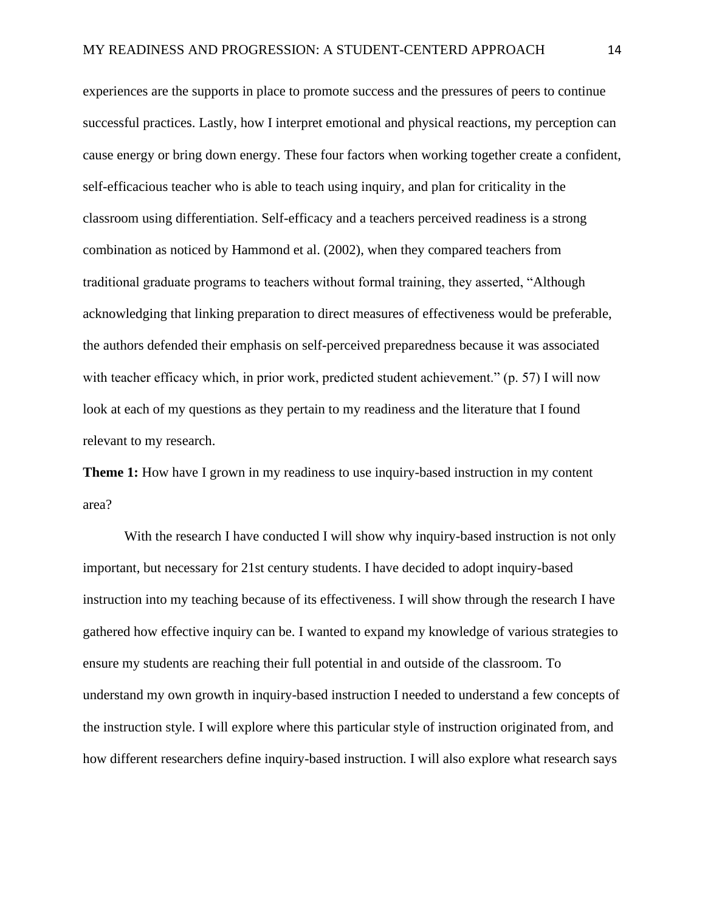experiences are the supports in place to promote success and the pressures of peers to continue successful practices. Lastly, how I interpret emotional and physical reactions, my perception can cause energy or bring down energy. These four factors when working together create a confident, self-efficacious teacher who is able to teach using inquiry, and plan for criticality in the classroom using differentiation. Self-efficacy and a teachers perceived readiness is a strong combination as noticed by Hammond et al. (2002), when they compared teachers from traditional graduate programs to teachers without formal training, they asserted, "Although acknowledging that linking preparation to direct measures of effectiveness would be preferable, the authors defended their emphasis on self-perceived preparedness because it was associated with teacher efficacy which, in prior work, predicted student achievement." (p. 57) I will now look at each of my questions as they pertain to my readiness and the literature that I found relevant to my research.

**Theme 1:** How have I grown in my readiness to use inquiry-based instruction in my content area?

With the research I have conducted I will show why inquiry-based instruction is not only important, but necessary for 21st century students. I have decided to adopt inquiry-based instruction into my teaching because of its effectiveness. I will show through the research I have gathered how effective inquiry can be. I wanted to expand my knowledge of various strategies to ensure my students are reaching their full potential in and outside of the classroom. To understand my own growth in inquiry-based instruction I needed to understand a few concepts of the instruction style. I will explore where this particular style of instruction originated from, and how different researchers define inquiry-based instruction. I will also explore what research says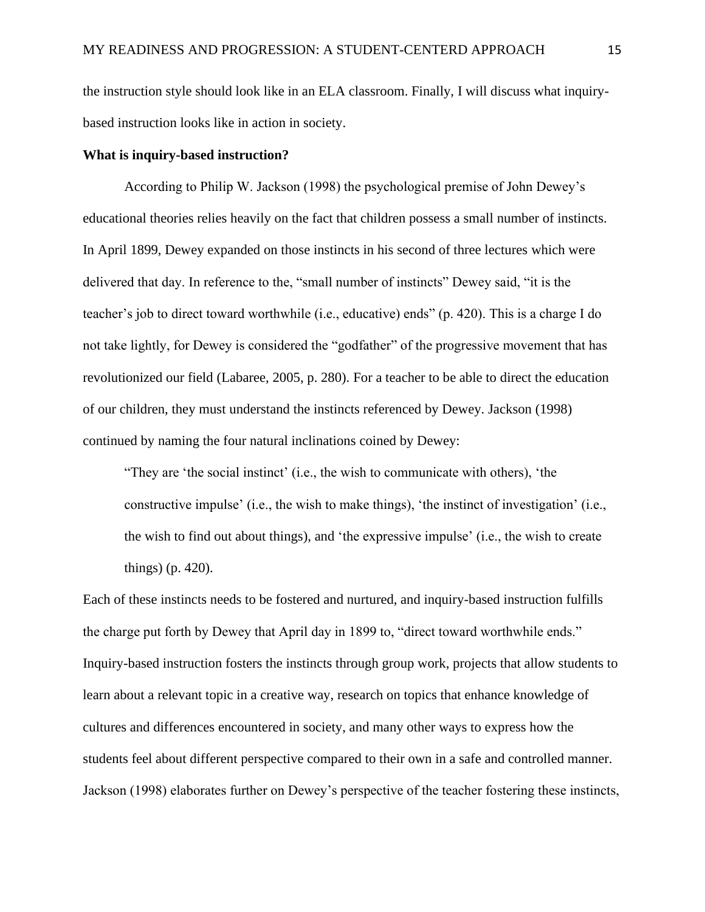the instruction style should look like in an ELA classroom. Finally, I will discuss what inquirybased instruction looks like in action in society.

#### **What is inquiry-based instruction?**

According to Philip W. Jackson (1998) the psychological premise of John Dewey's educational theories relies heavily on the fact that children possess a small number of instincts. In April 1899, Dewey expanded on those instincts in his second of three lectures which were delivered that day. In reference to the, "small number of instincts" Dewey said, "it is the teacher's job to direct toward worthwhile (i.e., educative) ends" (p. 420). This is a charge I do not take lightly, for Dewey is considered the "godfather" of the progressive movement that has revolutionized our field (Labaree, 2005, p. 280). For a teacher to be able to direct the education of our children, they must understand the instincts referenced by Dewey. Jackson (1998) continued by naming the four natural inclinations coined by Dewey:

"They are 'the social instinct' (i.e., the wish to communicate with others), 'the constructive impulse' (i.e., the wish to make things), 'the instinct of investigation' (i.e., the wish to find out about things), and 'the expressive impulse' (i.e., the wish to create things) (p. 420).

Each of these instincts needs to be fostered and nurtured, and inquiry-based instruction fulfills the charge put forth by Dewey that April day in 1899 to, "direct toward worthwhile ends." Inquiry-based instruction fosters the instincts through group work, projects that allow students to learn about a relevant topic in a creative way, research on topics that enhance knowledge of cultures and differences encountered in society, and many other ways to express how the students feel about different perspective compared to their own in a safe and controlled manner. Jackson (1998) elaborates further on Dewey's perspective of the teacher fostering these instincts,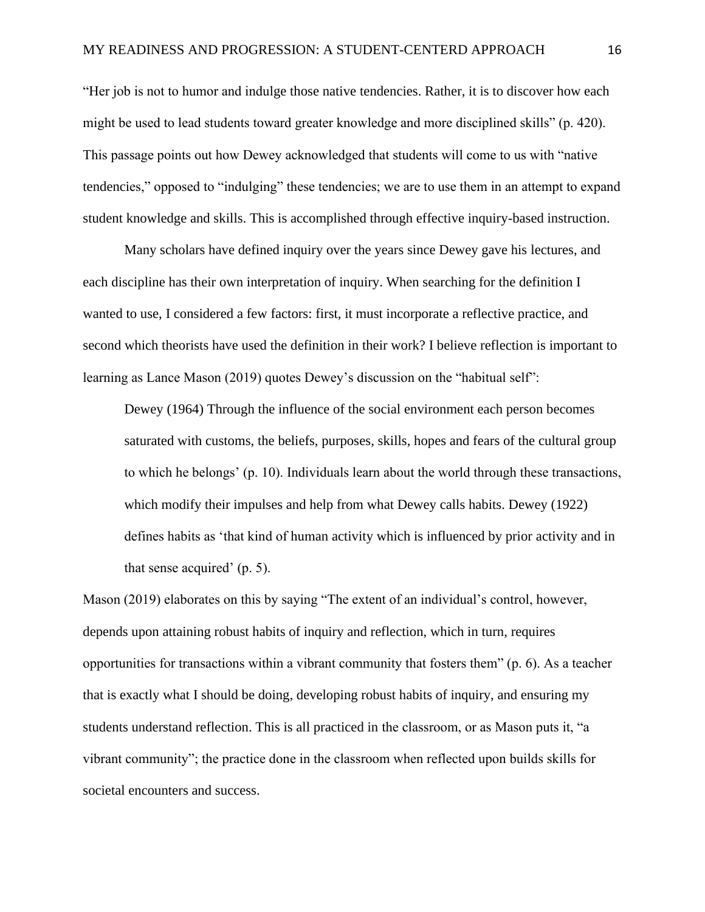"Her job is not to humor and indulge those native tendencies. Rather, it is to discover how each might be used to lead students toward greater knowledge and more disciplined skills" (p. 420). This passage points out how Dewey acknowledged that students will come to us with "native tendencies," opposed to "indulging" these tendencies; we are to use them in an attempt to expand student knowledge and skills. This is accomplished through effective inquiry-based instruction.

Many scholars have defined inquiry over the years since Dewey gave his lectures, and each discipline has their own interpretation of inquiry. When searching for the definition I wanted to use, I considered a few factors: first, it must incorporate a reflective practice, and second which theorists have used the definition in their work? I believe reflection is important to learning as Lance Mason (2019) quotes Dewey's discussion on the "habitual self":

Dewey (1964) Through the influence of the social environment each person becomes saturated with customs, the beliefs, purposes, skills, hopes and fears of the cultural group to which he belongs' (p. 10). Individuals learn about the world through these transactions, which modify their impulses and help from what Dewey calls habits. Dewey (1922) defines habits as 'that kind of human activity which is influenced by prior activity and in that sense acquired' (p. 5).

Mason (2019) elaborates on this by saying "The extent of an individual's control, however, depends upon attaining robust habits of inquiry and reflection, which in turn, requires opportunities for transactions within a vibrant community that fosters them" (p. 6). As a teacher that is exactly what I should be doing, developing robust habits of inquiry, and ensuring my students understand reflection. This is all practiced in the classroom, or as Mason puts it, "a vibrant community"; the practice done in the classroom when reflected upon builds skills for societal encounters and success.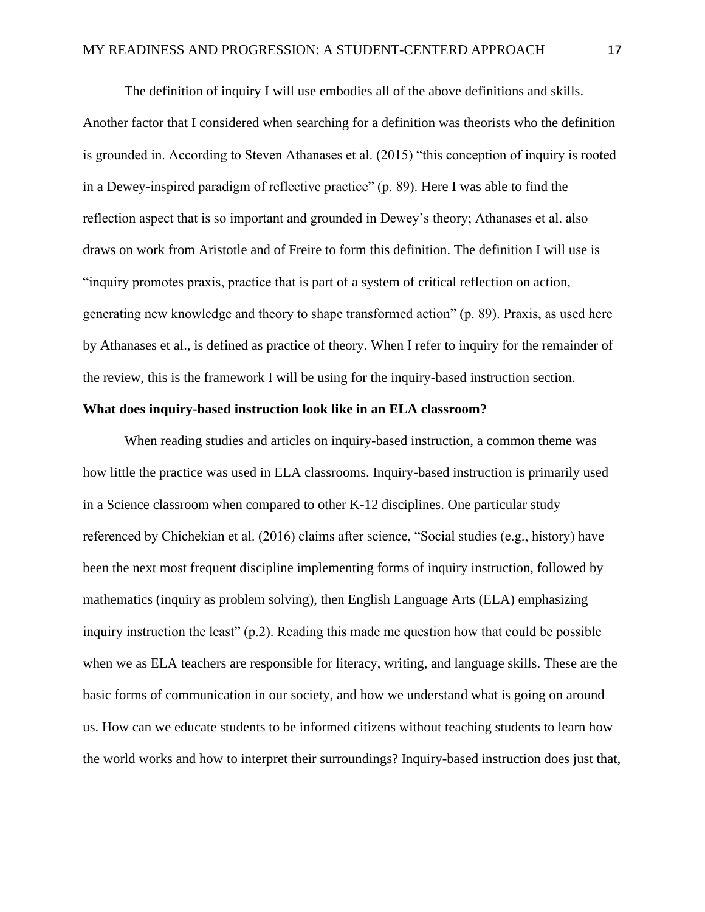The definition of inquiry I will use embodies all of the above definitions and skills. Another factor that I considered when searching for a definition was theorists who the definition is grounded in. According to Steven Athanases et al. (2015) "this conception of inquiry is rooted in a Dewey-inspired paradigm of reflective practice" (p. 89). Here I was able to find the reflection aspect that is so important and grounded in Dewey's theory; Athanases et al. also draws on work from Aristotle and of Freire to form this definition. The definition I will use is "inquiry promotes praxis, practice that is part of a system of critical reflection on action, generating new knowledge and theory to shape transformed action" (p. 89). Praxis, as used here by Athanases et al., is defined as practice of theory. When I refer to inquiry for the remainder of the review, this is the framework I will be using for the inquiry-based instruction section.

#### **What does inquiry-based instruction look like in an ELA classroom?**

When reading studies and articles on inquiry-based instruction, a common theme was how little the practice was used in ELA classrooms. Inquiry-based instruction is primarily used in a Science classroom when compared to other K-12 disciplines. One particular study referenced by Chichekian et al. (2016) claims after science, "Social studies (e.g., history) have been the next most frequent discipline implementing forms of inquiry instruction, followed by mathematics (inquiry as problem solving), then English Language Arts (ELA) emphasizing inquiry instruction the least" (p.2). Reading this made me question how that could be possible when we as ELA teachers are responsible for literacy, writing, and language skills. These are the basic forms of communication in our society, and how we understand what is going on around us. How can we educate students to be informed citizens without teaching students to learn how the world works and how to interpret their surroundings? Inquiry-based instruction does just that,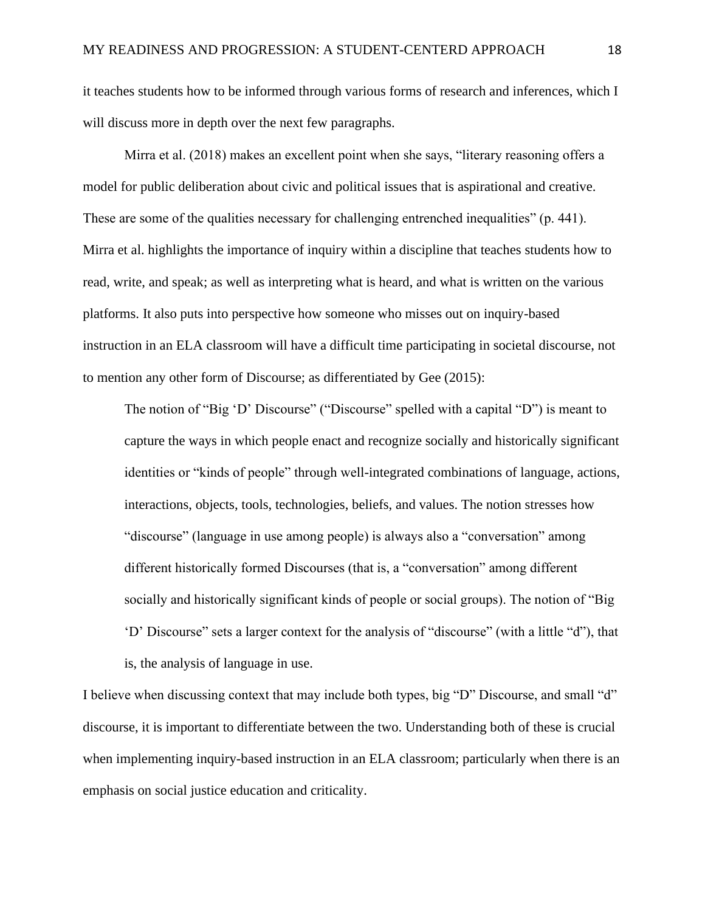it teaches students how to be informed through various forms of research and inferences, which I will discuss more in depth over the next few paragraphs.

Mirra et al. (2018) makes an excellent point when she says, "literary reasoning offers a model for public deliberation about civic and political issues that is aspirational and creative. These are some of the qualities necessary for challenging entrenched inequalities" (p. 441). Mirra et al. highlights the importance of inquiry within a discipline that teaches students how to read, write, and speak; as well as interpreting what is heard, and what is written on the various platforms. It also puts into perspective how someone who misses out on inquiry-based instruction in an ELA classroom will have a difficult time participating in societal discourse, not to mention any other form of Discourse; as differentiated by Gee (2015):

The notion of "Big 'D' Discourse" ("Discourse" spelled with a capital "D") is meant to capture the ways in which people enact and recognize socially and historically significant identities or "kinds of people" through well-integrated combinations of language, actions, interactions, objects, tools, technologies, beliefs, and values. The notion stresses how "discourse" (language in use among people) is always also a "conversation" among different historically formed Discourses (that is, a "conversation" among different socially and historically significant kinds of people or social groups). The notion of "Big 'D' Discourse" sets a larger context for the analysis of "discourse" (with a little "d"), that is, the analysis of language in use.

I believe when discussing context that may include both types, big "D" Discourse, and small "d" discourse, it is important to differentiate between the two. Understanding both of these is crucial when implementing inquiry-based instruction in an ELA classroom; particularly when there is an emphasis on social justice education and criticality.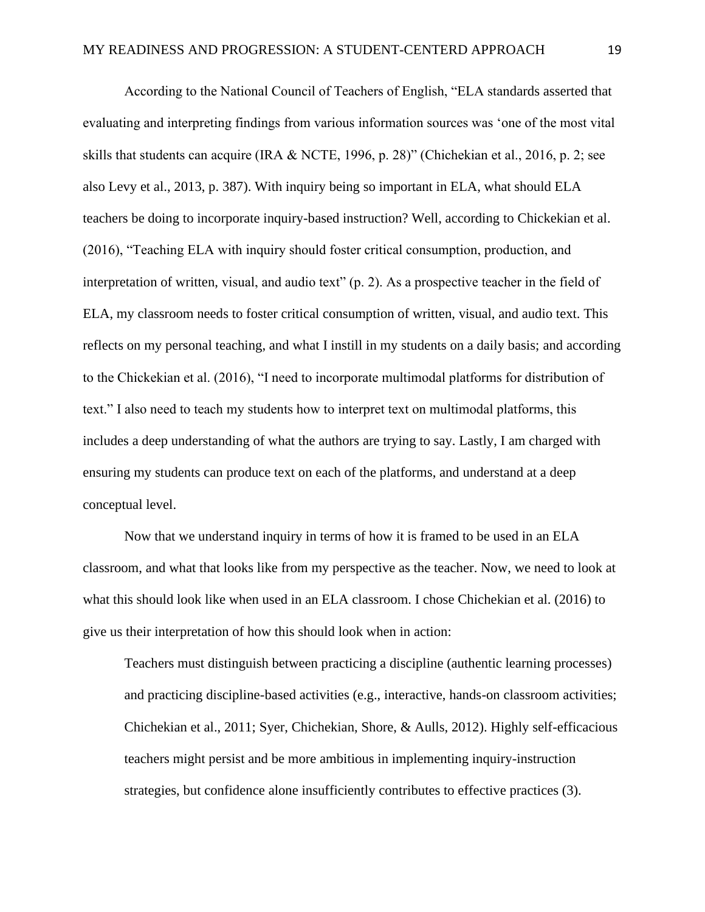According to the National Council of Teachers of English, "ELA standards asserted that evaluating and interpreting findings from various information sources was 'one of the most vital skills that students can acquire (IRA & NCTE, 1996, p. 28)" (Chichekian et al., 2016, p. 2; see also Levy et al., 2013, p. 387). With inquiry being so important in ELA, what should ELA teachers be doing to incorporate inquiry-based instruction? Well, according to Chickekian et al. (2016), "Teaching ELA with inquiry should foster critical consumption, production, and interpretation of written, visual, and audio text" (p. 2). As a prospective teacher in the field of ELA, my classroom needs to foster critical consumption of written, visual, and audio text. This reflects on my personal teaching, and what I instill in my students on a daily basis; and according to the Chickekian et al. (2016), "I need to incorporate multimodal platforms for distribution of text." I also need to teach my students how to interpret text on multimodal platforms, this includes a deep understanding of what the authors are trying to say. Lastly, I am charged with ensuring my students can produce text on each of the platforms, and understand at a deep conceptual level.

Now that we understand inquiry in terms of how it is framed to be used in an ELA classroom, and what that looks like from my perspective as the teacher. Now, we need to look at what this should look like when used in an ELA classroom. I chose Chichekian et al. (2016) to give us their interpretation of how this should look when in action:

Teachers must distinguish between practicing a discipline (authentic learning processes) and practicing discipline-based activities (e.g., interactive, hands-on classroom activities; Chichekian et al., 2011; Syer, Chichekian, Shore, & Aulls, 2012). Highly self-efficacious teachers might persist and be more ambitious in implementing inquiry-instruction strategies, but confidence alone insufficiently contributes to effective practices (3).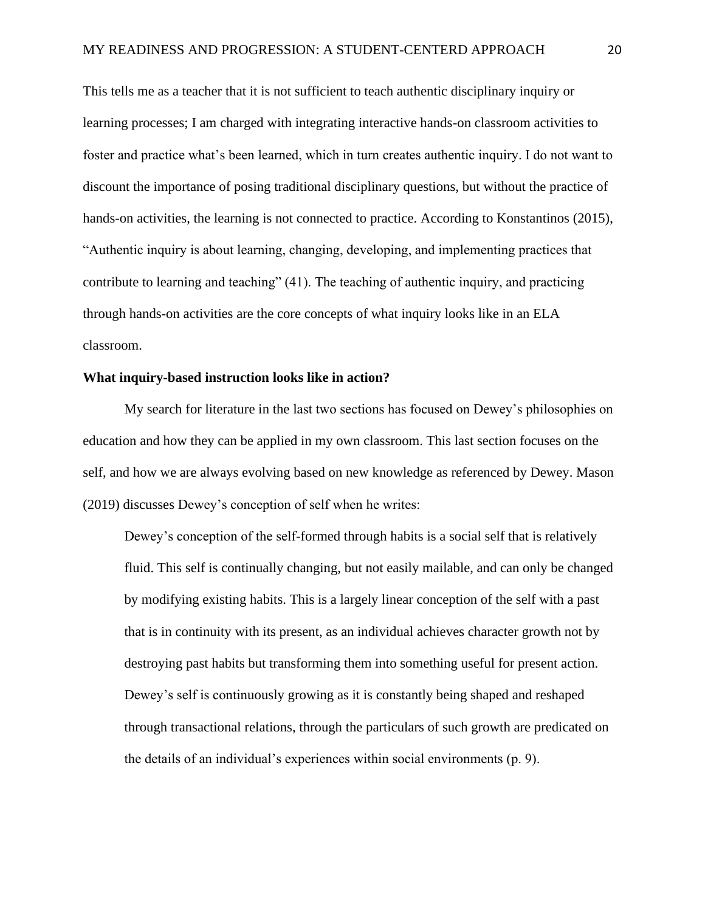This tells me as a teacher that it is not sufficient to teach authentic disciplinary inquiry or learning processes; I am charged with integrating interactive hands-on classroom activities to foster and practice what's been learned, which in turn creates authentic inquiry. I do not want to discount the importance of posing traditional disciplinary questions, but without the practice of hands-on activities, the learning is not connected to practice. According to Konstantinos (2015), "Authentic inquiry is about learning, changing, developing, and implementing practices that contribute to learning and teaching" (41). The teaching of authentic inquiry, and practicing through hands-on activities are the core concepts of what inquiry looks like in an ELA classroom.

## **What inquiry-based instruction looks like in action?**

My search for literature in the last two sections has focused on Dewey's philosophies on education and how they can be applied in my own classroom. This last section focuses on the self, and how we are always evolving based on new knowledge as referenced by Dewey. Mason (2019) discusses Dewey's conception of self when he writes:

Dewey's conception of the self-formed through habits is a social self that is relatively fluid. This self is continually changing, but not easily mailable, and can only be changed by modifying existing habits. This is a largely linear conception of the self with a past that is in continuity with its present, as an individual achieves character growth not by destroying past habits but transforming them into something useful for present action. Dewey's self is continuously growing as it is constantly being shaped and reshaped through transactional relations, through the particulars of such growth are predicated on the details of an individual's experiences within social environments (p. 9).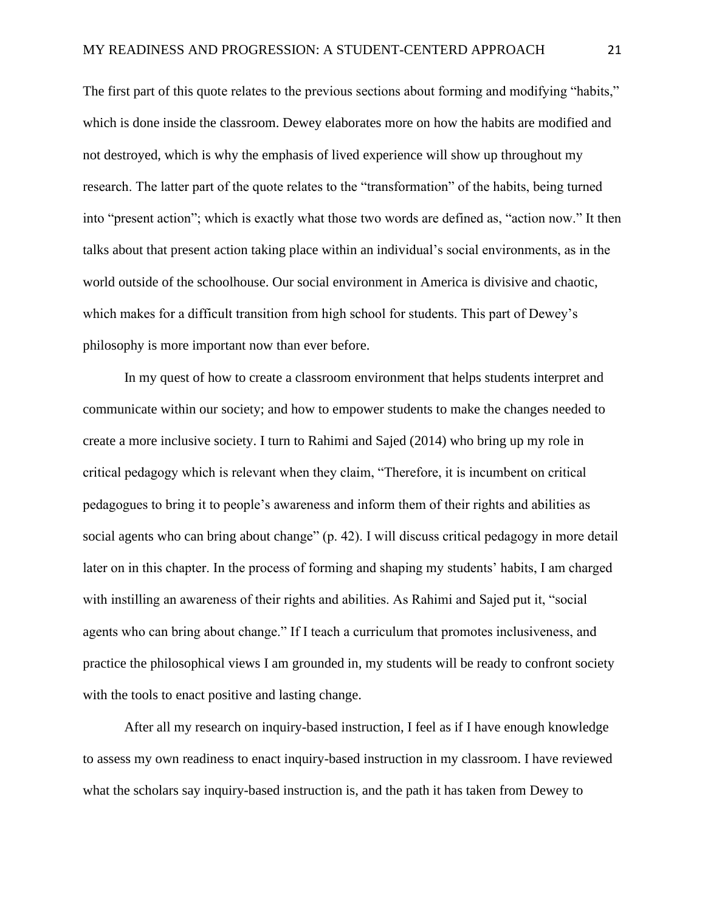The first part of this quote relates to the previous sections about forming and modifying "habits," which is done inside the classroom. Dewey elaborates more on how the habits are modified and not destroyed, which is why the emphasis of lived experience will show up throughout my research. The latter part of the quote relates to the "transformation" of the habits, being turned into "present action"; which is exactly what those two words are defined as, "action now." It then talks about that present action taking place within an individual's social environments, as in the world outside of the schoolhouse. Our social environment in America is divisive and chaotic, which makes for a difficult transition from high school for students. This part of Dewey's philosophy is more important now than ever before.

In my quest of how to create a classroom environment that helps students interpret and communicate within our society; and how to empower students to make the changes needed to create a more inclusive society. I turn to Rahimi and Sajed (2014) who bring up my role in critical pedagogy which is relevant when they claim, "Therefore, it is incumbent on critical pedagogues to bring it to people's awareness and inform them of their rights and abilities as social agents who can bring about change" (p. 42). I will discuss critical pedagogy in more detail later on in this chapter. In the process of forming and shaping my students' habits, I am charged with instilling an awareness of their rights and abilities. As Rahimi and Sajed put it, "social agents who can bring about change." If I teach a curriculum that promotes inclusiveness, and practice the philosophical views I am grounded in, my students will be ready to confront society with the tools to enact positive and lasting change.

After all my research on inquiry-based instruction, I feel as if I have enough knowledge to assess my own readiness to enact inquiry-based instruction in my classroom. I have reviewed what the scholars say inquiry-based instruction is, and the path it has taken from Dewey to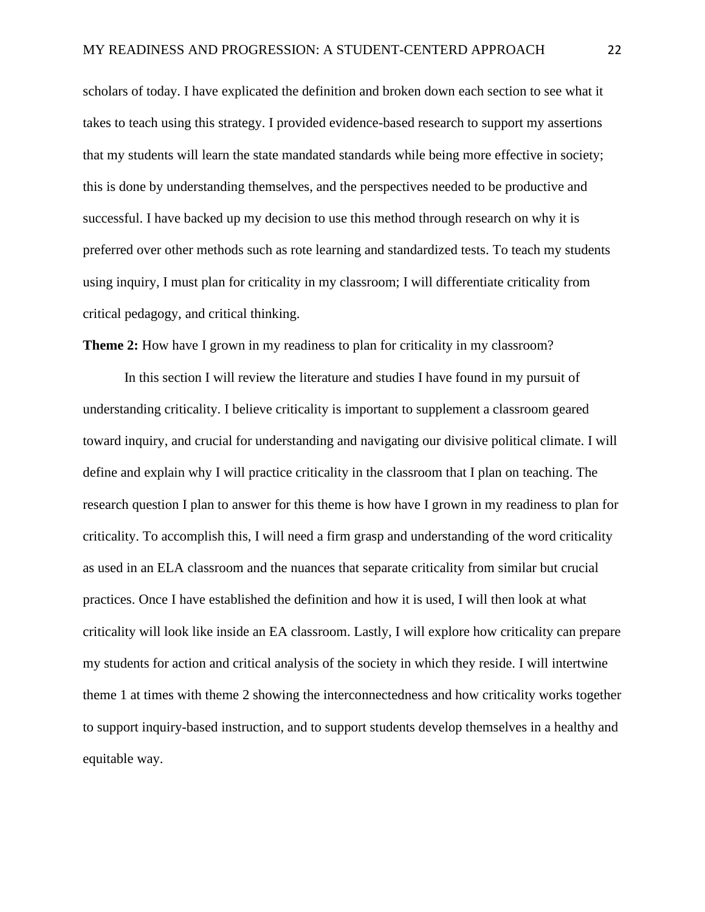scholars of today. I have explicated the definition and broken down each section to see what it takes to teach using this strategy. I provided evidence-based research to support my assertions that my students will learn the state mandated standards while being more effective in society; this is done by understanding themselves, and the perspectives needed to be productive and successful. I have backed up my decision to use this method through research on why it is preferred over other methods such as rote learning and standardized tests. To teach my students using inquiry, I must plan for criticality in my classroom; I will differentiate criticality from critical pedagogy, and critical thinking.

**Theme 2:** How have I grown in my readiness to plan for criticality in my classroom?

In this section I will review the literature and studies I have found in my pursuit of understanding criticality. I believe criticality is important to supplement a classroom geared toward inquiry, and crucial for understanding and navigating our divisive political climate. I will define and explain why I will practice criticality in the classroom that I plan on teaching. The research question I plan to answer for this theme is how have I grown in my readiness to plan for criticality. To accomplish this, I will need a firm grasp and understanding of the word criticality as used in an ELA classroom and the nuances that separate criticality from similar but crucial practices. Once I have established the definition and how it is used, I will then look at what criticality will look like inside an EA classroom. Lastly, I will explore how criticality can prepare my students for action and critical analysis of the society in which they reside. I will intertwine theme 1 at times with theme 2 showing the interconnectedness and how criticality works together to support inquiry-based instruction, and to support students develop themselves in a healthy and equitable way.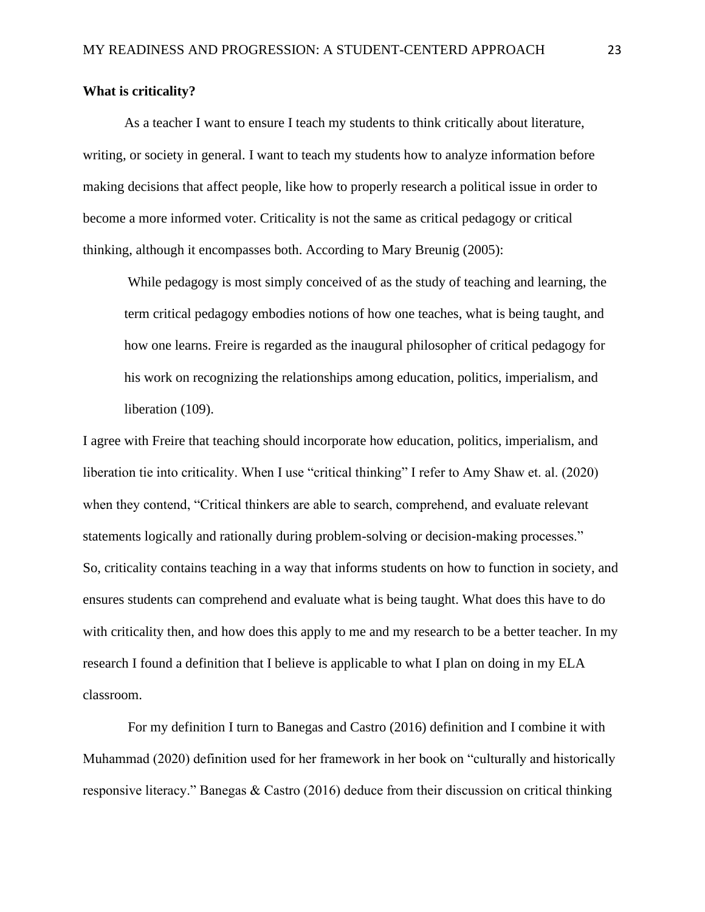## **What is criticality?**

As a teacher I want to ensure I teach my students to think critically about literature, writing, or society in general. I want to teach my students how to analyze information before making decisions that affect people, like how to properly research a political issue in order to become a more informed voter. Criticality is not the same as critical pedagogy or critical thinking, although it encompasses both. According to Mary Breunig (2005):

While pedagogy is most simply conceived of as the study of teaching and learning, the term critical pedagogy embodies notions of how one teaches, what is being taught, and how one learns. Freire is regarded as the inaugural philosopher of critical pedagogy for his work on recognizing the relationships among education, politics, imperialism, and liberation (109).

I agree with Freire that teaching should incorporate how education, politics, imperialism, and liberation tie into criticality. When I use "critical thinking" I refer to Amy Shaw et. al. (2020) when they contend, "Critical thinkers are able to search, comprehend, and evaluate relevant statements logically and rationally during problem-solving or decision-making processes." So, criticality contains teaching in a way that informs students on how to function in society, and ensures students can comprehend and evaluate what is being taught. What does this have to do with criticality then, and how does this apply to me and my research to be a better teacher. In my research I found a definition that I believe is applicable to what I plan on doing in my ELA classroom.

For my definition I turn to Banegas and Castro (2016) definition and I combine it with Muhammad (2020) definition used for her framework in her book on "culturally and historically responsive literacy." Banegas & Castro (2016) deduce from their discussion on critical thinking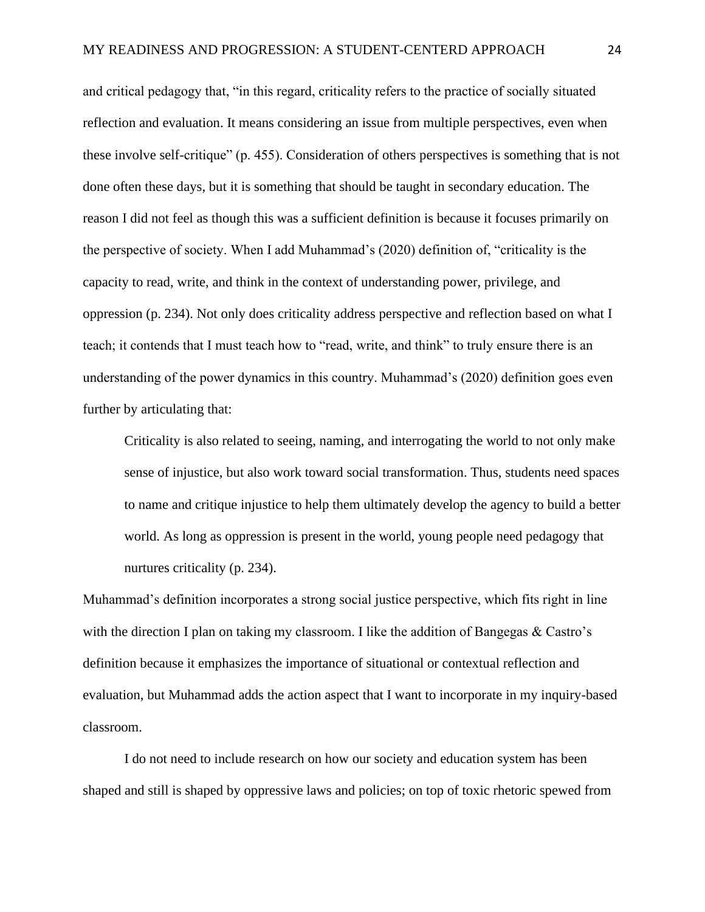and critical pedagogy that, "in this regard, criticality refers to the practice of socially situated reflection and evaluation. It means considering an issue from multiple perspectives, even when these involve self-critique" (p. 455). Consideration of others perspectives is something that is not done often these days, but it is something that should be taught in secondary education. The reason I did not feel as though this was a sufficient definition is because it focuses primarily on the perspective of society. When I add Muhammad's (2020) definition of, "criticality is the capacity to read, write, and think in the context of understanding power, privilege, and oppression (p. 234). Not only does criticality address perspective and reflection based on what I teach; it contends that I must teach how to "read, write, and think" to truly ensure there is an understanding of the power dynamics in this country. Muhammad's (2020) definition goes even further by articulating that:

Criticality is also related to seeing, naming, and interrogating the world to not only make sense of injustice, but also work toward social transformation. Thus, students need spaces to name and critique injustice to help them ultimately develop the agency to build a better world. As long as oppression is present in the world, young people need pedagogy that nurtures criticality (p. 234).

Muhammad's definition incorporates a strong social justice perspective, which fits right in line with the direction I plan on taking my classroom. I like the addition of Bangegas & Castro's definition because it emphasizes the importance of situational or contextual reflection and evaluation, but Muhammad adds the action aspect that I want to incorporate in my inquiry-based classroom.

I do not need to include research on how our society and education system has been shaped and still is shaped by oppressive laws and policies; on top of toxic rhetoric spewed from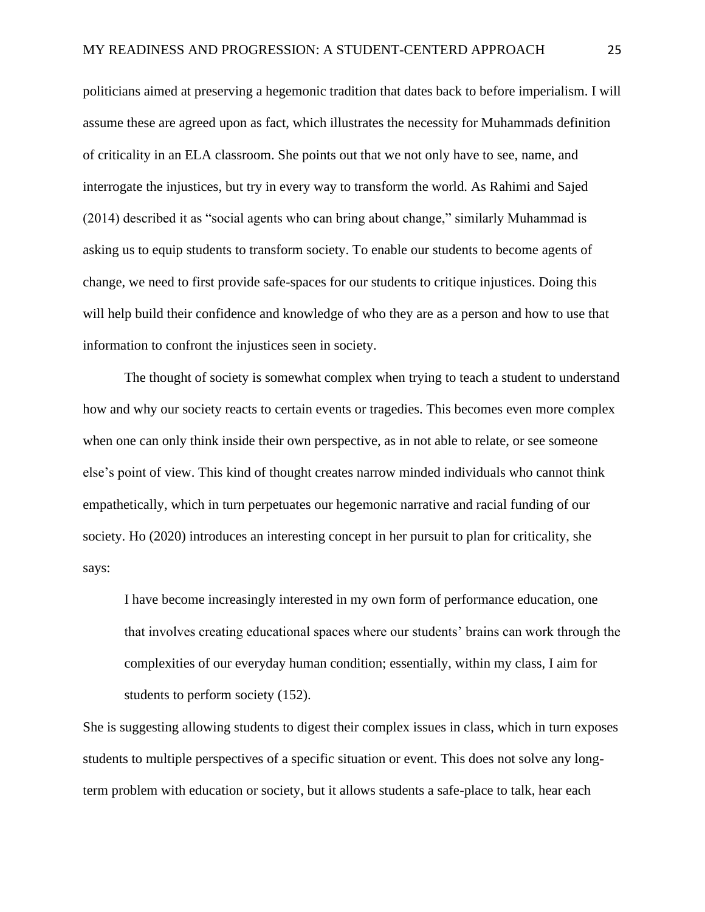politicians aimed at preserving a hegemonic tradition that dates back to before imperialism. I will assume these are agreed upon as fact, which illustrates the necessity for Muhammads definition of criticality in an ELA classroom. She points out that we not only have to see, name, and interrogate the injustices, but try in every way to transform the world. As Rahimi and Sajed (2014) described it as "social agents who can bring about change," similarly Muhammad is asking us to equip students to transform society. To enable our students to become agents of change, we need to first provide safe-spaces for our students to critique injustices. Doing this will help build their confidence and knowledge of who they are as a person and how to use that information to confront the injustices seen in society.

The thought of society is somewhat complex when trying to teach a student to understand how and why our society reacts to certain events or tragedies. This becomes even more complex when one can only think inside their own perspective, as in not able to relate, or see someone else's point of view. This kind of thought creates narrow minded individuals who cannot think empathetically, which in turn perpetuates our hegemonic narrative and racial funding of our society. Ho (2020) introduces an interesting concept in her pursuit to plan for criticality, she says:

I have become increasingly interested in my own form of performance education, one that involves creating educational spaces where our students' brains can work through the complexities of our everyday human condition; essentially, within my class, I aim for students to perform society (152).

She is suggesting allowing students to digest their complex issues in class, which in turn exposes students to multiple perspectives of a specific situation or event. This does not solve any longterm problem with education or society, but it allows students a safe-place to talk, hear each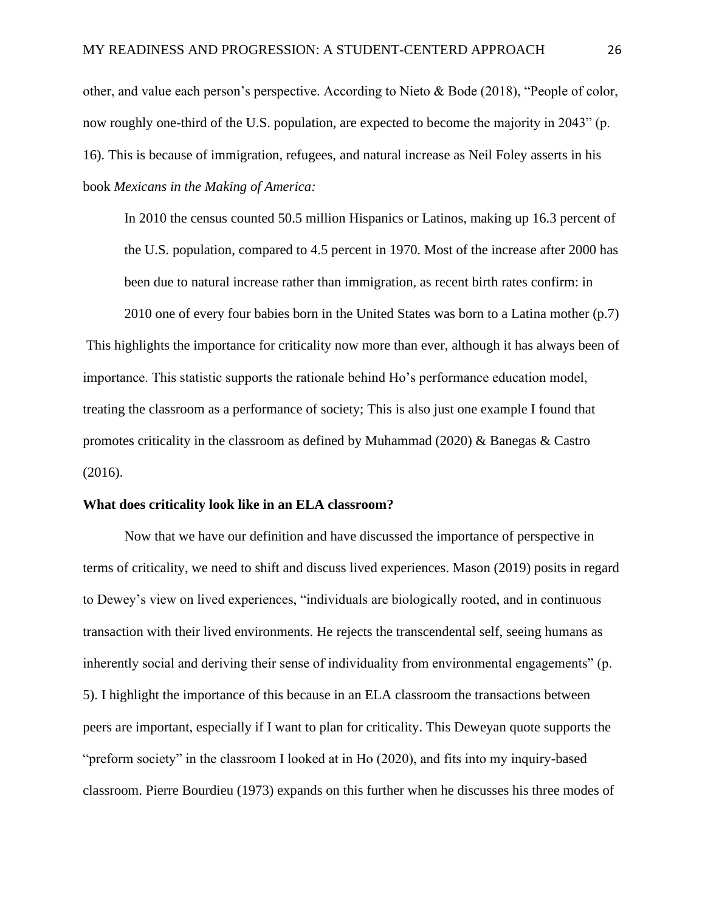other, and value each person's perspective. According to Nieto & Bode (2018), "People of color, now roughly one-third of the U.S. population, are expected to become the majority in 2043" (p. 16). This is because of immigration, refugees, and natural increase as Neil Foley asserts in his book *Mexicans in the Making of America:*

In 2010 the census counted 50.5 million Hispanics or Latinos, making up 16.3 percent of the U.S. population, compared to 4.5 percent in 1970. Most of the increase after 2000 has been due to natural increase rather than immigration, as recent birth rates confirm: in

2010 one of every four babies born in the United States was born to a Latina mother (p.7) This highlights the importance for criticality now more than ever, although it has always been of importance. This statistic supports the rationale behind Ho's performance education model, treating the classroom as a performance of society; This is also just one example I found that promotes criticality in the classroom as defined by Muhammad (2020)  $\&$  Banegas  $\&$  Castro (2016).

#### **What does criticality look like in an ELA classroom?**

Now that we have our definition and have discussed the importance of perspective in terms of criticality, we need to shift and discuss lived experiences. Mason (2019) posits in regard to Dewey's view on lived experiences, "individuals are biologically rooted, and in continuous transaction with their lived environments. He rejects the transcendental self, seeing humans as inherently social and deriving their sense of individuality from environmental engagements" (p. 5). I highlight the importance of this because in an ELA classroom the transactions between peers are important, especially if I want to plan for criticality. This Deweyan quote supports the "preform society" in the classroom I looked at in Ho (2020), and fits into my inquiry-based classroom. Pierre Bourdieu (1973) expands on this further when he discusses his three modes of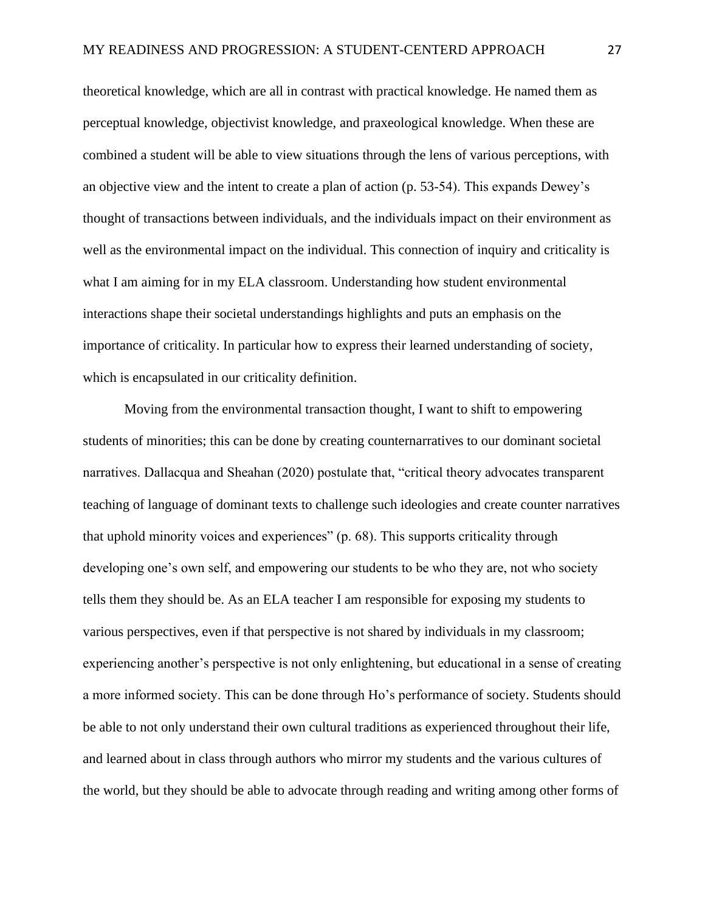theoretical knowledge, which are all in contrast with practical knowledge. He named them as perceptual knowledge, objectivist knowledge, and praxeological knowledge. When these are combined a student will be able to view situations through the lens of various perceptions, with an objective view and the intent to create a plan of action (p. 53-54). This expands Dewey's thought of transactions between individuals, and the individuals impact on their environment as well as the environmental impact on the individual. This connection of inquiry and criticality is what I am aiming for in my ELA classroom. Understanding how student environmental interactions shape their societal understandings highlights and puts an emphasis on the importance of criticality. In particular how to express their learned understanding of society, which is encapsulated in our criticality definition.

Moving from the environmental transaction thought, I want to shift to empowering students of minorities; this can be done by creating counternarratives to our dominant societal narratives. Dallacqua and Sheahan (2020) postulate that, "critical theory advocates transparent teaching of language of dominant texts to challenge such ideologies and create counter narratives that uphold minority voices and experiences" (p. 68). This supports criticality through developing one's own self, and empowering our students to be who they are, not who society tells them they should be. As an ELA teacher I am responsible for exposing my students to various perspectives, even if that perspective is not shared by individuals in my classroom; experiencing another's perspective is not only enlightening, but educational in a sense of creating a more informed society. This can be done through Ho's performance of society. Students should be able to not only understand their own cultural traditions as experienced throughout their life, and learned about in class through authors who mirror my students and the various cultures of the world, but they should be able to advocate through reading and writing among other forms of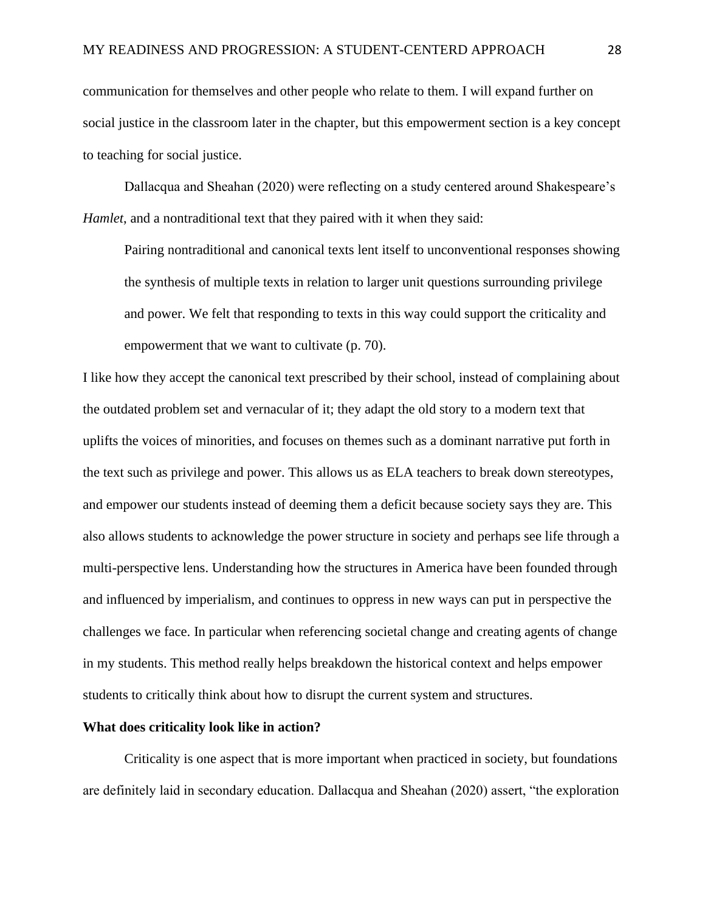communication for themselves and other people who relate to them. I will expand further on social justice in the classroom later in the chapter, but this empowerment section is a key concept to teaching for social justice.

Dallacqua and Sheahan (2020) were reflecting on a study centered around Shakespeare's *Hamlet*, and a nontraditional text that they paired with it when they said:

Pairing nontraditional and canonical texts lent itself to unconventional responses showing the synthesis of multiple texts in relation to larger unit questions surrounding privilege and power. We felt that responding to texts in this way could support the criticality and empowerment that we want to cultivate (p. 70).

I like how they accept the canonical text prescribed by their school, instead of complaining about the outdated problem set and vernacular of it; they adapt the old story to a modern text that uplifts the voices of minorities, and focuses on themes such as a dominant narrative put forth in the text such as privilege and power. This allows us as ELA teachers to break down stereotypes, and empower our students instead of deeming them a deficit because society says they are. This also allows students to acknowledge the power structure in society and perhaps see life through a multi-perspective lens. Understanding how the structures in America have been founded through and influenced by imperialism, and continues to oppress in new ways can put in perspective the challenges we face. In particular when referencing societal change and creating agents of change in my students. This method really helps breakdown the historical context and helps empower students to critically think about how to disrupt the current system and structures.

#### **What does criticality look like in action?**

Criticality is one aspect that is more important when practiced in society, but foundations are definitely laid in secondary education. Dallacqua and Sheahan (2020) assert, "the exploration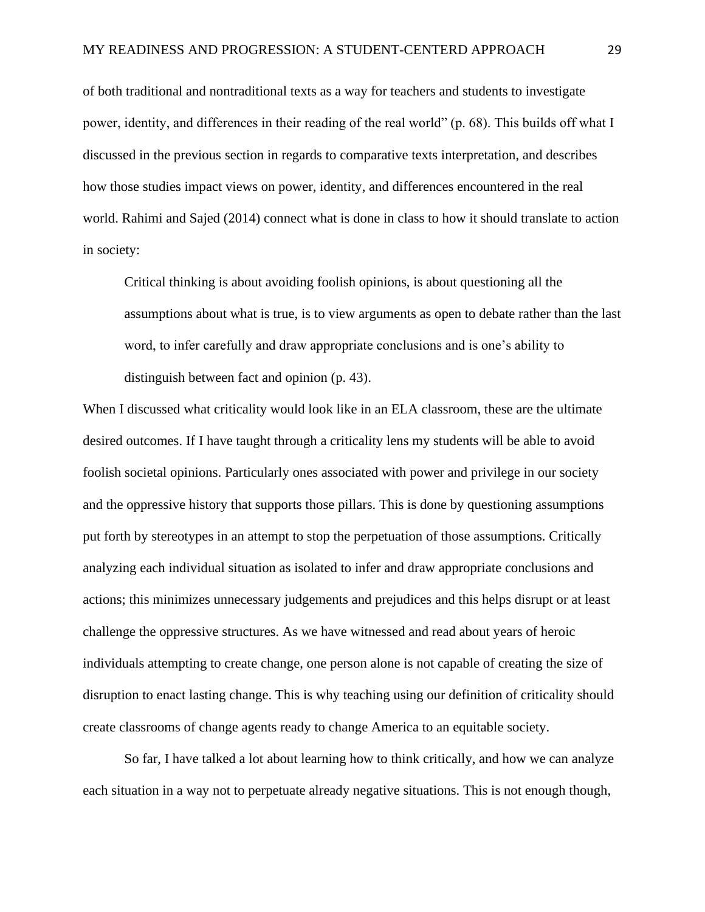of both traditional and nontraditional texts as a way for teachers and students to investigate power, identity, and differences in their reading of the real world" (p. 68). This builds off what I discussed in the previous section in regards to comparative texts interpretation, and describes how those studies impact views on power, identity, and differences encountered in the real world. Rahimi and Sajed (2014) connect what is done in class to how it should translate to action in society:

Critical thinking is about avoiding foolish opinions, is about questioning all the assumptions about what is true, is to view arguments as open to debate rather than the last word, to infer carefully and draw appropriate conclusions and is one's ability to distinguish between fact and opinion (p. 43).

When I discussed what criticality would look like in an ELA classroom, these are the ultimate desired outcomes. If I have taught through a criticality lens my students will be able to avoid foolish societal opinions. Particularly ones associated with power and privilege in our society and the oppressive history that supports those pillars. This is done by questioning assumptions put forth by stereotypes in an attempt to stop the perpetuation of those assumptions. Critically analyzing each individual situation as isolated to infer and draw appropriate conclusions and actions; this minimizes unnecessary judgements and prejudices and this helps disrupt or at least challenge the oppressive structures. As we have witnessed and read about years of heroic individuals attempting to create change, one person alone is not capable of creating the size of disruption to enact lasting change. This is why teaching using our definition of criticality should create classrooms of change agents ready to change America to an equitable society.

So far, I have talked a lot about learning how to think critically, and how we can analyze each situation in a way not to perpetuate already negative situations. This is not enough though,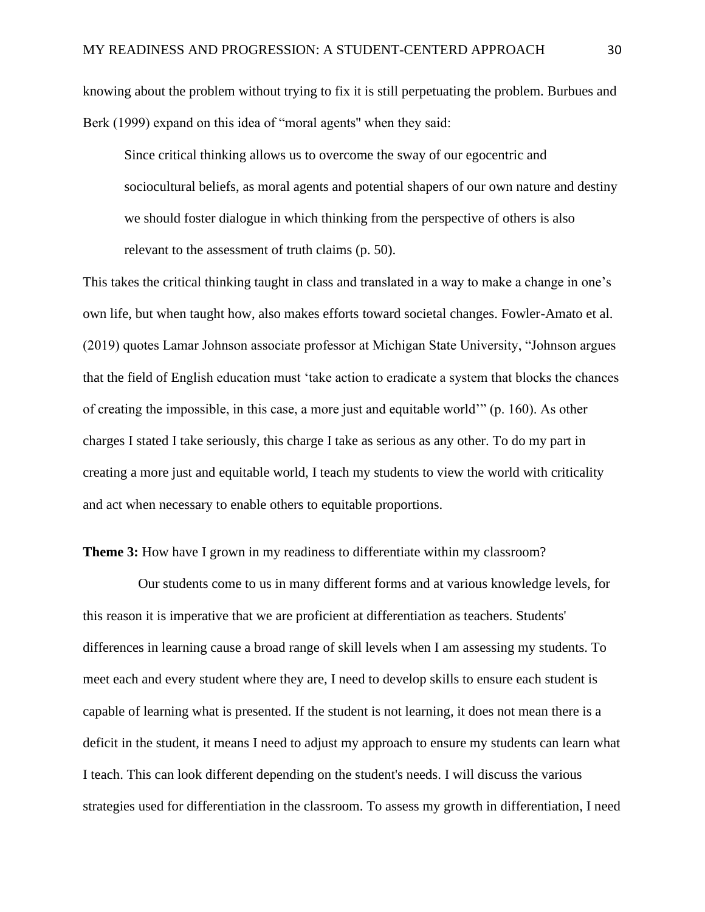knowing about the problem without trying to fix it is still perpetuating the problem. Burbues and Berk (1999) expand on this idea of "moral agents" when they said:

Since critical thinking allows us to overcome the sway of our egocentric and sociocultural beliefs, as moral agents and potential shapers of our own nature and destiny we should foster dialogue in which thinking from the perspective of others is also relevant to the assessment of truth claims (p. 50).

This takes the critical thinking taught in class and translated in a way to make a change in one's own life, but when taught how, also makes efforts toward societal changes. Fowler-Amato et al. (2019) quotes Lamar Johnson associate professor at Michigan State University, "Johnson argues that the field of English education must 'take action to eradicate a system that blocks the chances of creating the impossible, in this case, a more just and equitable world'" (p. 160). As other charges I stated I take seriously, this charge I take as serious as any other. To do my part in creating a more just and equitable world, I teach my students to view the world with criticality and act when necessary to enable others to equitable proportions.

# **Theme 3:** How have I grown in my readiness to differentiate within my classroom?

 Our students come to us in many different forms and at various knowledge levels, for this reason it is imperative that we are proficient at differentiation as teachers. Students' differences in learning cause a broad range of skill levels when I am assessing my students. To meet each and every student where they are, I need to develop skills to ensure each student is capable of learning what is presented. If the student is not learning, it does not mean there is a deficit in the student, it means I need to adjust my approach to ensure my students can learn what I teach. This can look different depending on the student's needs. I will discuss the various strategies used for differentiation in the classroom. To assess my growth in differentiation, I need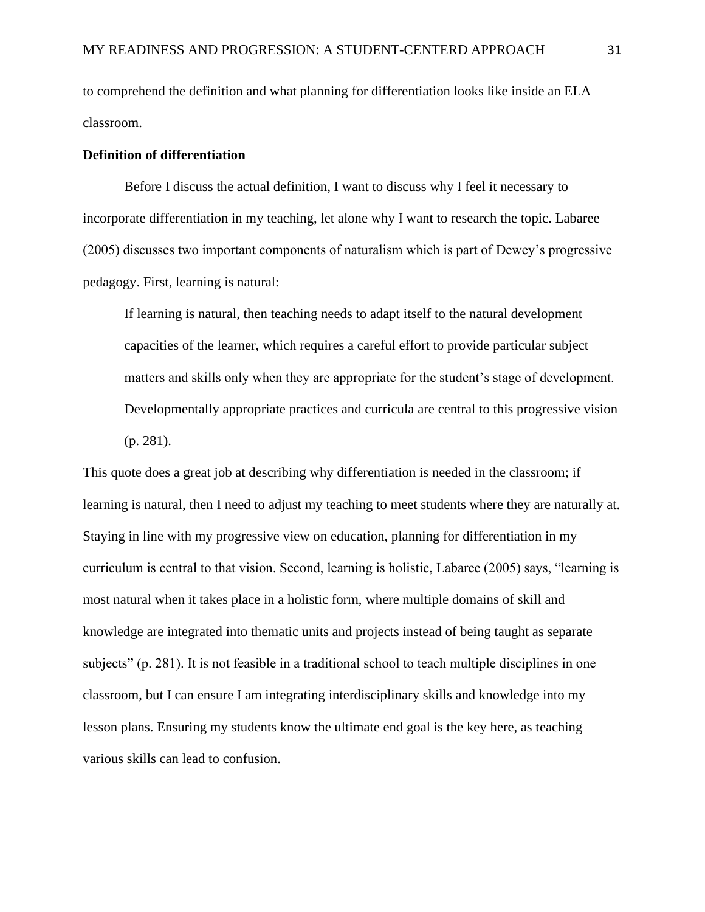to comprehend the definition and what planning for differentiation looks like inside an ELA classroom.

#### **Definition of differentiation**

Before I discuss the actual definition, I want to discuss why I feel it necessary to incorporate differentiation in my teaching, let alone why I want to research the topic. Labaree (2005) discusses two important components of naturalism which is part of Dewey's progressive pedagogy. First, learning is natural:

If learning is natural, then teaching needs to adapt itself to the natural development capacities of the learner, which requires a careful effort to provide particular subject matters and skills only when they are appropriate for the student's stage of development. Developmentally appropriate practices and curricula are central to this progressive vision (p. 281).

This quote does a great job at describing why differentiation is needed in the classroom; if learning is natural, then I need to adjust my teaching to meet students where they are naturally at. Staying in line with my progressive view on education, planning for differentiation in my curriculum is central to that vision. Second, learning is holistic, Labaree (2005) says, "learning is most natural when it takes place in a holistic form, where multiple domains of skill and knowledge are integrated into thematic units and projects instead of being taught as separate subjects" (p. 281). It is not feasible in a traditional school to teach multiple disciplines in one classroom, but I can ensure I am integrating interdisciplinary skills and knowledge into my lesson plans. Ensuring my students know the ultimate end goal is the key here, as teaching various skills can lead to confusion.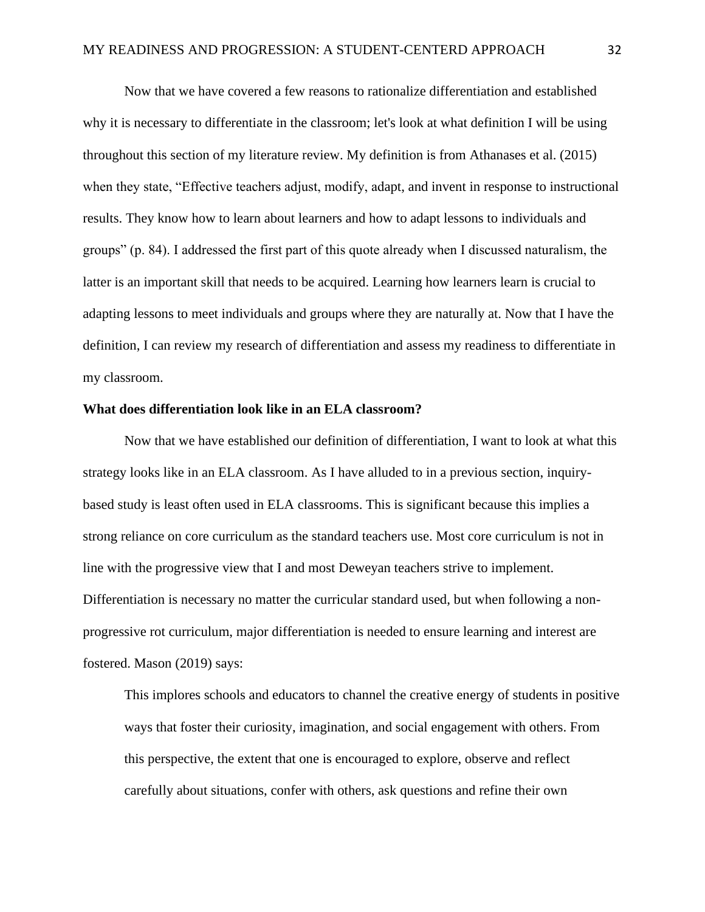Now that we have covered a few reasons to rationalize differentiation and established why it is necessary to differentiate in the classroom; let's look at what definition I will be using throughout this section of my literature review. My definition is from Athanases et al. (2015) when they state, "Effective teachers adjust, modify, adapt, and invent in response to instructional results. They know how to learn about learners and how to adapt lessons to individuals and groups" (p. 84). I addressed the first part of this quote already when I discussed naturalism, the latter is an important skill that needs to be acquired. Learning how learners learn is crucial to adapting lessons to meet individuals and groups where they are naturally at. Now that I have the definition, I can review my research of differentiation and assess my readiness to differentiate in my classroom.

#### **What does differentiation look like in an ELA classroom?**

Now that we have established our definition of differentiation, I want to look at what this strategy looks like in an ELA classroom. As I have alluded to in a previous section, inquirybased study is least often used in ELA classrooms. This is significant because this implies a strong reliance on core curriculum as the standard teachers use. Most core curriculum is not in line with the progressive view that I and most Deweyan teachers strive to implement. Differentiation is necessary no matter the curricular standard used, but when following a nonprogressive rot curriculum, major differentiation is needed to ensure learning and interest are fostered. Mason (2019) says:

This implores schools and educators to channel the creative energy of students in positive ways that foster their curiosity, imagination, and social engagement with others. From this perspective, the extent that one is encouraged to explore, observe and reflect carefully about situations, confer with others, ask questions and refine their own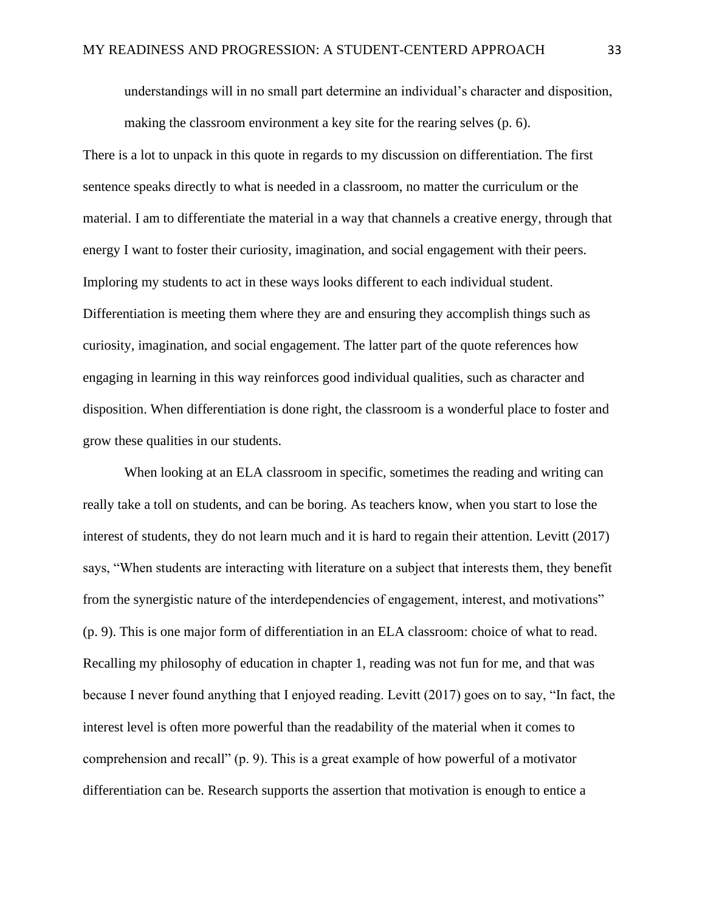understandings will in no small part determine an individual's character and disposition, making the classroom environment a key site for the rearing selves (p. 6).

There is a lot to unpack in this quote in regards to my discussion on differentiation. The first sentence speaks directly to what is needed in a classroom, no matter the curriculum or the material. I am to differentiate the material in a way that channels a creative energy, through that energy I want to foster their curiosity, imagination, and social engagement with their peers. Imploring my students to act in these ways looks different to each individual student. Differentiation is meeting them where they are and ensuring they accomplish things such as curiosity, imagination, and social engagement. The latter part of the quote references how engaging in learning in this way reinforces good individual qualities, such as character and disposition. When differentiation is done right, the classroom is a wonderful place to foster and grow these qualities in our students.

When looking at an ELA classroom in specific, sometimes the reading and writing can really take a toll on students, and can be boring. As teachers know, when you start to lose the interest of students, they do not learn much and it is hard to regain their attention. Levitt (2017) says, "When students are interacting with literature on a subject that interests them, they benefit from the synergistic nature of the interdependencies of engagement, interest, and motivations" (p. 9). This is one major form of differentiation in an ELA classroom: choice of what to read. Recalling my philosophy of education in chapter 1, reading was not fun for me, and that was because I never found anything that I enjoyed reading. Levitt (2017) goes on to say, "In fact, the interest level is often more powerful than the readability of the material when it comes to comprehension and recall" (p. 9). This is a great example of how powerful of a motivator differentiation can be. Research supports the assertion that motivation is enough to entice a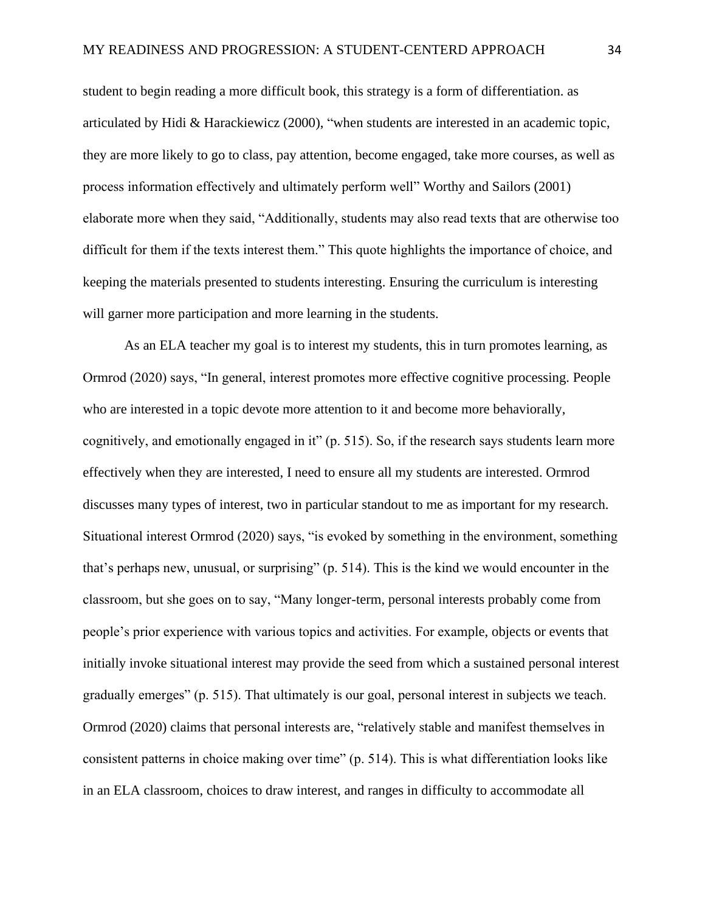student to begin reading a more difficult book, this strategy is a form of differentiation. as articulated by Hidi & Harackiewicz (2000), "when students are interested in an academic topic, they are more likely to go to class, pay attention, become engaged, take more courses, as well as process information effectively and ultimately perform well" Worthy and Sailors (2001) elaborate more when they said, "Additionally, students may also read texts that are otherwise too difficult for them if the texts interest them." This quote highlights the importance of choice, and keeping the materials presented to students interesting. Ensuring the curriculum is interesting will garner more participation and more learning in the students.

As an ELA teacher my goal is to interest my students, this in turn promotes learning, as Ormrod (2020) says, "In general, interest promotes more effective cognitive processing. People who are interested in a topic devote more attention to it and become more behaviorally, cognitively, and emotionally engaged in it" (p. 515). So, if the research says students learn more effectively when they are interested, I need to ensure all my students are interested. Ormrod discusses many types of interest, two in particular standout to me as important for my research. Situational interest Ormrod (2020) says, "is evoked by something in the environment, something that's perhaps new, unusual, or surprising" (p. 514). This is the kind we would encounter in the classroom, but she goes on to say, "Many longer-term, personal interests probably come from people's prior experience with various topics and activities. For example, objects or events that initially invoke situational interest may provide the seed from which a sustained personal interest gradually emerges" (p. 515). That ultimately is our goal, personal interest in subjects we teach. Ormrod (2020) claims that personal interests are, "relatively stable and manifest themselves in consistent patterns in choice making over time" (p. 514). This is what differentiation looks like in an ELA classroom, choices to draw interest, and ranges in difficulty to accommodate all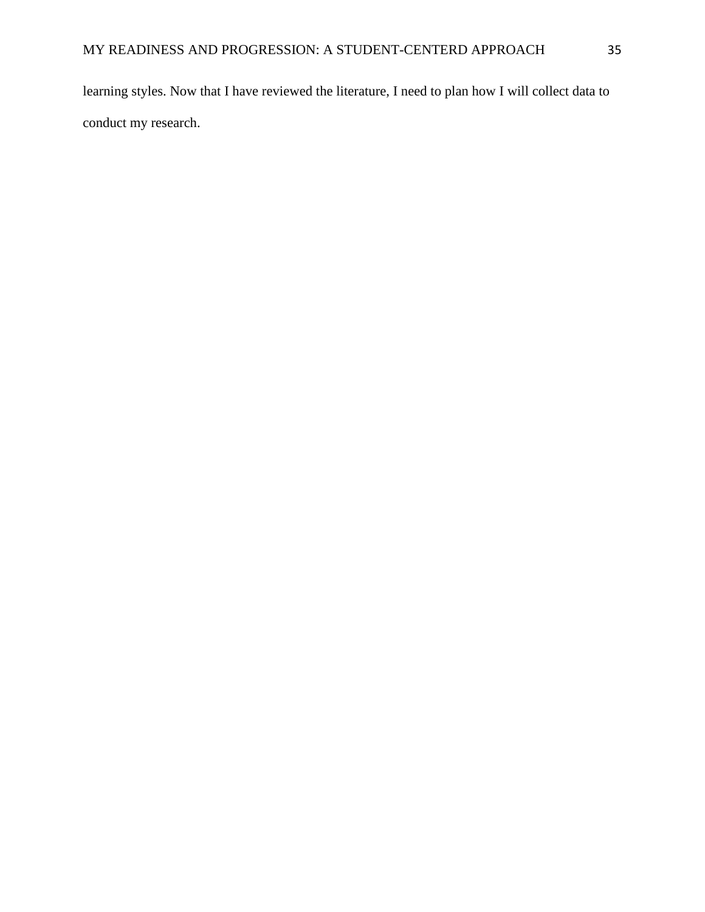learning styles. Now that I have reviewed the literature, I need to plan how I will collect data to conduct my research.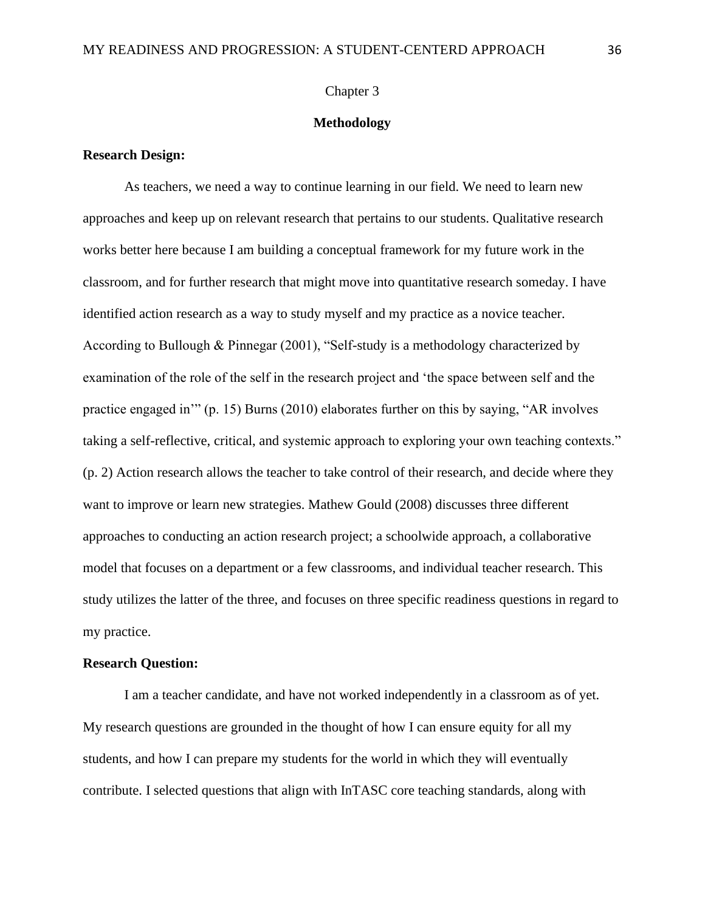### Chapter 3

#### **Methodology**

### **Research Design:**

As teachers, we need a way to continue learning in our field. We need to learn new approaches and keep up on relevant research that pertains to our students. Qualitative research works better here because I am building a conceptual framework for my future work in the classroom, and for further research that might move into quantitative research someday. I have identified action research as a way to study myself and my practice as a novice teacher. According to Bullough & Pinnegar (2001), "Self-study is a methodology characterized by examination of the role of the self in the research project and 'the space between self and the practice engaged in'" (p. 15) Burns (2010) elaborates further on this by saying, "AR involves taking a self-reflective, critical, and systemic approach to exploring your own teaching contexts." (p. 2) Action research allows the teacher to take control of their research, and decide where they want to improve or learn new strategies. Mathew Gould (2008) discusses three different approaches to conducting an action research project; a schoolwide approach, a collaborative model that focuses on a department or a few classrooms, and individual teacher research. This study utilizes the latter of the three, and focuses on three specific readiness questions in regard to my practice.

#### **Research Question:**

I am a teacher candidate, and have not worked independently in a classroom as of yet. My research questions are grounded in the thought of how I can ensure equity for all my students, and how I can prepare my students for the world in which they will eventually contribute. I selected questions that align with InTASC core teaching standards, along with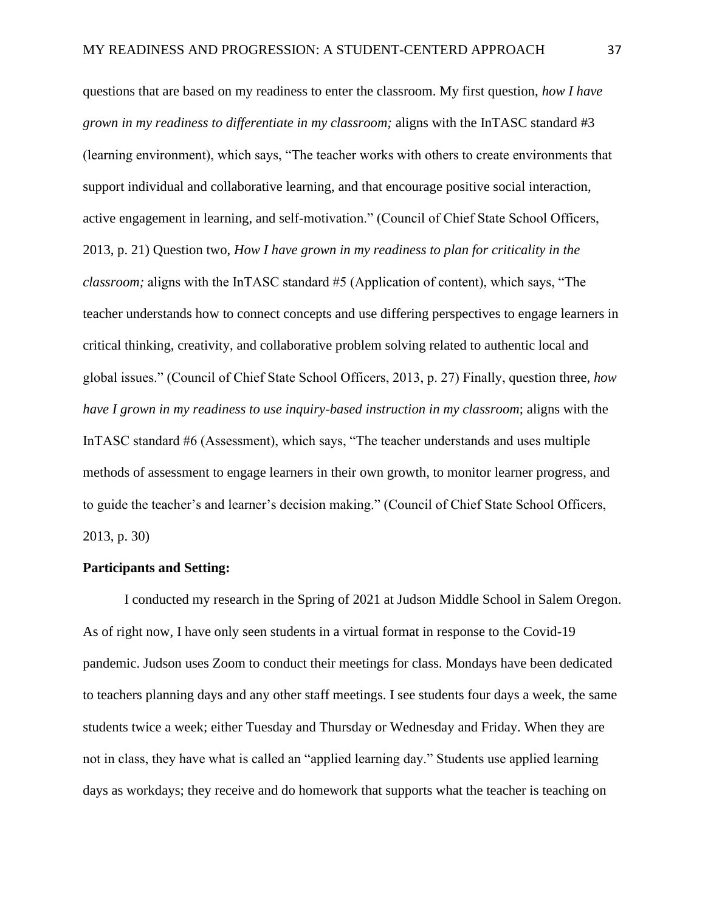questions that are based on my readiness to enter the classroom. My first question, *how I have grown in my readiness to differentiate in my classroom;* aligns with the InTASC standard #3 (learning environment), which says, "The teacher works with others to create environments that support individual and collaborative learning, and that encourage positive social interaction, active engagement in learning, and self-motivation." (Council of Chief State School Officers, 2013, p. 21) Question two, *How I have grown in my readiness to plan for criticality in the classroom;* aligns with the InTASC standard #5 (Application of content), which says, "The teacher understands how to connect concepts and use differing perspectives to engage learners in critical thinking, creativity, and collaborative problem solving related to authentic local and global issues." (Council of Chief State School Officers, 2013, p. 27) Finally, question three, *how have I grown in my readiness to use inquiry-based instruction in my classroom*; aligns with the InTASC standard #6 (Assessment), which says, "The teacher understands and uses multiple methods of assessment to engage learners in their own growth, to monitor learner progress, and to guide the teacher's and learner's decision making." (Council of Chief State School Officers, 2013, p. 30)

### **Participants and Setting:**

I conducted my research in the Spring of 2021 at Judson Middle School in Salem Oregon. As of right now, I have only seen students in a virtual format in response to the Covid-19 pandemic. Judson uses Zoom to conduct their meetings for class. Mondays have been dedicated to teachers planning days and any other staff meetings. I see students four days a week, the same students twice a week; either Tuesday and Thursday or Wednesday and Friday. When they are not in class, they have what is called an "applied learning day." Students use applied learning days as workdays; they receive and do homework that supports what the teacher is teaching on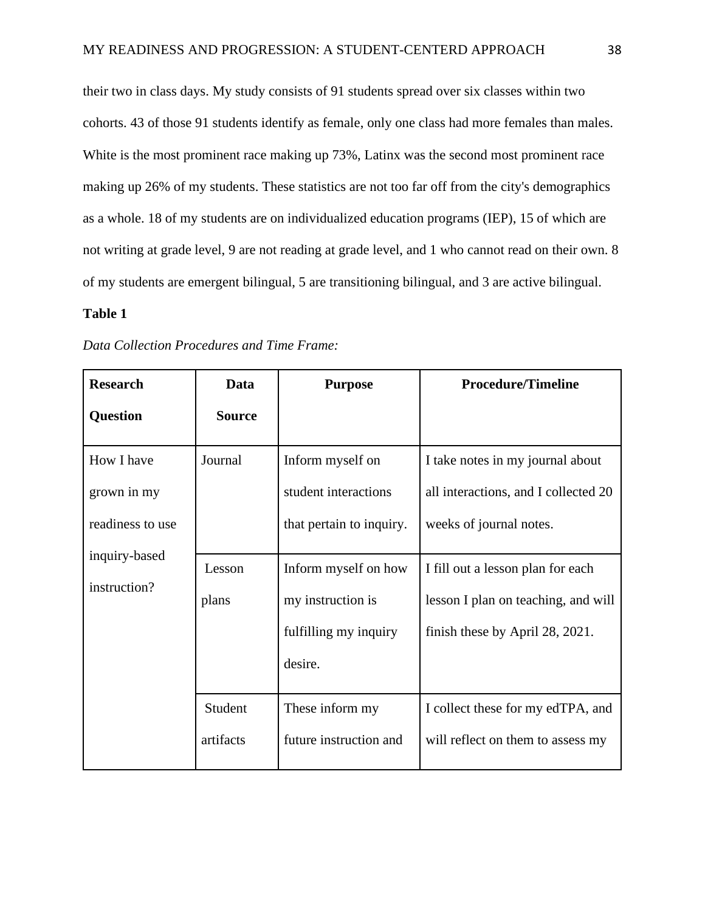their two in class days. My study consists of 91 students spread over six classes within two cohorts. 43 of those 91 students identify as female, only one class had more females than males. White is the most prominent race making up 73%, Latinx was the second most prominent race making up 26% of my students. These statistics are not too far off from the city's demographics as a whole. 18 of my students are on individualized education programs (IEP), 15 of which are not writing at grade level, 9 are not reading at grade level, and 1 who cannot read on their own. 8 of my students are emergent bilingual, 5 are transitioning bilingual, and 3 are active bilingual.

# **Table 1**

| <b>Research</b>  | Data          | <b>Purpose</b>           | <b>Procedure/Timeline</b>            |
|------------------|---------------|--------------------------|--------------------------------------|
| <b>Question</b>  | <b>Source</b> |                          |                                      |
| How I have       | Journal       | Inform myself on         | I take notes in my journal about     |
| grown in my      |               | student interactions     | all interactions, and I collected 20 |
| readiness to use |               | that pertain to inquiry. | weeks of journal notes.              |
| inquiry-based    | Lesson        | Inform myself on how     | I fill out a lesson plan for each    |
| instruction?     | plans         | my instruction is        | lesson I plan on teaching, and will  |
|                  |               | fulfilling my inquiry    | finish these by April 28, 2021.      |
|                  |               | desire.                  |                                      |
|                  | Student       | These inform my          | I collect these for my edTPA, and    |
|                  | artifacts     | future instruction and   | will reflect on them to assess my    |

*Data Collection Procedures and Time Frame:*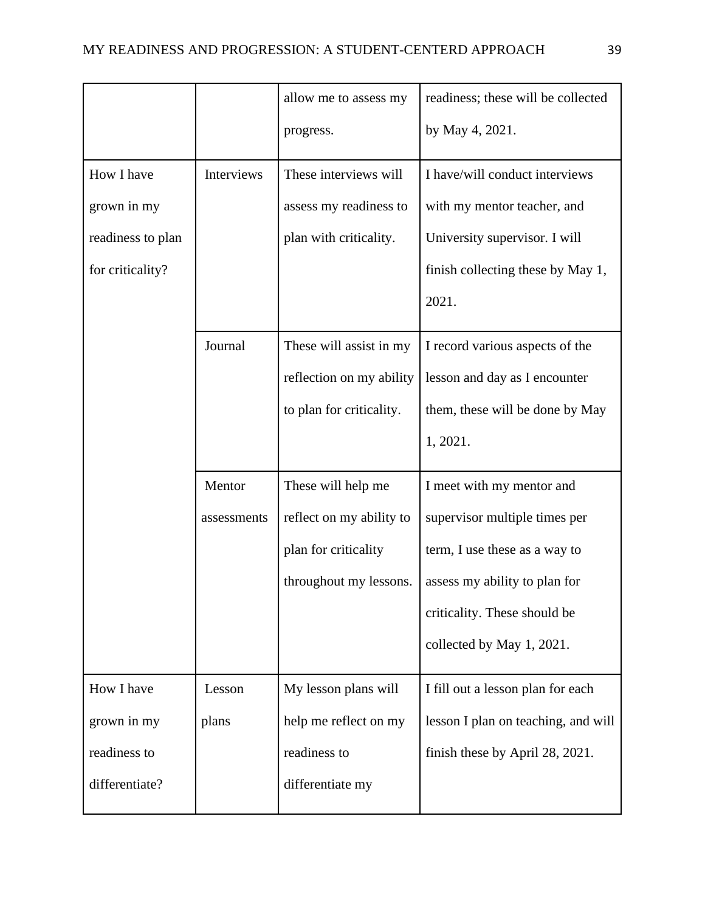|                   |             | allow me to assess my    | readiness; these will be collected  |
|-------------------|-------------|--------------------------|-------------------------------------|
|                   |             | progress.                | by May 4, 2021.                     |
| How I have        | Interviews  | These interviews will    | I have/will conduct interviews      |
| grown in my       |             | assess my readiness to   | with my mentor teacher, and         |
| readiness to plan |             | plan with criticality.   | University supervisor. I will       |
| for criticality?  |             |                          | finish collecting these by May 1,   |
|                   |             |                          | 2021.                               |
|                   | Journal     | These will assist in my  | I record various aspects of the     |
|                   |             | reflection on my ability | lesson and day as I encounter       |
|                   |             | to plan for criticality. | them, these will be done by May     |
|                   |             |                          | 1, 2021.                            |
|                   | Mentor      | These will help me       | I meet with my mentor and           |
|                   | assessments | reflect on my ability to | supervisor multiple times per       |
|                   |             | plan for criticality     | term, I use these as a way to       |
|                   |             | throughout my lessons.   | assess my ability to plan for       |
|                   |             |                          | criticality. These should be        |
|                   |             |                          | collected by May 1, 2021.           |
| How I have        | Lesson      | My lesson plans will     | I fill out a lesson plan for each   |
| grown in my       | plans       | help me reflect on my    | lesson I plan on teaching, and will |
| readiness to      |             | readiness to             | finish these by April 28, 2021.     |
| differentiate?    |             | differentiate my         |                                     |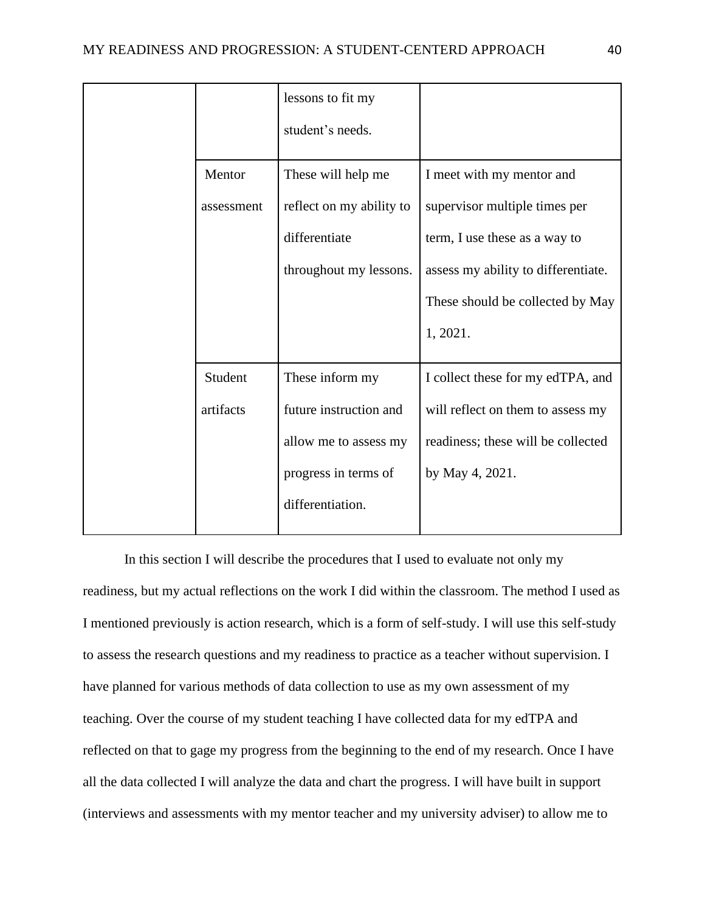|            | lessons to fit my<br>student's needs. |                                     |
|------------|---------------------------------------|-------------------------------------|
| Mentor     | These will help me                    | I meet with my mentor and           |
| assessment | reflect on my ability to              | supervisor multiple times per       |
|            | differentiate                         | term, I use these as a way to       |
|            | throughout my lessons.                | assess my ability to differentiate. |
|            |                                       | These should be collected by May    |
|            |                                       | 1, 2021.                            |
| Student    | These inform my                       | I collect these for my edTPA, and   |
| artifacts  | future instruction and                | will reflect on them to assess my   |
|            | allow me to assess my                 | readiness; these will be collected  |
|            | progress in terms of                  | by May 4, 2021.                     |
|            | differentiation.                      |                                     |
|            |                                       |                                     |

In this section I will describe the procedures that I used to evaluate not only my readiness, but my actual reflections on the work I did within the classroom. The method I used as I mentioned previously is action research, which is a form of self-study. I will use this self-study to assess the research questions and my readiness to practice as a teacher without supervision. I have planned for various methods of data collection to use as my own assessment of my teaching. Over the course of my student teaching I have collected data for my edTPA and reflected on that to gage my progress from the beginning to the end of my research. Once I have all the data collected I will analyze the data and chart the progress. I will have built in support (interviews and assessments with my mentor teacher and my university adviser) to allow me to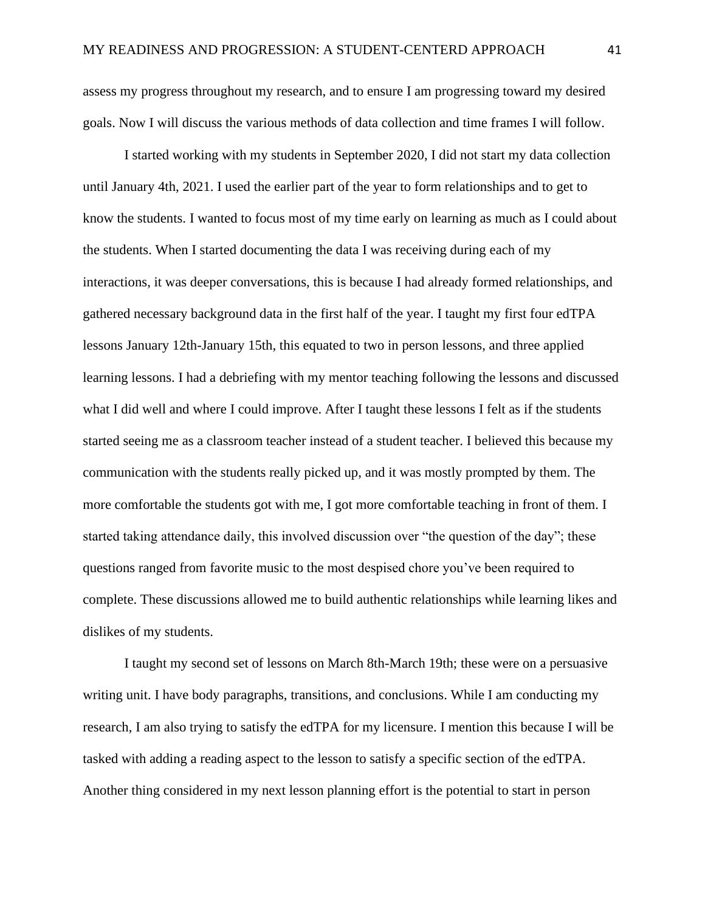assess my progress throughout my research, and to ensure I am progressing toward my desired goals. Now I will discuss the various methods of data collection and time frames I will follow.

I started working with my students in September 2020, I did not start my data collection until January 4th, 2021. I used the earlier part of the year to form relationships and to get to know the students. I wanted to focus most of my time early on learning as much as I could about the students. When I started documenting the data I was receiving during each of my interactions, it was deeper conversations, this is because I had already formed relationships, and gathered necessary background data in the first half of the year. I taught my first four edTPA lessons January 12th-January 15th, this equated to two in person lessons, and three applied learning lessons. I had a debriefing with my mentor teaching following the lessons and discussed what I did well and where I could improve. After I taught these lessons I felt as if the students started seeing me as a classroom teacher instead of a student teacher. I believed this because my communication with the students really picked up, and it was mostly prompted by them. The more comfortable the students got with me, I got more comfortable teaching in front of them. I started taking attendance daily, this involved discussion over "the question of the day"; these questions ranged from favorite music to the most despised chore you've been required to complete. These discussions allowed me to build authentic relationships while learning likes and dislikes of my students.

I taught my second set of lessons on March 8th-March 19th; these were on a persuasive writing unit. I have body paragraphs, transitions, and conclusions. While I am conducting my research, I am also trying to satisfy the edTPA for my licensure. I mention this because I will be tasked with adding a reading aspect to the lesson to satisfy a specific section of the edTPA. Another thing considered in my next lesson planning effort is the potential to start in person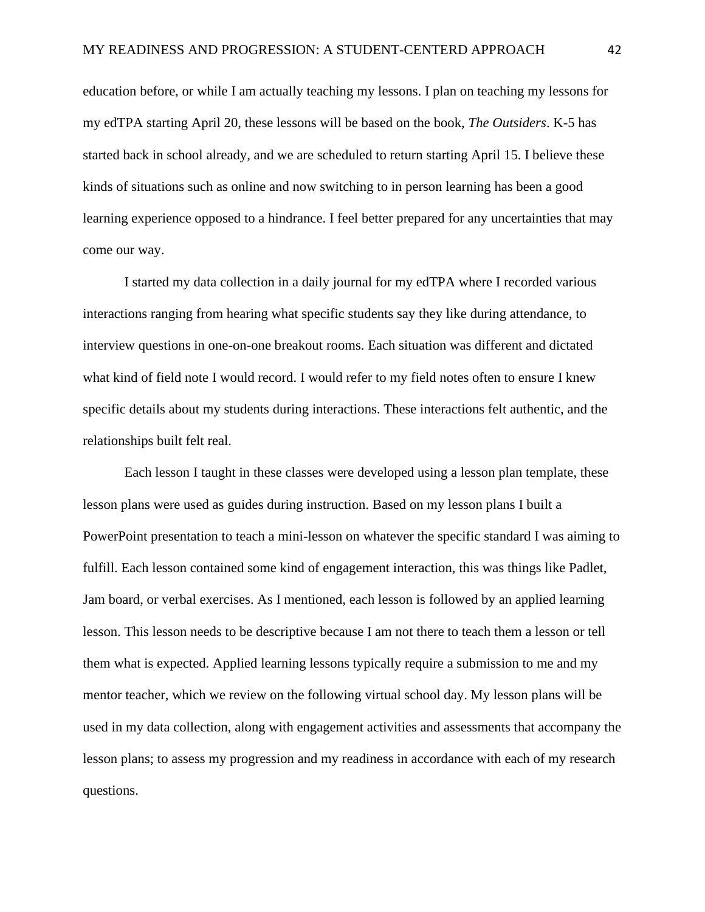education before, or while I am actually teaching my lessons. I plan on teaching my lessons for my edTPA starting April 20, these lessons will be based on the book, *The Outsiders*. K-5 has started back in school already, and we are scheduled to return starting April 15. I believe these kinds of situations such as online and now switching to in person learning has been a good learning experience opposed to a hindrance. I feel better prepared for any uncertainties that may come our way.

I started my data collection in a daily journal for my edTPA where I recorded various interactions ranging from hearing what specific students say they like during attendance, to interview questions in one-on-one breakout rooms. Each situation was different and dictated what kind of field note I would record. I would refer to my field notes often to ensure I knew specific details about my students during interactions. These interactions felt authentic, and the relationships built felt real.

Each lesson I taught in these classes were developed using a lesson plan template, these lesson plans were used as guides during instruction. Based on my lesson plans I built a PowerPoint presentation to teach a mini-lesson on whatever the specific standard I was aiming to fulfill. Each lesson contained some kind of engagement interaction, this was things like Padlet, Jam board, or verbal exercises. As I mentioned, each lesson is followed by an applied learning lesson. This lesson needs to be descriptive because I am not there to teach them a lesson or tell them what is expected. Applied learning lessons typically require a submission to me and my mentor teacher, which we review on the following virtual school day. My lesson plans will be used in my data collection, along with engagement activities and assessments that accompany the lesson plans; to assess my progression and my readiness in accordance with each of my research questions.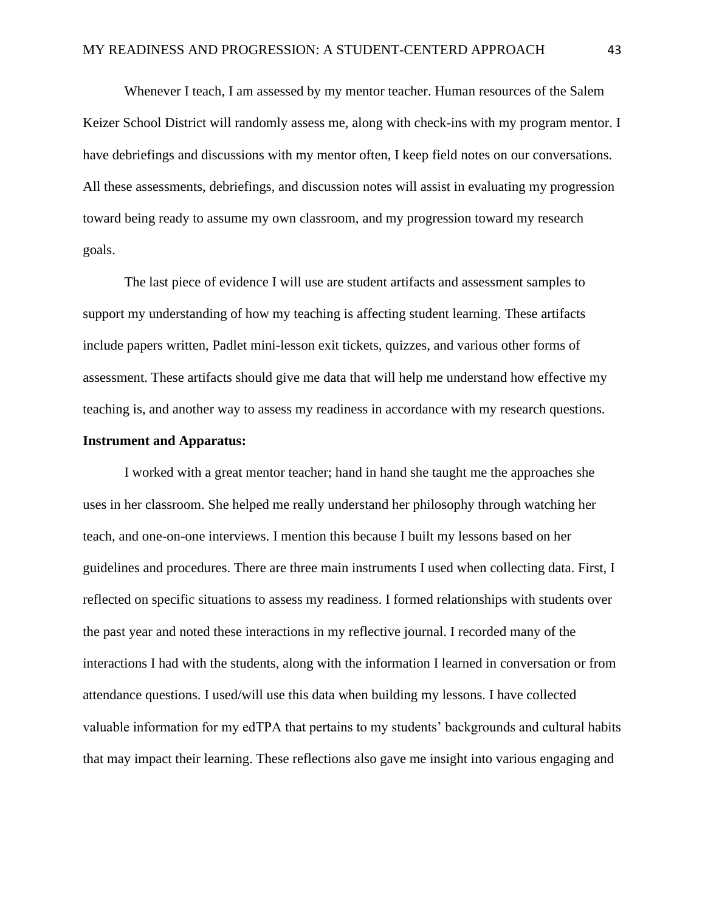Whenever I teach, I am assessed by my mentor teacher. Human resources of the Salem Keizer School District will randomly assess me, along with check-ins with my program mentor. I have debriefings and discussions with my mentor often, I keep field notes on our conversations. All these assessments, debriefings, and discussion notes will assist in evaluating my progression toward being ready to assume my own classroom, and my progression toward my research goals.

The last piece of evidence I will use are student artifacts and assessment samples to support my understanding of how my teaching is affecting student learning. These artifacts include papers written, Padlet mini-lesson exit tickets, quizzes, and various other forms of assessment. These artifacts should give me data that will help me understand how effective my teaching is, and another way to assess my readiness in accordance with my research questions.

## **Instrument and Apparatus:**

I worked with a great mentor teacher; hand in hand she taught me the approaches she uses in her classroom. She helped me really understand her philosophy through watching her teach, and one-on-one interviews. I mention this because I built my lessons based on her guidelines and procedures. There are three main instruments I used when collecting data. First, I reflected on specific situations to assess my readiness. I formed relationships with students over the past year and noted these interactions in my reflective journal. I recorded many of the interactions I had with the students, along with the information I learned in conversation or from attendance questions. I used/will use this data when building my lessons. I have collected valuable information for my edTPA that pertains to my students' backgrounds and cultural habits that may impact their learning. These reflections also gave me insight into various engaging and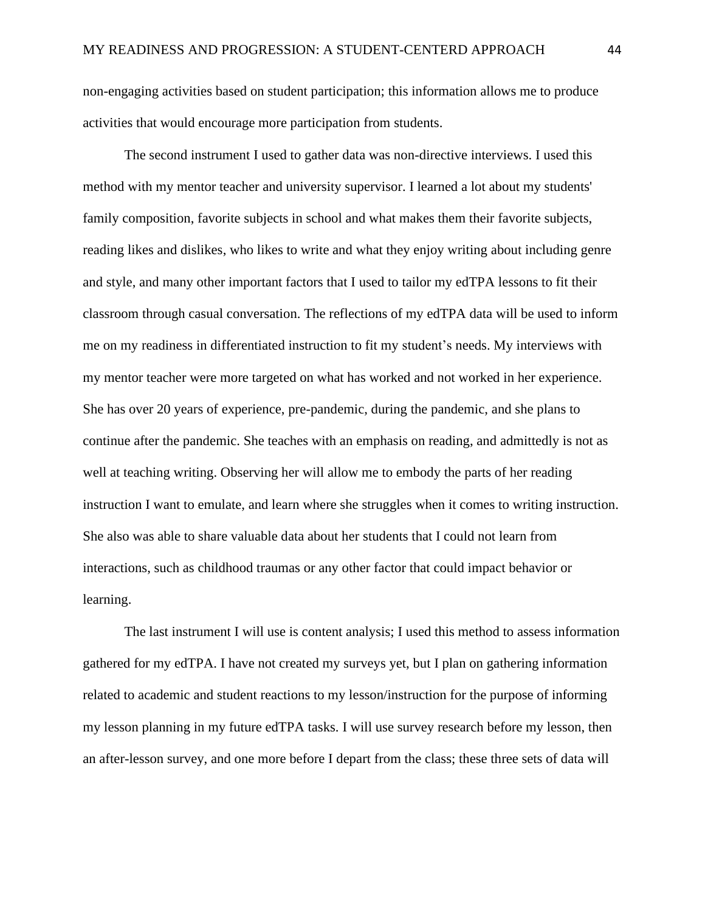non-engaging activities based on student participation; this information allows me to produce activities that would encourage more participation from students.

The second instrument I used to gather data was non-directive interviews. I used this method with my mentor teacher and university supervisor. I learned a lot about my students' family composition, favorite subjects in school and what makes them their favorite subjects, reading likes and dislikes, who likes to write and what they enjoy writing about including genre and style, and many other important factors that I used to tailor my edTPA lessons to fit their classroom through casual conversation. The reflections of my edTPA data will be used to inform me on my readiness in differentiated instruction to fit my student's needs. My interviews with my mentor teacher were more targeted on what has worked and not worked in her experience. She has over 20 years of experience, pre-pandemic, during the pandemic, and she plans to continue after the pandemic. She teaches with an emphasis on reading, and admittedly is not as well at teaching writing. Observing her will allow me to embody the parts of her reading instruction I want to emulate, and learn where she struggles when it comes to writing instruction. She also was able to share valuable data about her students that I could not learn from interactions, such as childhood traumas or any other factor that could impact behavior or learning.

The last instrument I will use is content analysis; I used this method to assess information gathered for my edTPA. I have not created my surveys yet, but I plan on gathering information related to academic and student reactions to my lesson/instruction for the purpose of informing my lesson planning in my future edTPA tasks. I will use survey research before my lesson, then an after-lesson survey, and one more before I depart from the class; these three sets of data will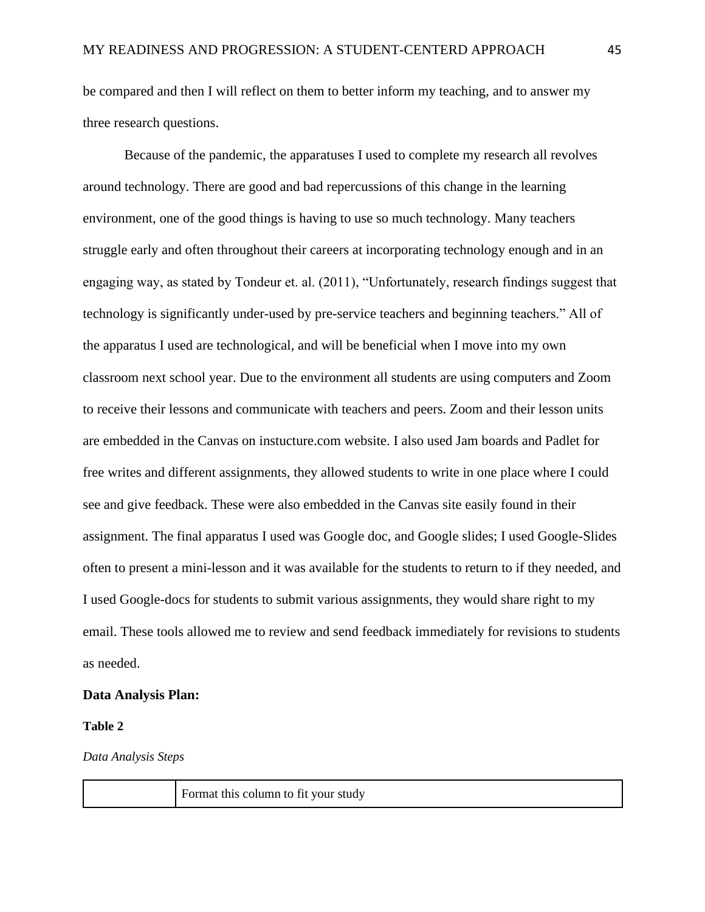be compared and then I will reflect on them to better inform my teaching, and to answer my three research questions.

Because of the pandemic, the apparatuses I used to complete my research all revolves around technology. There are good and bad repercussions of this change in the learning environment, one of the good things is having to use so much technology. Many teachers struggle early and often throughout their careers at incorporating technology enough and in an engaging way, as stated by Tondeur et. al. (2011), "Unfortunately, research findings suggest that technology is significantly under-used by pre-service teachers and beginning teachers." All of the apparatus I used are technological, and will be beneficial when I move into my own classroom next school year. Due to the environment all students are using computers and Zoom to receive their lessons and communicate with teachers and peers. Zoom and their lesson units are embedded in the Canvas on instucture.com website. I also used Jam boards and Padlet for free writes and different assignments, they allowed students to write in one place where I could see and give feedback. These were also embedded in the Canvas site easily found in their assignment. The final apparatus I used was Google doc, and Google slides; I used Google-Slides often to present a mini-lesson and it was available for the students to return to if they needed, and I used Google-docs for students to submit various assignments, they would share right to my email. These tools allowed me to review and send feedback immediately for revisions to students as needed.

### **Data Analysis Plan:**

#### **Table 2**

#### *Data Analysis Steps*

Format this column to fit your study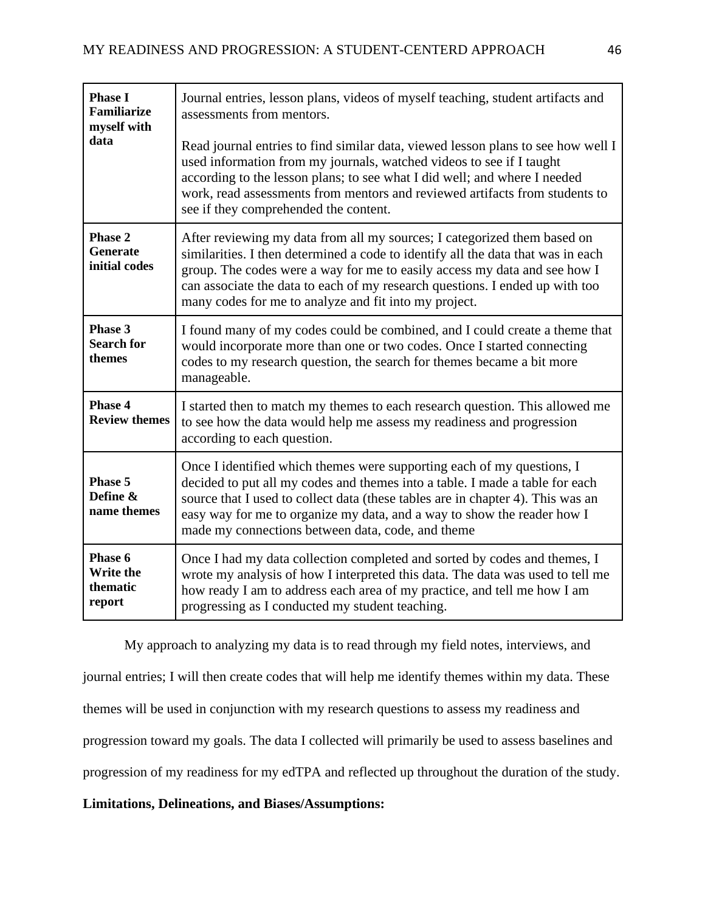| <b>Phase I</b><br><b>Familiarize</b><br>myself with<br>data | Journal entries, lesson plans, videos of myself teaching, student artifacts and<br>assessments from mentors.<br>Read journal entries to find similar data, viewed lesson plans to see how well I<br>used information from my journals, watched videos to see if I taught<br>according to the lesson plans; to see what I did well; and where I needed<br>work, read assessments from mentors and reviewed artifacts from students to<br>see if they comprehended the content. |
|-------------------------------------------------------------|-------------------------------------------------------------------------------------------------------------------------------------------------------------------------------------------------------------------------------------------------------------------------------------------------------------------------------------------------------------------------------------------------------------------------------------------------------------------------------|
| Phase 2<br><b>Generate</b><br>initial codes                 | After reviewing my data from all my sources; I categorized them based on<br>similarities. I then determined a code to identify all the data that was in each<br>group. The codes were a way for me to easily access my data and see how I<br>can associate the data to each of my research questions. I ended up with too<br>many codes for me to analyze and fit into my project.                                                                                            |
| Phase 3<br><b>Search for</b><br>themes                      | I found many of my codes could be combined, and I could create a theme that<br>would incorporate more than one or two codes. Once I started connecting<br>codes to my research question, the search for themes became a bit more<br>manageable.                                                                                                                                                                                                                               |
| Phase 4<br><b>Review themes</b>                             | I started then to match my themes to each research question. This allowed me<br>to see how the data would help me assess my readiness and progression<br>according to each question.                                                                                                                                                                                                                                                                                          |
| Phase 5<br>Define &<br>name themes                          | Once I identified which themes were supporting each of my questions, I<br>decided to put all my codes and themes into a table. I made a table for each<br>source that I used to collect data (these tables are in chapter 4). This was an<br>easy way for me to organize my data, and a way to show the reader how I<br>made my connections between data, code, and theme                                                                                                     |
| Phase 6<br><b>Write the</b><br>thematic<br>report           | Once I had my data collection completed and sorted by codes and themes, I<br>wrote my analysis of how I interpreted this data. The data was used to tell me<br>how ready I am to address each area of my practice, and tell me how I am<br>progressing as I conducted my student teaching.                                                                                                                                                                                    |

My approach to analyzing my data is to read through my field notes, interviews, and journal entries; I will then create codes that will help me identify themes within my data. These themes will be used in conjunction with my research questions to assess my readiness and progression toward my goals. The data I collected will primarily be used to assess baselines and progression of my readiness for my edTPA and reflected up throughout the duration of the study.

# **Limitations, Delineations, and Biases/Assumptions:**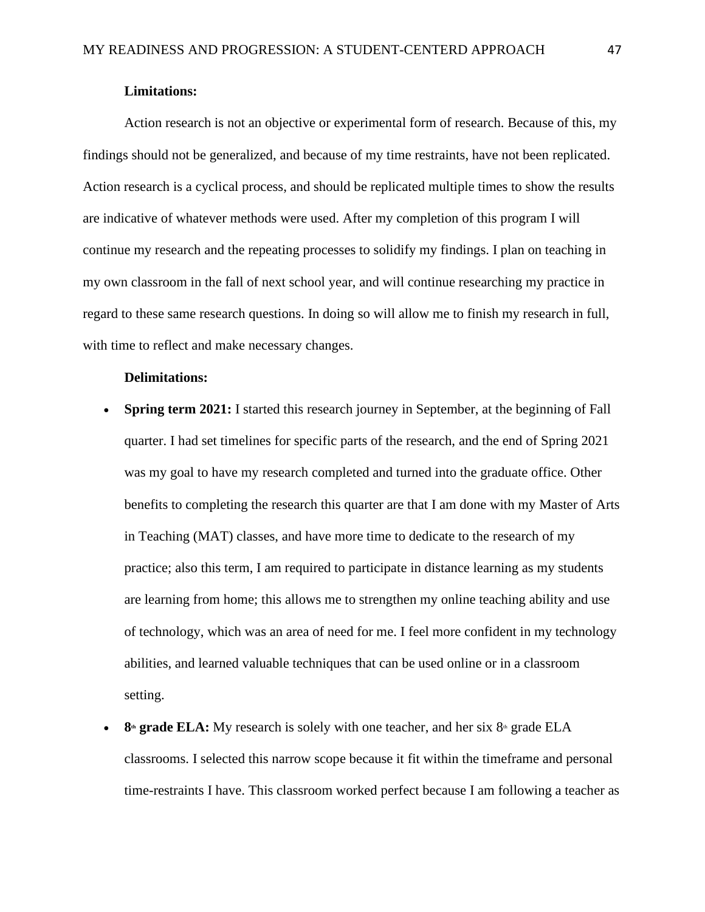# **Limitations:**

Action research is not an objective or experimental form of research. Because of this, my findings should not be generalized, and because of my time restraints, have not been replicated. Action research is a cyclical process, and should be replicated multiple times to show the results are indicative of whatever methods were used. After my completion of this program I will continue my research and the repeating processes to solidify my findings. I plan on teaching in my own classroom in the fall of next school year, and will continue researching my practice in regard to these same research questions. In doing so will allow me to finish my research in full, with time to reflect and make necessary changes.

#### **Delimitations:**

- **Spring term 2021:** I started this research journey in September, at the beginning of Fall quarter. I had set timelines for specific parts of the research, and the end of Spring 2021 was my goal to have my research completed and turned into the graduate office. Other benefits to completing the research this quarter are that I am done with my Master of Arts in Teaching (MAT) classes, and have more time to dedicate to the research of my practice; also this term, I am required to participate in distance learning as my students are learning from home; this allows me to strengthen my online teaching ability and use of technology, which was an area of need for me. I feel more confident in my technology abilities, and learned valuable techniques that can be used online or in a classroom setting.
- **8<sup>th</sup> grade ELA:** My research is solely with one teacher, and her six 8<sup>th</sup> grade ELA classrooms. I selected this narrow scope because it fit within the timeframe and personal time-restraints I have. This classroom worked perfect because I am following a teacher as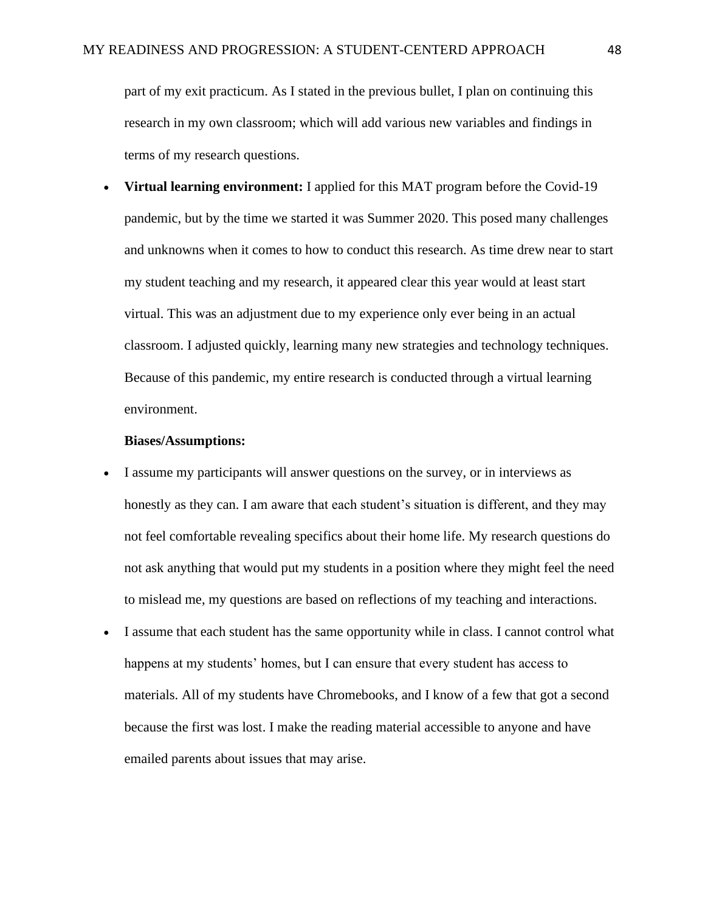part of my exit practicum. As I stated in the previous bullet, I plan on continuing this research in my own classroom; which will add various new variables and findings in terms of my research questions.

• **Virtual learning environment:** I applied for this MAT program before the Covid-19 pandemic, but by the time we started it was Summer 2020. This posed many challenges and unknowns when it comes to how to conduct this research. As time drew near to start my student teaching and my research, it appeared clear this year would at least start virtual. This was an adjustment due to my experience only ever being in an actual classroom. I adjusted quickly, learning many new strategies and technology techniques. Because of this pandemic, my entire research is conducted through a virtual learning environment.

#### **Biases/Assumptions:**

- I assume my participants will answer questions on the survey, or in interviews as honestly as they can. I am aware that each student's situation is different, and they may not feel comfortable revealing specifics about their home life. My research questions do not ask anything that would put my students in a position where they might feel the need to mislead me, my questions are based on reflections of my teaching and interactions.
- I assume that each student has the same opportunity while in class. I cannot control what happens at my students' homes, but I can ensure that every student has access to materials. All of my students have Chromebooks, and I know of a few that got a second because the first was lost. I make the reading material accessible to anyone and have emailed parents about issues that may arise.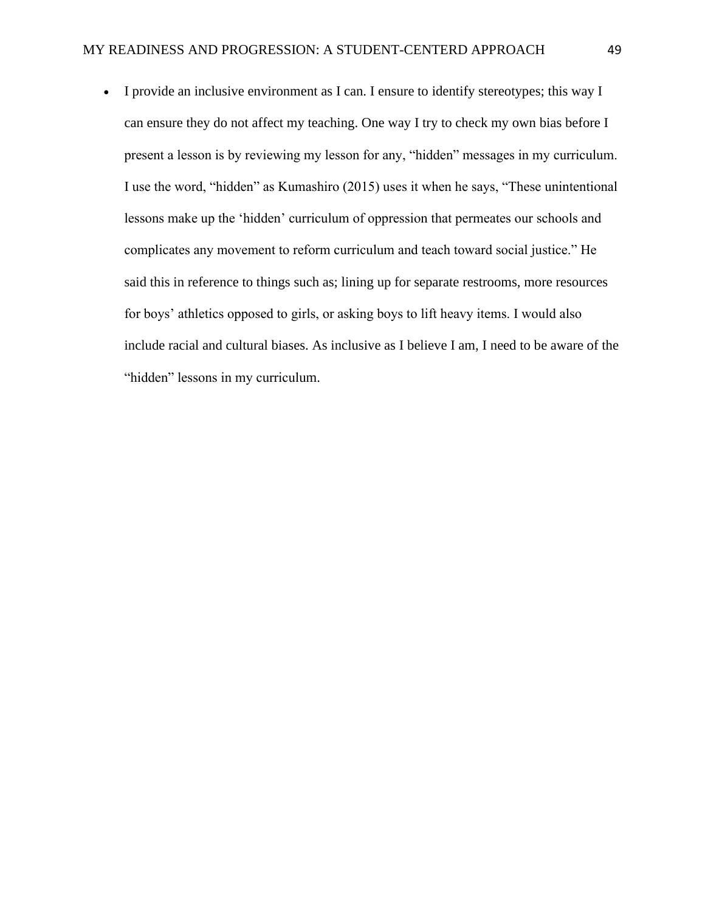• I provide an inclusive environment as I can. I ensure to identify stereotypes; this way I can ensure they do not affect my teaching. One way I try to check my own bias before I present a lesson is by reviewing my lesson for any, "hidden" messages in my curriculum. I use the word, "hidden" as Kumashiro (2015) uses it when he says, "These unintentional lessons make up the 'hidden' curriculum of oppression that permeates our schools and complicates any movement to reform curriculum and teach toward social justice." He said this in reference to things such as; lining up for separate restrooms, more resources for boys' athletics opposed to girls, or asking boys to lift heavy items. I would also include racial and cultural biases. As inclusive as I believe I am, I need to be aware of the "hidden" lessons in my curriculum.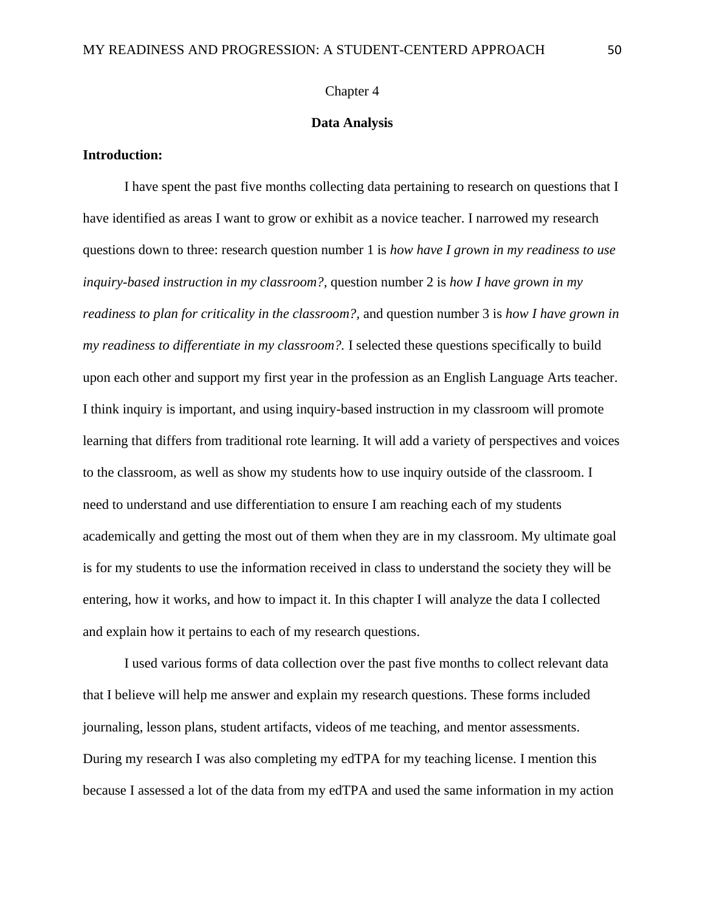#### Chapter 4

#### **Data Analysis**

### **Introduction:**

 I have spent the past five months collecting data pertaining to research on questions that I have identified as areas I want to grow or exhibit as a novice teacher. I narrowed my research questions down to three: research question number 1 is *how have I grown in my readiness to use inquiry-based instruction in my classroom?,* question number 2 is *how I have grown in my readiness to plan for criticality in the classroom?,* and question number 3 is *how I have grown in my readiness to differentiate in my classroom?.* I selected these questions specifically to build upon each other and support my first year in the profession as an English Language Arts teacher. I think inquiry is important, and using inquiry-based instruction in my classroom will promote learning that differs from traditional rote learning. It will add a variety of perspectives and voices to the classroom, as well as show my students how to use inquiry outside of the classroom. I need to understand and use differentiation to ensure I am reaching each of my students academically and getting the most out of them when they are in my classroom. My ultimate goal is for my students to use the information received in class to understand the society they will be entering, how it works, and how to impact it. In this chapter I will analyze the data I collected and explain how it pertains to each of my research questions.

 I used various forms of data collection over the past five months to collect relevant data that I believe will help me answer and explain my research questions. These forms included journaling, lesson plans, student artifacts, videos of me teaching, and mentor assessments. During my research I was also completing my edTPA for my teaching license. I mention this because I assessed a lot of the data from my edTPA and used the same information in my action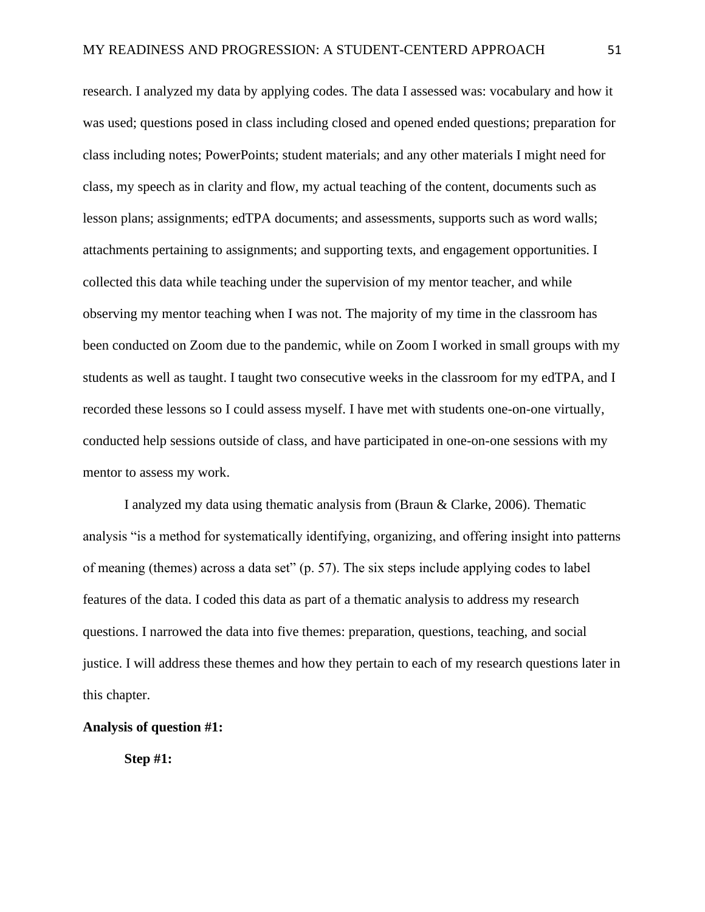research. I analyzed my data by applying codes. The data I assessed was: vocabulary and how it was used; questions posed in class including closed and opened ended questions; preparation for class including notes; PowerPoints; student materials; and any other materials I might need for class, my speech as in clarity and flow, my actual teaching of the content, documents such as lesson plans; assignments; edTPA documents; and assessments, supports such as word walls; attachments pertaining to assignments; and supporting texts, and engagement opportunities. I collected this data while teaching under the supervision of my mentor teacher, and while observing my mentor teaching when I was not. The majority of my time in the classroom has been conducted on Zoom due to the pandemic, while on Zoom I worked in small groups with my students as well as taught. I taught two consecutive weeks in the classroom for my edTPA, and I recorded these lessons so I could assess myself. I have met with students one-on-one virtually, conducted help sessions outside of class, and have participated in one-on-one sessions with my mentor to assess my work.

I analyzed my data using thematic analysis from (Braun & Clarke, 2006). Thematic analysis "is a method for systematically identifying, organizing, and offering insight into patterns of meaning (themes) across a data set" (p. 57). The six steps include applying codes to label features of the data. I coded this data as part of a thematic analysis to address my research questions. I narrowed the data into five themes: preparation, questions, teaching, and social justice. I will address these themes and how they pertain to each of my research questions later in this chapter.

## **Analysis of question #1:**

**Step #1:**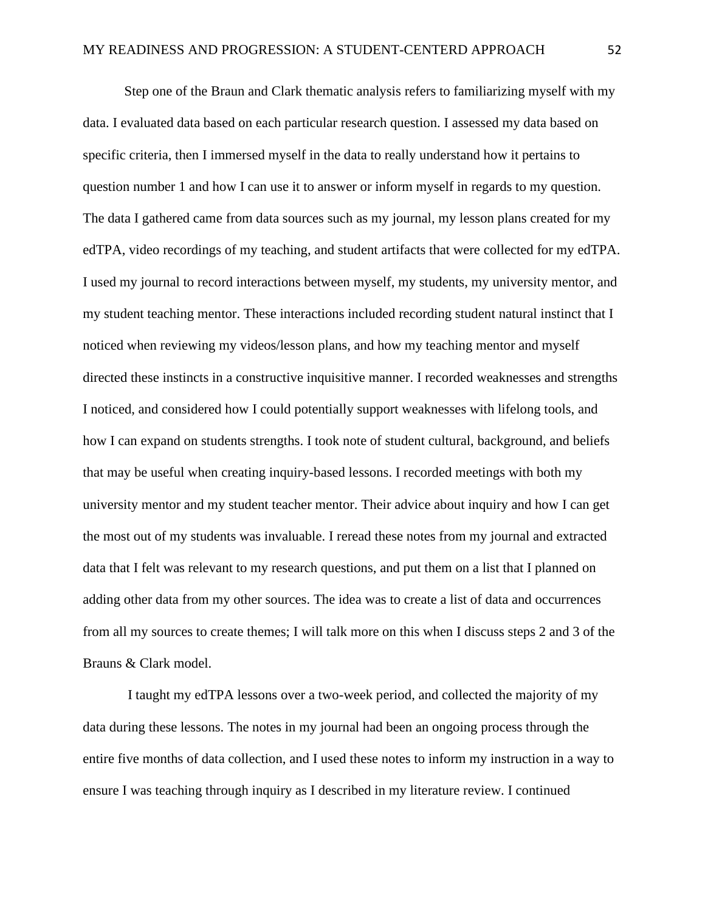Step one of the Braun and Clark thematic analysis refers to familiarizing myself with my data. I evaluated data based on each particular research question. I assessed my data based on specific criteria, then I immersed myself in the data to really understand how it pertains to question number 1 and how I can use it to answer or inform myself in regards to my question. The data I gathered came from data sources such as my journal, my lesson plans created for my edTPA, video recordings of my teaching, and student artifacts that were collected for my edTPA. I used my journal to record interactions between myself, my students, my university mentor, and my student teaching mentor. These interactions included recording student natural instinct that I noticed when reviewing my videos/lesson plans, and how my teaching mentor and myself directed these instincts in a constructive inquisitive manner. I recorded weaknesses and strengths I noticed, and considered how I could potentially support weaknesses with lifelong tools, and how I can expand on students strengths. I took note of student cultural, background, and beliefs that may be useful when creating inquiry-based lessons. I recorded meetings with both my university mentor and my student teacher mentor. Their advice about inquiry and how I can get the most out of my students was invaluable. I reread these notes from my journal and extracted data that I felt was relevant to my research questions, and put them on a list that I planned on adding other data from my other sources. The idea was to create a list of data and occurrences from all my sources to create themes; I will talk more on this when I discuss steps 2 and 3 of the Brauns & Clark model.

I taught my edTPA lessons over a two-week period, and collected the majority of my data during these lessons. The notes in my journal had been an ongoing process through the entire five months of data collection, and I used these notes to inform my instruction in a way to ensure I was teaching through inquiry as I described in my literature review. I continued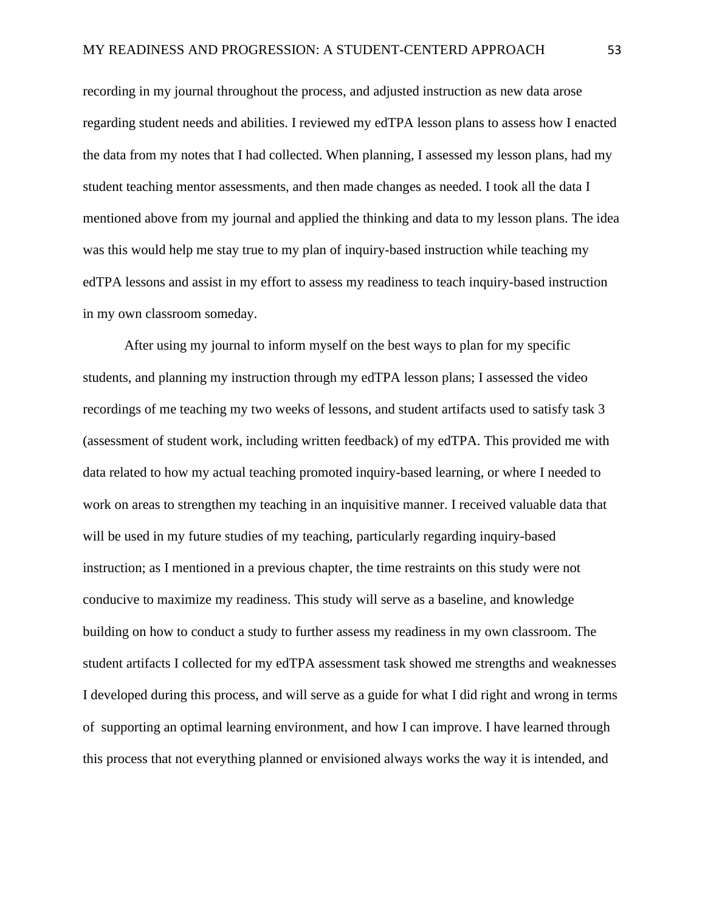recording in my journal throughout the process, and adjusted instruction as new data arose regarding student needs and abilities. I reviewed my edTPA lesson plans to assess how I enacted the data from my notes that I had collected. When planning, I assessed my lesson plans, had my student teaching mentor assessments, and then made changes as needed. I took all the data I mentioned above from my journal and applied the thinking and data to my lesson plans. The idea was this would help me stay true to my plan of inquiry-based instruction while teaching my edTPA lessons and assist in my effort to assess my readiness to teach inquiry-based instruction in my own classroom someday.

After using my journal to inform myself on the best ways to plan for my specific students, and planning my instruction through my edTPA lesson plans; I assessed the video recordings of me teaching my two weeks of lessons, and student artifacts used to satisfy task 3 (assessment of student work, including written feedback) of my edTPA. This provided me with data related to how my actual teaching promoted inquiry-based learning, or where I needed to work on areas to strengthen my teaching in an inquisitive manner. I received valuable data that will be used in my future studies of my teaching, particularly regarding inquiry-based instruction; as I mentioned in a previous chapter, the time restraints on this study were not conducive to maximize my readiness. This study will serve as a baseline, and knowledge building on how to conduct a study to further assess my readiness in my own classroom. The student artifacts I collected for my edTPA assessment task showed me strengths and weaknesses I developed during this process, and will serve as a guide for what I did right and wrong in terms of supporting an optimal learning environment, and how I can improve. I have learned through this process that not everything planned or envisioned always works the way it is intended, and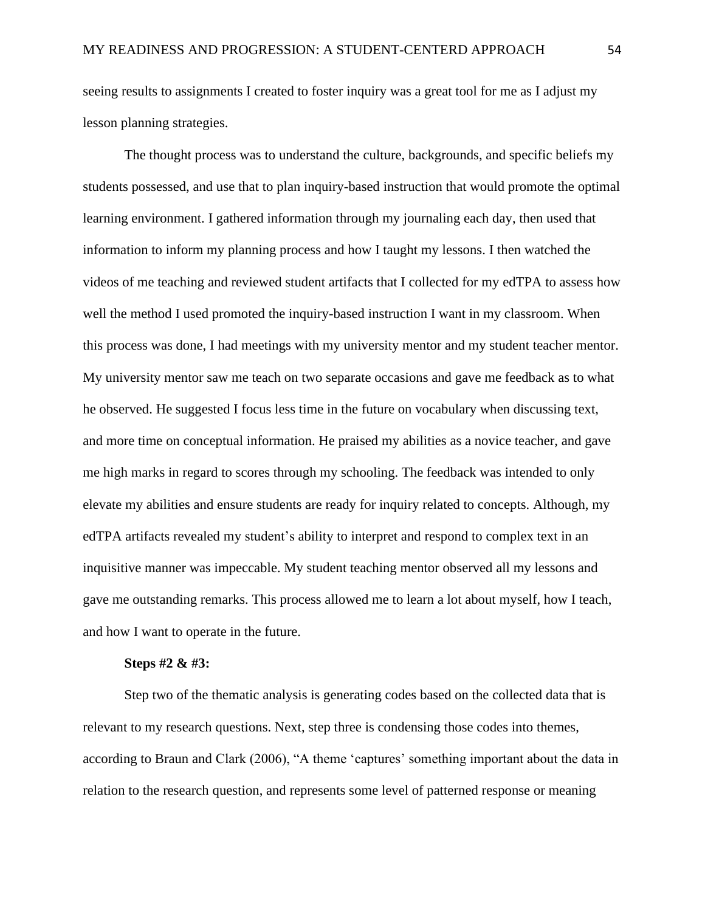seeing results to assignments I created to foster inquiry was a great tool for me as I adjust my lesson planning strategies.

The thought process was to understand the culture, backgrounds, and specific beliefs my students possessed, and use that to plan inquiry-based instruction that would promote the optimal learning environment. I gathered information through my journaling each day, then used that information to inform my planning process and how I taught my lessons. I then watched the videos of me teaching and reviewed student artifacts that I collected for my edTPA to assess how well the method I used promoted the inquiry-based instruction I want in my classroom. When this process was done, I had meetings with my university mentor and my student teacher mentor. My university mentor saw me teach on two separate occasions and gave me feedback as to what he observed. He suggested I focus less time in the future on vocabulary when discussing text, and more time on conceptual information. He praised my abilities as a novice teacher, and gave me high marks in regard to scores through my schooling. The feedback was intended to only elevate my abilities and ensure students are ready for inquiry related to concepts. Although, my edTPA artifacts revealed my student's ability to interpret and respond to complex text in an inquisitive manner was impeccable. My student teaching mentor observed all my lessons and gave me outstanding remarks. This process allowed me to learn a lot about myself, how I teach, and how I want to operate in the future.

#### **Steps #2 & #3:**

Step two of the thematic analysis is generating codes based on the collected data that is relevant to my research questions. Next, step three is condensing those codes into themes, according to Braun and Clark (2006), "A theme 'captures' something important about the data in relation to the research question, and represents some level of patterned response or meaning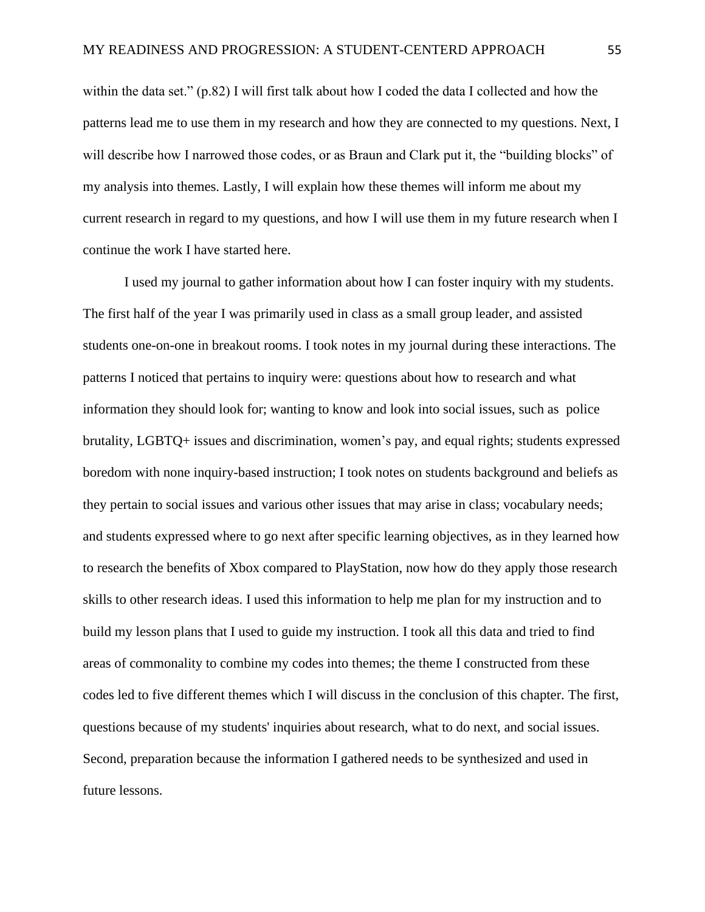within the data set." (p.82) I will first talk about how I coded the data I collected and how the patterns lead me to use them in my research and how they are connected to my questions. Next, I will describe how I narrowed those codes, or as Braun and Clark put it, the "building blocks" of my analysis into themes. Lastly, I will explain how these themes will inform me about my current research in regard to my questions, and how I will use them in my future research when I continue the work I have started here.

I used my journal to gather information about how I can foster inquiry with my students. The first half of the year I was primarily used in class as a small group leader, and assisted students one-on-one in breakout rooms. I took notes in my journal during these interactions. The patterns I noticed that pertains to inquiry were: questions about how to research and what information they should look for; wanting to know and look into social issues, such as police brutality, LGBTQ+ issues and discrimination, women's pay, and equal rights; students expressed boredom with none inquiry-based instruction; I took notes on students background and beliefs as they pertain to social issues and various other issues that may arise in class; vocabulary needs; and students expressed where to go next after specific learning objectives, as in they learned how to research the benefits of Xbox compared to PlayStation, now how do they apply those research skills to other research ideas. I used this information to help me plan for my instruction and to build my lesson plans that I used to guide my instruction. I took all this data and tried to find areas of commonality to combine my codes into themes; the theme I constructed from these codes led to five different themes which I will discuss in the conclusion of this chapter. The first, questions because of my students' inquiries about research, what to do next, and social issues. Second, preparation because the information I gathered needs to be synthesized and used in future lessons.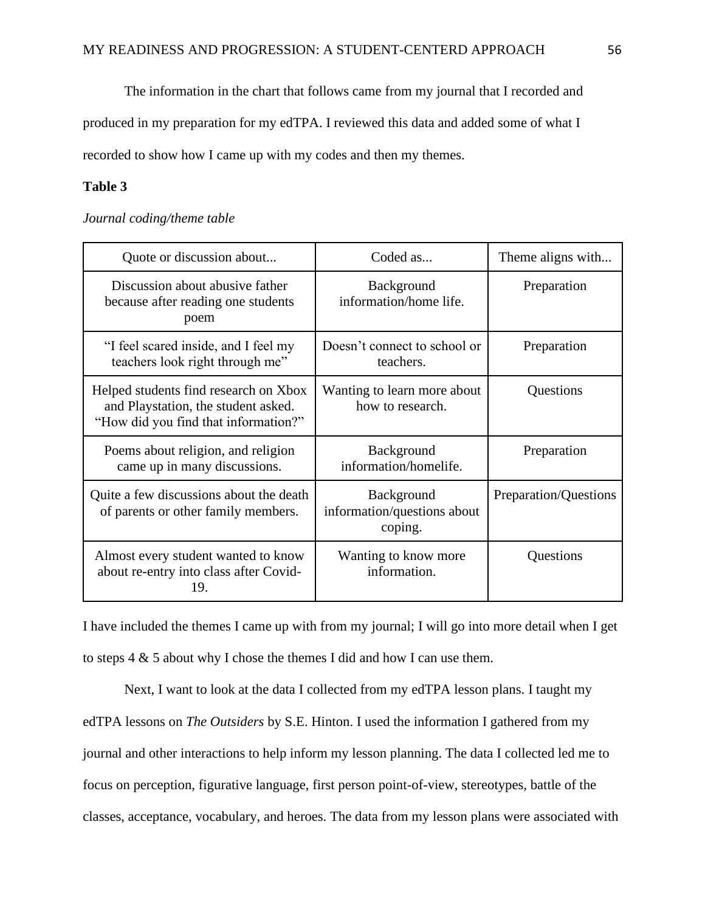The information in the chart that follows came from my journal that I recorded and

produced in my preparation for my edTPA. I reviewed this data and added some of what I recorded to show how I came up with my codes and then my themes.

# **Table 3**

### *Journal coding/theme table*

| Quote or discussion about                                                                                            | Coded as                                             | Theme aligns with     |
|----------------------------------------------------------------------------------------------------------------------|------------------------------------------------------|-----------------------|
| Discussion about abusive father<br>because after reading one students<br>poem                                        | Background<br>information/home life.                 | Preparation           |
| "I feel scared inside, and I feel my<br>teachers look right through me"                                              | Doesn't connect to school or<br>teachers.            | Preparation           |
| Helped students find research on Xbox<br>and Playstation, the student asked.<br>"How did you find that information?" | Wanting to learn more about<br>how to research.      | Questions             |
| Poems about religion, and religion<br>came up in many discussions.                                                   | Background<br>information/homelife.                  | Preparation           |
| Quite a few discussions about the death<br>of parents or other family members.                                       | Background<br>information/questions about<br>coping. | Preparation/Questions |
| Almost every student wanted to know<br>about re-entry into class after Covid-<br>19.                                 | Wanting to know more<br>information.                 | Questions             |

I have included the themes I came up with from my journal; I will go into more detail when I get to steps 4 & 5 about why I chose the themes I did and how I can use them.

Next, I want to look at the data I collected from my edTPA lesson plans. I taught my edTPA lessons on *The Outsiders* by S.E. Hinton. I used the information I gathered from my journal and other interactions to help inform my lesson planning. The data I collected led me to focus on perception, figurative language, first person point-of-view, stereotypes, battle of the classes, acceptance, vocabulary, and heroes. The data from my lesson plans were associated with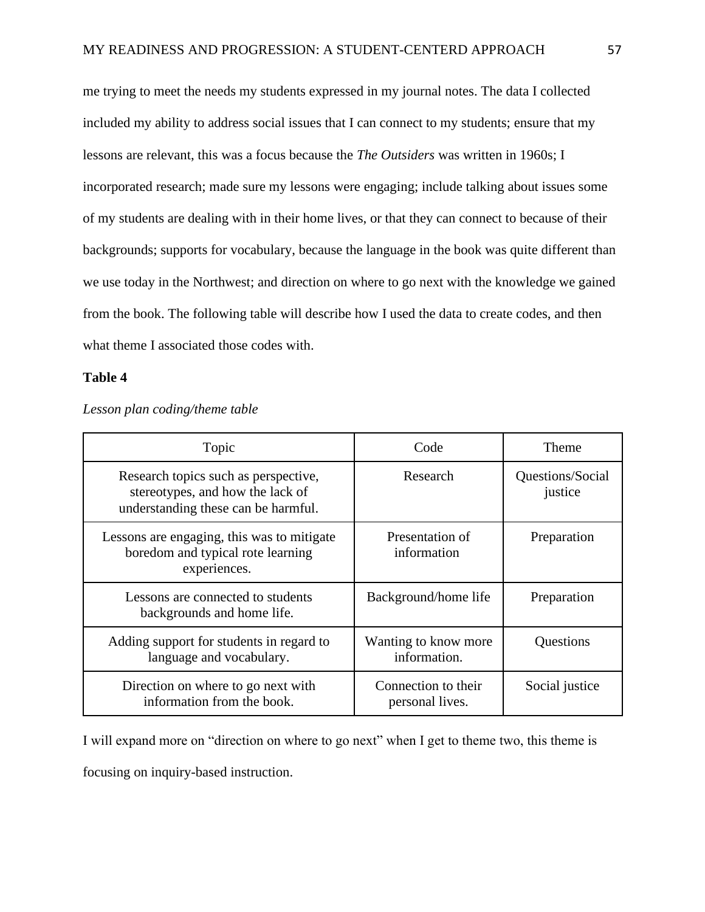me trying to meet the needs my students expressed in my journal notes. The data I collected included my ability to address social issues that I can connect to my students; ensure that my lessons are relevant, this was a focus because the *The Outsiders* was written in 1960s; I incorporated research; made sure my lessons were engaging; include talking about issues some of my students are dealing with in their home lives, or that they can connect to because of their backgrounds; supports for vocabulary, because the language in the book was quite different than we use today in the Northwest; and direction on where to go next with the knowledge we gained from the book. The following table will describe how I used the data to create codes, and then what theme I associated those codes with.

#### **Table 4**

| Topic                                                                                                           | Code                                   | Theme                       |
|-----------------------------------------------------------------------------------------------------------------|----------------------------------------|-----------------------------|
| Research topics such as perspective,<br>stereotypes, and how the lack of<br>understanding these can be harmful. | Research                               | Questions/Social<br>justice |
| Lessons are engaging, this was to mitigate<br>boredom and typical rote learning<br>experiences.                 | Presentation of<br>information         | Preparation                 |
| Lessons are connected to students<br>backgrounds and home life.                                                 | Background/home life                   | Preparation                 |
| Adding support for students in regard to<br>language and vocabulary.                                            | Wanting to know more<br>information.   | Questions                   |
| Direction on where to go next with<br>information from the book.                                                | Connection to their<br>personal lives. | Social justice              |

*Lesson plan coding/theme table*

I will expand more on "direction on where to go next" when I get to theme two, this theme is focusing on inquiry-based instruction.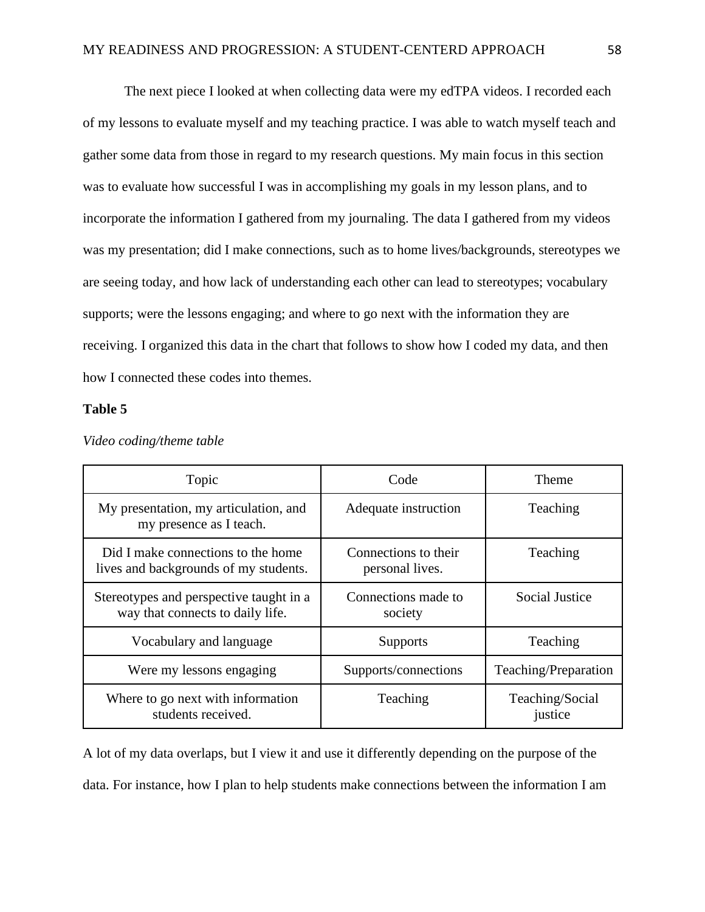The next piece I looked at when collecting data were my edTPA videos. I recorded each of my lessons to evaluate myself and my teaching practice. I was able to watch myself teach and gather some data from those in regard to my research questions. My main focus in this section was to evaluate how successful I was in accomplishing my goals in my lesson plans, and to incorporate the information I gathered from my journaling. The data I gathered from my videos was my presentation; did I make connections, such as to home lives/backgrounds, stereotypes we are seeing today, and how lack of understanding each other can lead to stereotypes; vocabulary supports; were the lessons engaging; and where to go next with the information they are receiving. I organized this data in the chart that follows to show how I coded my data, and then how I connected these codes into themes.

#### **Table 5**

| Topic                                                                       | Code                                    | Theme                      |
|-----------------------------------------------------------------------------|-----------------------------------------|----------------------------|
| My presentation, my articulation, and<br>my presence as I teach.            | Adequate instruction                    | Teaching                   |
| Did I make connections to the home<br>lives and backgrounds of my students. | Connections to their<br>personal lives. | Teaching                   |
| Stereotypes and perspective taught in a<br>way that connects to daily life. | Connections made to<br>society          | <b>Social Justice</b>      |
| Vocabulary and language                                                     | <b>Supports</b>                         | Teaching                   |
| Were my lessons engaging                                                    | Supports/connections                    | Teaching/Preparation       |
| Where to go next with information<br>students received.                     | Teaching                                | Teaching/Social<br>justice |

*Video coding/theme table*

A lot of my data overlaps, but I view it and use it differently depending on the purpose of the data. For instance, how I plan to help students make connections between the information I am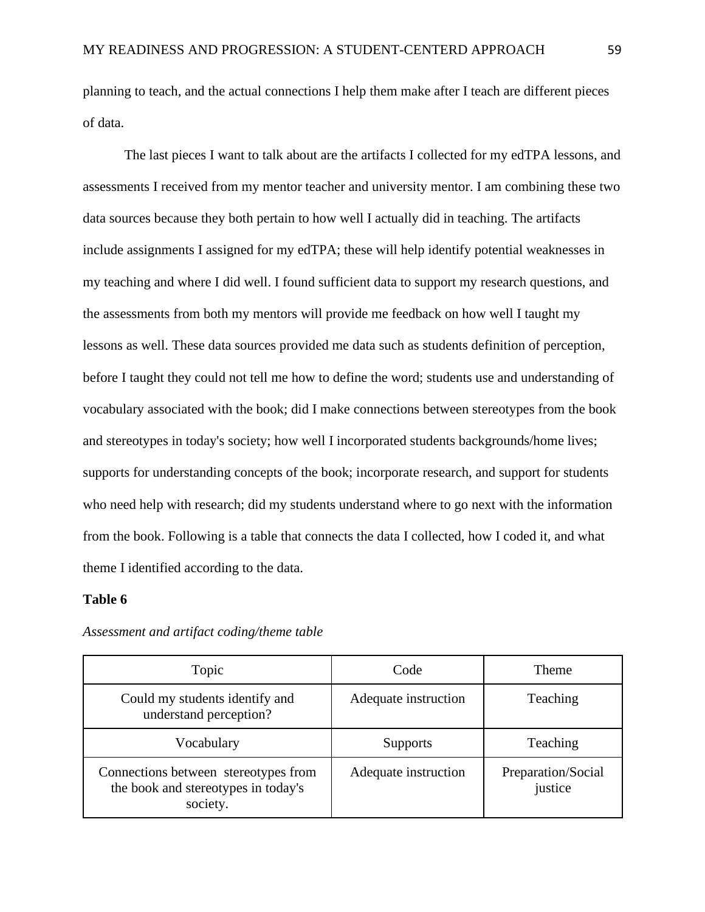planning to teach, and the actual connections I help them make after I teach are different pieces of data.

The last pieces I want to talk about are the artifacts I collected for my edTPA lessons, and assessments I received from my mentor teacher and university mentor. I am combining these two data sources because they both pertain to how well I actually did in teaching. The artifacts include assignments I assigned for my edTPA; these will help identify potential weaknesses in my teaching and where I did well. I found sufficient data to support my research questions, and the assessments from both my mentors will provide me feedback on how well I taught my lessons as well. These data sources provided me data such as students definition of perception, before I taught they could not tell me how to define the word; students use and understanding of vocabulary associated with the book; did I make connections between stereotypes from the book and stereotypes in today's society; how well I incorporated students backgrounds/home lives; supports for understanding concepts of the book; incorporate research, and support for students who need help with research; did my students understand where to go next with the information from the book. Following is a table that connects the data I collected, how I coded it, and what theme I identified according to the data.

#### **Table 6**

| Topic                                                                                   | Code                 | <b>Theme</b>                  |
|-----------------------------------------------------------------------------------------|----------------------|-------------------------------|
| Could my students identify and<br>understand perception?                                | Adequate instruction | Teaching                      |
| Vocabulary                                                                              | <b>Supports</b>      | Teaching                      |
| Connections between stereotypes from<br>the book and stereotypes in today's<br>society. | Adequate instruction | Preparation/Social<br>justice |

*Assessment and artifact coding/theme table*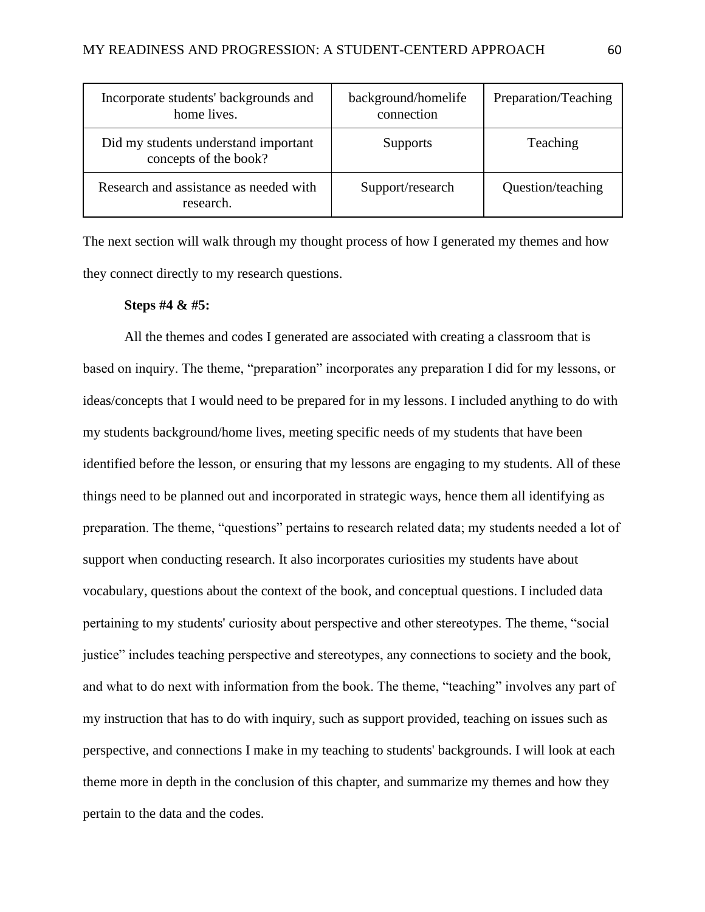| Incorporate students' backgrounds and<br>home lives.          | background/homelife<br>connection | Preparation/Teaching |
|---------------------------------------------------------------|-----------------------------------|----------------------|
| Did my students understand important<br>concepts of the book? | <b>Supports</b>                   | Teaching             |
| Research and assistance as needed with<br>research.           | Support/research                  | Question/teaching    |

The next section will walk through my thought process of how I generated my themes and how they connect directly to my research questions.

### **Steps #4 & #5:**

All the themes and codes I generated are associated with creating a classroom that is based on inquiry. The theme, "preparation" incorporates any preparation I did for my lessons, or ideas/concepts that I would need to be prepared for in my lessons. I included anything to do with my students background/home lives, meeting specific needs of my students that have been identified before the lesson, or ensuring that my lessons are engaging to my students. All of these things need to be planned out and incorporated in strategic ways, hence them all identifying as preparation. The theme, "questions" pertains to research related data; my students needed a lot of support when conducting research. It also incorporates curiosities my students have about vocabulary, questions about the context of the book, and conceptual questions. I included data pertaining to my students' curiosity about perspective and other stereotypes. The theme, "social justice" includes teaching perspective and stereotypes, any connections to society and the book, and what to do next with information from the book. The theme, "teaching" involves any part of my instruction that has to do with inquiry, such as support provided, teaching on issues such as perspective, and connections I make in my teaching to students' backgrounds. I will look at each theme more in depth in the conclusion of this chapter, and summarize my themes and how they pertain to the data and the codes.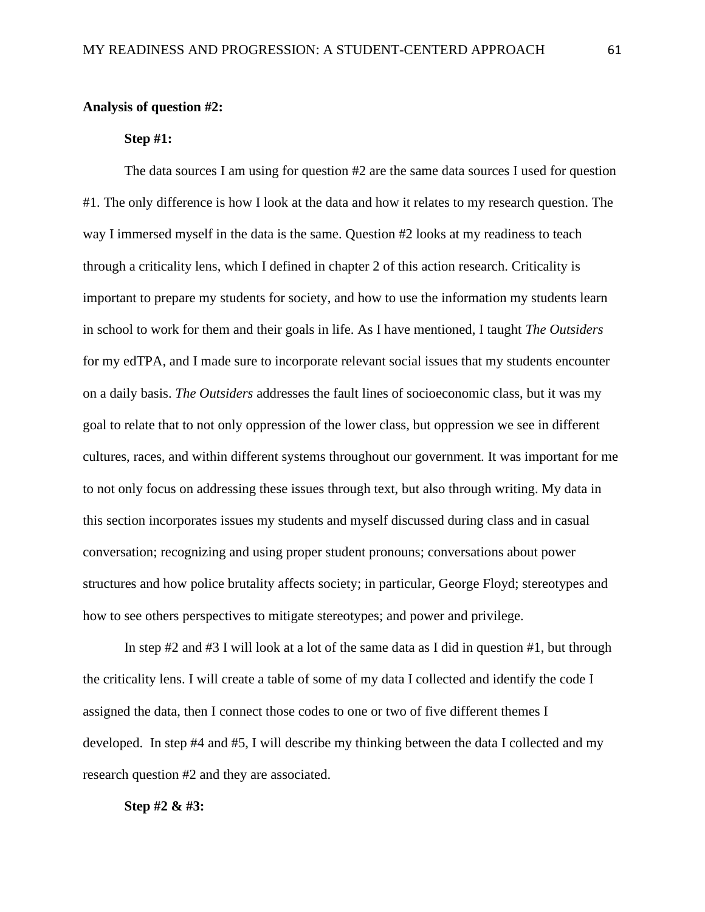### **Analysis of question #2:**

# **Step #1:**

The data sources I am using for question #2 are the same data sources I used for question #1. The only difference is how I look at the data and how it relates to my research question. The way I immersed myself in the data is the same. Question #2 looks at my readiness to teach through a criticality lens, which I defined in chapter 2 of this action research. Criticality is important to prepare my students for society, and how to use the information my students learn in school to work for them and their goals in life. As I have mentioned, I taught *The Outsiders* for my edTPA, and I made sure to incorporate relevant social issues that my students encounter on a daily basis. *The Outsiders* addresses the fault lines of socioeconomic class, but it was my goal to relate that to not only oppression of the lower class, but oppression we see in different cultures, races, and within different systems throughout our government. It was important for me to not only focus on addressing these issues through text, but also through writing. My data in this section incorporates issues my students and myself discussed during class and in casual conversation; recognizing and using proper student pronouns; conversations about power structures and how police brutality affects society; in particular, George Floyd; stereotypes and how to see others perspectives to mitigate stereotypes; and power and privilege.

In step  $\#2$  and  $\#3$  I will look at a lot of the same data as I did in question  $\#1$ , but through the criticality lens. I will create a table of some of my data I collected and identify the code I assigned the data, then I connect those codes to one or two of five different themes I developed. In step #4 and #5, I will describe my thinking between the data I collected and my research question #2 and they are associated.

### **Step #2 & #3:**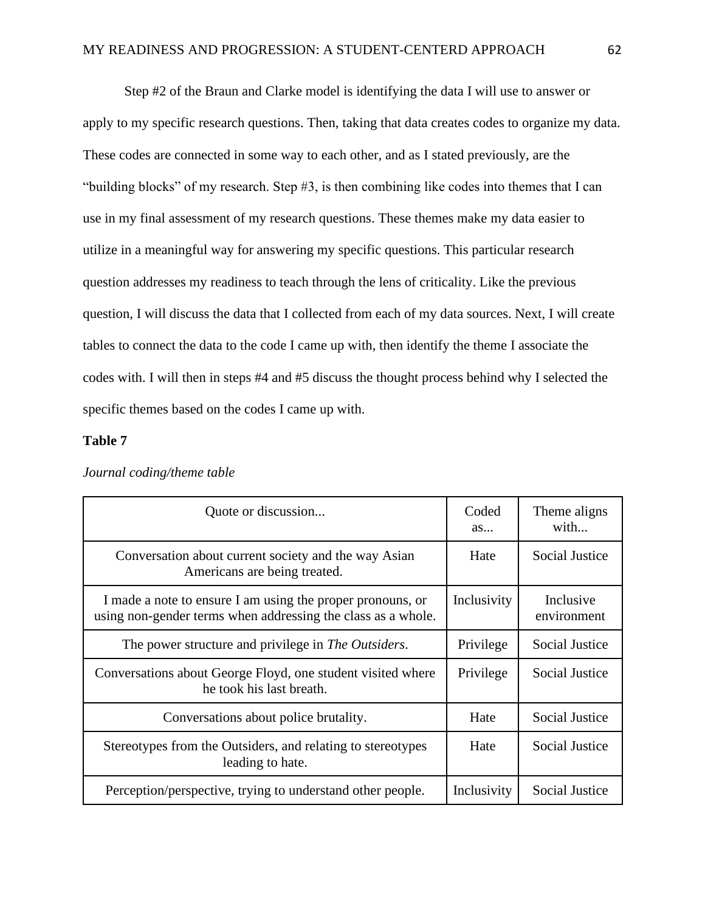Step #2 of the Braun and Clarke model is identifying the data I will use to answer or apply to my specific research questions. Then, taking that data creates codes to organize my data. These codes are connected in some way to each other, and as I stated previously, are the "building blocks" of my research. Step #3, is then combining like codes into themes that I can use in my final assessment of my research questions. These themes make my data easier to utilize in a meaningful way for answering my specific questions. This particular research question addresses my readiness to teach through the lens of criticality. Like the previous question, I will discuss the data that I collected from each of my data sources. Next, I will create tables to connect the data to the code I came up with, then identify the theme I associate the codes with. I will then in steps #4 and #5 discuss the thought process behind why I selected the specific themes based on the codes I came up with.

### **Table 7**

| Quote or discussion                                                                                                        | Coded<br>as | Theme aligns<br>with     |
|----------------------------------------------------------------------------------------------------------------------------|-------------|--------------------------|
| Conversation about current society and the way Asian<br>Americans are being treated.                                       | Hate        | <b>Social Justice</b>    |
| I made a note to ensure I am using the proper pronouns, or<br>using non-gender terms when addressing the class as a whole. | Inclusivity | Inclusive<br>environment |
| The power structure and privilege in The Outsiders.                                                                        | Privilege   | <b>Social Justice</b>    |
| Conversations about George Floyd, one student visited where<br>he took his last breath.                                    | Privilege   | Social Justice           |
| Conversations about police brutality.                                                                                      | Hate        | <b>Social Justice</b>    |
| Stereotypes from the Outsiders, and relating to stereotypes<br>leading to hate.                                            | Hate        | Social Justice           |
| Perception/perspective, trying to understand other people.                                                                 | Inclusivity | <b>Social Justice</b>    |

*Journal coding/theme table*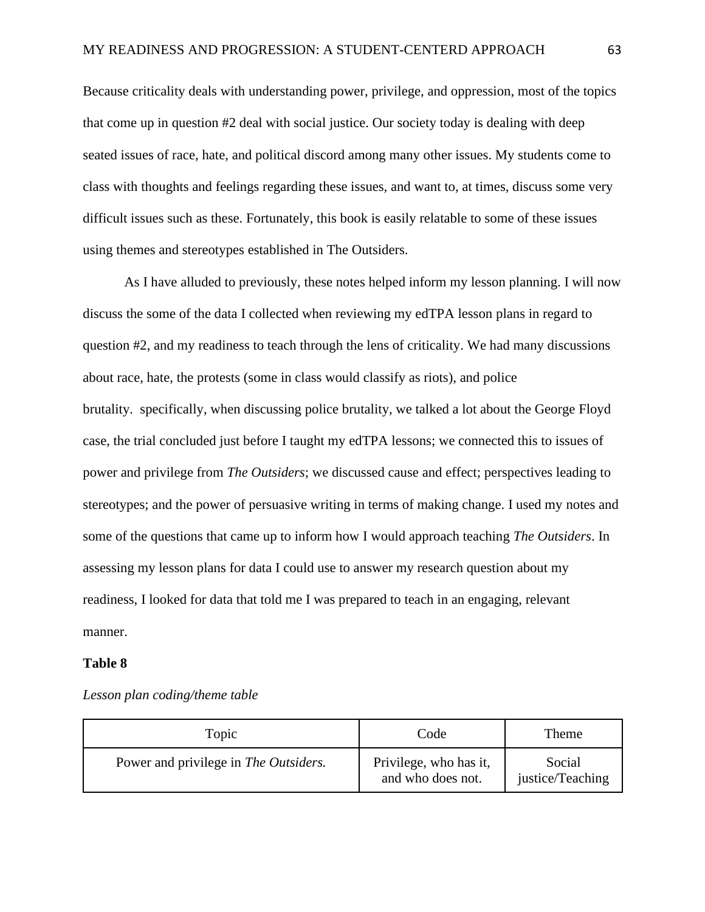Because criticality deals with understanding power, privilege, and oppression, most of the topics that come up in question #2 deal with social justice. Our society today is dealing with deep seated issues of race, hate, and political discord among many other issues. My students come to class with thoughts and feelings regarding these issues, and want to, at times, discuss some very difficult issues such as these. Fortunately, this book is easily relatable to some of these issues using themes and stereotypes established in The Outsiders.

As I have alluded to previously, these notes helped inform my lesson planning. I will now discuss the some of the data I collected when reviewing my edTPA lesson plans in regard to question #2, and my readiness to teach through the lens of criticality. We had many discussions about race, hate, the protests (some in class would classify as riots), and police brutality. specifically, when discussing police brutality, we talked a lot about the George Floyd case, the trial concluded just before I taught my edTPA lessons; we connected this to issues of power and privilege from *The Outsiders*; we discussed cause and effect; perspectives leading to stereotypes; and the power of persuasive writing in terms of making change. I used my notes and some of the questions that came up to inform how I would approach teaching *The Outsiders*. In assessing my lesson plans for data I could use to answer my research question about my readiness, I looked for data that told me I was prepared to teach in an engaging, relevant manner.

#### **Table 8**

| Topic                                 | Code                                        | Theme                      |
|---------------------------------------|---------------------------------------------|----------------------------|
| Power and privilege in The Outsiders. | Privilege, who has it,<br>and who does not. | Social<br>justice/Teaching |

*Lesson plan coding/theme table*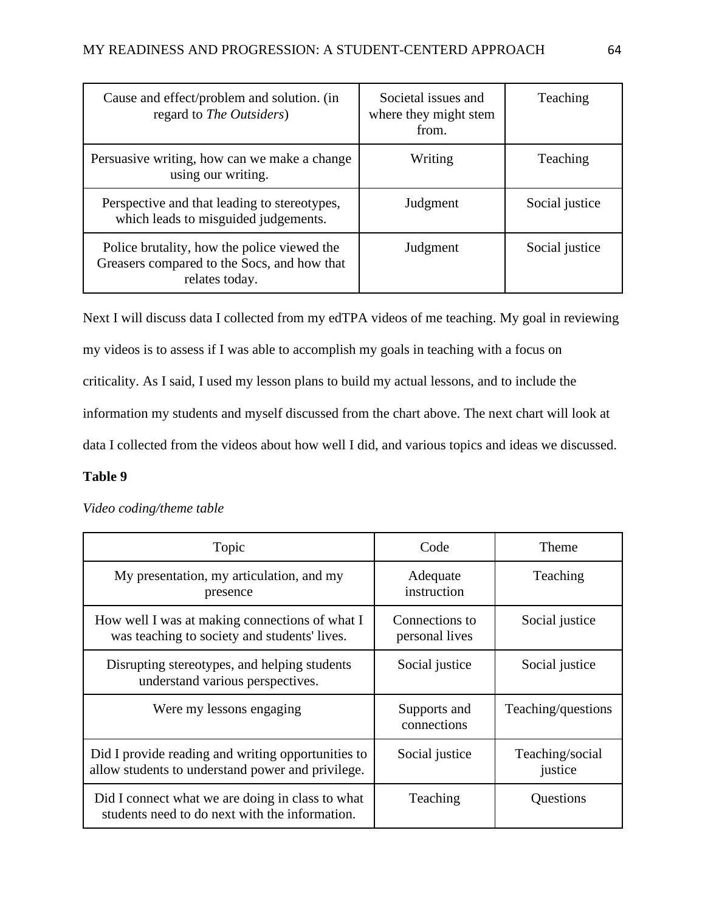| Cause and effect/problem and solution. (in<br>regard to <i>The Outsiders</i> )                               | Societal issues and<br>where they might stem<br>from. | Teaching       |
|--------------------------------------------------------------------------------------------------------------|-------------------------------------------------------|----------------|
| Persuasive writing, how can we make a change<br>using our writing.                                           | Writing                                               | Teaching       |
| Perspective and that leading to stereotypes,<br>which leads to misguided judgements.                         | Judgment                                              | Social justice |
| Police brutality, how the police viewed the<br>Greasers compared to the Socs, and how that<br>relates today. | Judgment                                              | Social justice |

Next I will discuss data I collected from my edTPA videos of me teaching. My goal in reviewing my videos is to assess if I was able to accomplish my goals in teaching with a focus on criticality. As I said, I used my lesson plans to build my actual lessons, and to include the information my students and myself discussed from the chart above. The next chart will look at data I collected from the videos about how well I did, and various topics and ideas we discussed.

# **Table 9**

# *Video coding/theme table*

| Topic                                                                                                   | Code                             | <b>Theme</b>               |
|---------------------------------------------------------------------------------------------------------|----------------------------------|----------------------------|
| My presentation, my articulation, and my<br>presence                                                    | Adequate<br>instruction          | Teaching                   |
| How well I was at making connections of what I<br>was teaching to society and students' lives.          | Connections to<br>personal lives | Social justice             |
| Disrupting stereotypes, and helping students<br>understand various perspectives.                        | Social justice                   | Social justice             |
| Were my lessons engaging                                                                                | Supports and<br>connections      | Teaching/questions         |
| Did I provide reading and writing opportunities to<br>allow students to understand power and privilege. | Social justice                   | Teaching/social<br>justice |
| Did I connect what we are doing in class to what<br>students need to do next with the information.      | Teaching                         | Questions                  |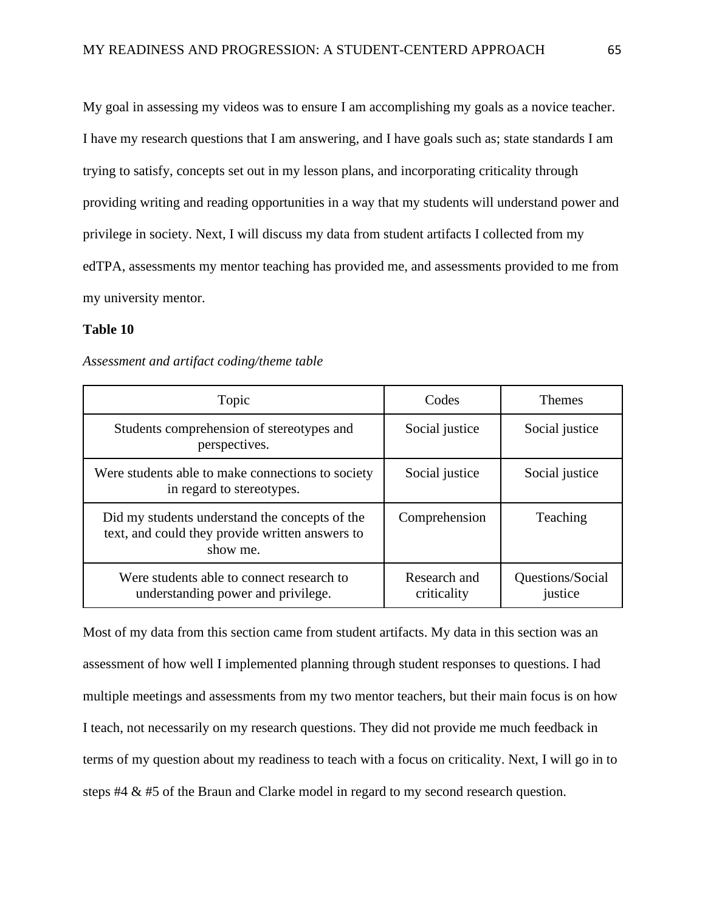My goal in assessing my videos was to ensure I am accomplishing my goals as a novice teacher. I have my research questions that I am answering, and I have goals such as; state standards I am trying to satisfy, concepts set out in my lesson plans, and incorporating criticality through providing writing and reading opportunities in a way that my students will understand power and privilege in society. Next, I will discuss my data from student artifacts I collected from my edTPA, assessments my mentor teaching has provided me, and assessments provided to me from my university mentor.

# **Table 10**

### *Assessment and artifact coding/theme table*

| Topic                                                                                                         | Codes                       | <b>Themes</b>               |
|---------------------------------------------------------------------------------------------------------------|-----------------------------|-----------------------------|
| Students comprehension of stereotypes and<br>perspectives.                                                    | Social justice              | Social justice              |
| Were students able to make connections to society<br>in regard to stereotypes.                                | Social justice              | Social justice              |
| Did my students understand the concepts of the<br>text, and could they provide written answers to<br>show me. | Comprehension               | Teaching                    |
| Were students able to connect research to<br>understanding power and privilege.                               | Research and<br>criticality | Questions/Social<br>justice |

Most of my data from this section came from student artifacts. My data in this section was an assessment of how well I implemented planning through student responses to questions. I had multiple meetings and assessments from my two mentor teachers, but their main focus is on how I teach, not necessarily on my research questions. They did not provide me much feedback in terms of my question about my readiness to teach with a focus on criticality. Next, I will go in to steps #4 & #5 of the Braun and Clarke model in regard to my second research question.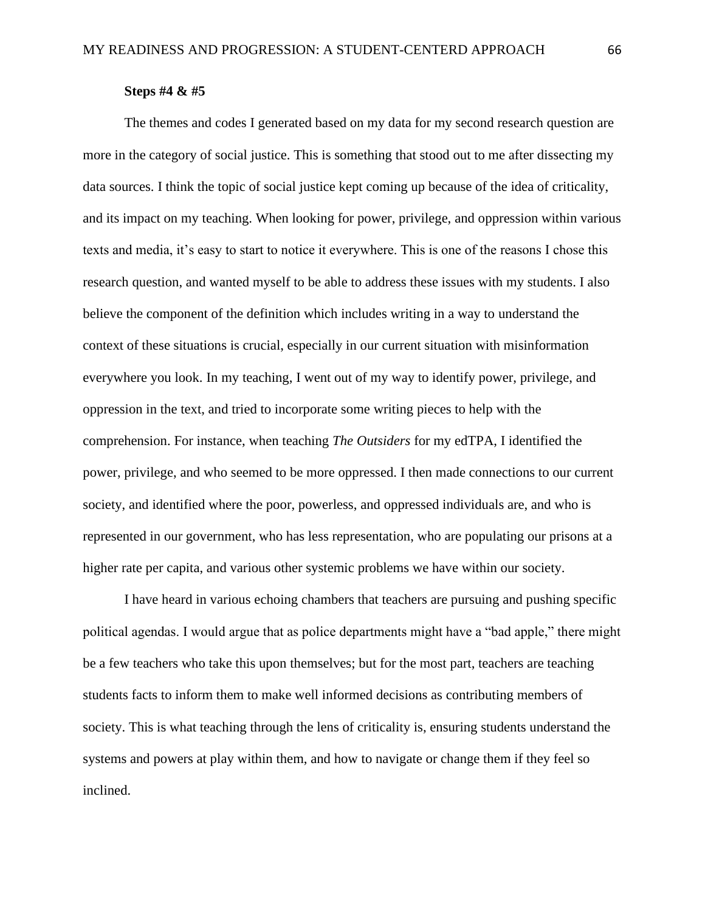## **Steps #4 & #5**

The themes and codes I generated based on my data for my second research question are more in the category of social justice. This is something that stood out to me after dissecting my data sources. I think the topic of social justice kept coming up because of the idea of criticality, and its impact on my teaching. When looking for power, privilege, and oppression within various texts and media, it's easy to start to notice it everywhere. This is one of the reasons I chose this research question, and wanted myself to be able to address these issues with my students. I also believe the component of the definition which includes writing in a way to understand the context of these situations is crucial, especially in our current situation with misinformation everywhere you look. In my teaching, I went out of my way to identify power, privilege, and oppression in the text, and tried to incorporate some writing pieces to help with the comprehension. For instance, when teaching *The Outsiders* for my edTPA, I identified the power, privilege, and who seemed to be more oppressed. I then made connections to our current society, and identified where the poor, powerless, and oppressed individuals are, and who is represented in our government, who has less representation, who are populating our prisons at a higher rate per capita, and various other systemic problems we have within our society.

I have heard in various echoing chambers that teachers are pursuing and pushing specific political agendas. I would argue that as police departments might have a "bad apple," there might be a few teachers who take this upon themselves; but for the most part, teachers are teaching students facts to inform them to make well informed decisions as contributing members of society. This is what teaching through the lens of criticality is, ensuring students understand the systems and powers at play within them, and how to navigate or change them if they feel so inclined.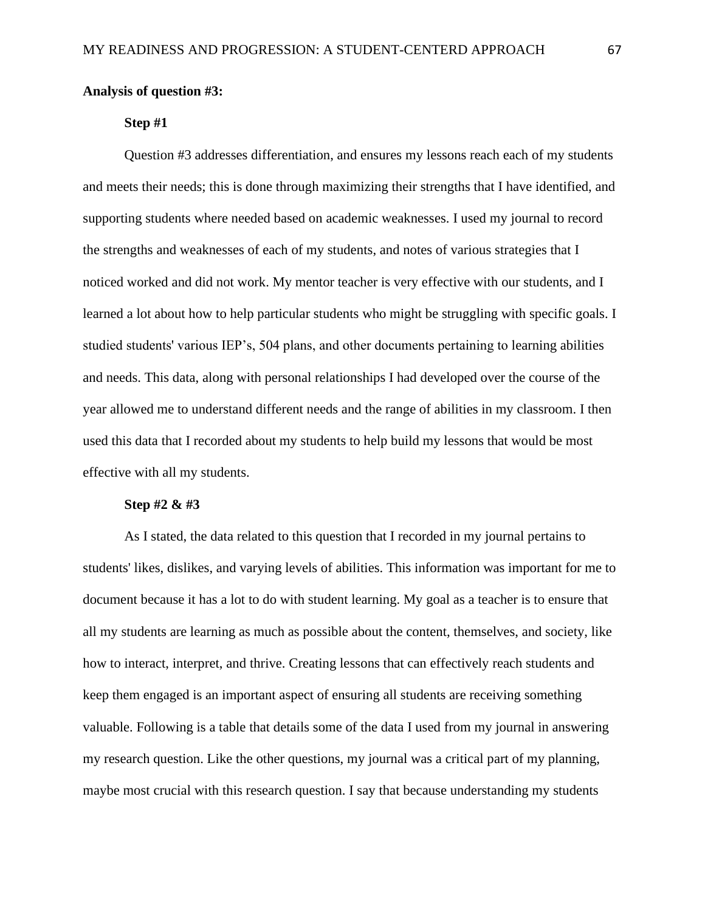## **Analysis of question #3:**

## **Step #1**

Question #3 addresses differentiation, and ensures my lessons reach each of my students and meets their needs; this is done through maximizing their strengths that I have identified, and supporting students where needed based on academic weaknesses. I used my journal to record the strengths and weaknesses of each of my students, and notes of various strategies that I noticed worked and did not work. My mentor teacher is very effective with our students, and I learned a lot about how to help particular students who might be struggling with specific goals. I studied students' various IEP's, 504 plans, and other documents pertaining to learning abilities and needs. This data, along with personal relationships I had developed over the course of the year allowed me to understand different needs and the range of abilities in my classroom. I then used this data that I recorded about my students to help build my lessons that would be most effective with all my students.

#### **Step #2 & #3**

As I stated, the data related to this question that I recorded in my journal pertains to students' likes, dislikes, and varying levels of abilities. This information was important for me to document because it has a lot to do with student learning. My goal as a teacher is to ensure that all my students are learning as much as possible about the content, themselves, and society, like how to interact, interpret, and thrive. Creating lessons that can effectively reach students and keep them engaged is an important aspect of ensuring all students are receiving something valuable. Following is a table that details some of the data I used from my journal in answering my research question. Like the other questions, my journal was a critical part of my planning, maybe most crucial with this research question. I say that because understanding my students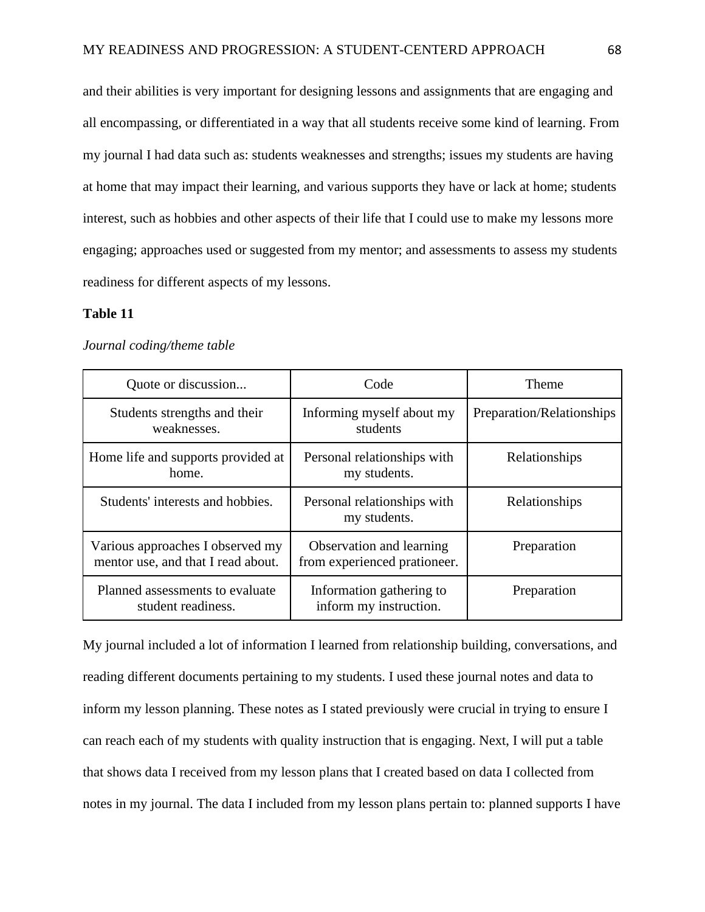and their abilities is very important for designing lessons and assignments that are engaging and all encompassing, or differentiated in a way that all students receive some kind of learning. From my journal I had data such as: students weaknesses and strengths; issues my students are having at home that may impact their learning, and various supports they have or lack at home; students interest, such as hobbies and other aspects of their life that I could use to make my lessons more engaging; approaches used or suggested from my mentor; and assessments to assess my students readiness for different aspects of my lessons.

### **Table 11**

#### *Journal coding/theme table*

| Quote or discussion                                                    | Code                                                     | Theme                     |
|------------------------------------------------------------------------|----------------------------------------------------------|---------------------------|
| Students strengths and their<br>weaknesses.                            | Informing myself about my<br>students                    | Preparation/Relationships |
| Home life and supports provided at<br>home.                            | Personal relationships with<br>my students.              | Relationships             |
| Students' interests and hobbies.                                       | Personal relationships with<br>my students.              | Relationships             |
| Various approaches I observed my<br>mentor use, and that I read about. | Observation and learning<br>from experienced prationeer. | Preparation               |
| Planned assessments to evaluate<br>student readiness.                  | Information gathering to<br>inform my instruction.       | Preparation               |

My journal included a lot of information I learned from relationship building, conversations, and reading different documents pertaining to my students. I used these journal notes and data to inform my lesson planning. These notes as I stated previously were crucial in trying to ensure I can reach each of my students with quality instruction that is engaging. Next, I will put a table that shows data I received from my lesson plans that I created based on data I collected from notes in my journal. The data I included from my lesson plans pertain to: planned supports I have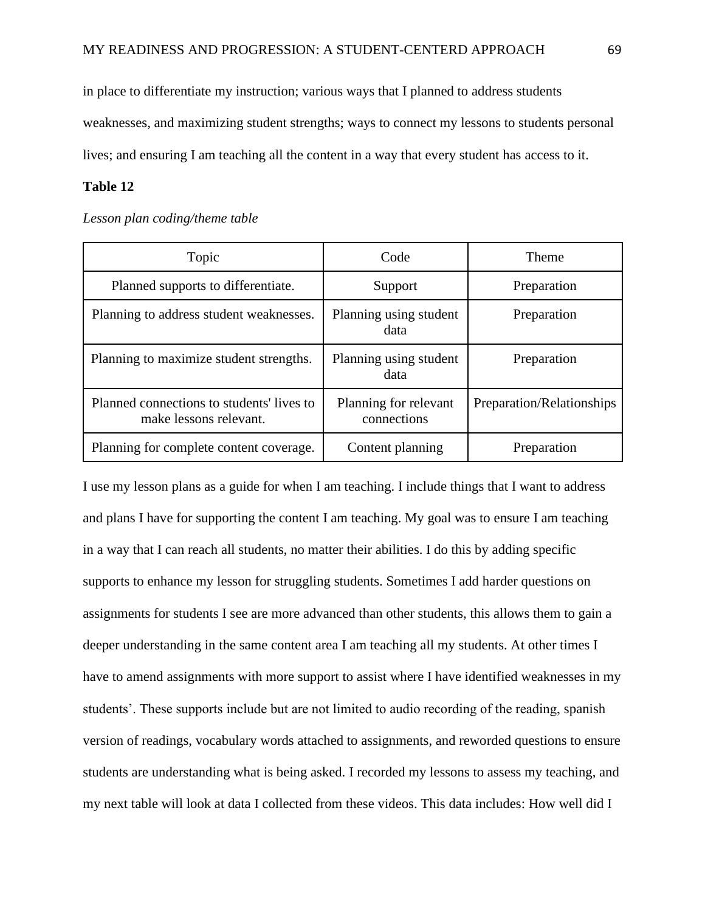in place to differentiate my instruction; various ways that I planned to address students weaknesses, and maximizing student strengths; ways to connect my lessons to students personal lives; and ensuring I am teaching all the content in a way that every student has access to it.

## **Table 12**

#### *Lesson plan coding/theme table*

| Topic                                                               | Code                                 | Theme                     |  |
|---------------------------------------------------------------------|--------------------------------------|---------------------------|--|
| Planned supports to differentiate.                                  | Support                              | Preparation               |  |
| Planning to address student weaknesses.                             | Planning using student<br>data       | Preparation               |  |
| Planning to maximize student strengths.                             | Planning using student<br>data       | Preparation               |  |
| Planned connections to students' lives to<br>make lessons relevant. | Planning for relevant<br>connections | Preparation/Relationships |  |
| Planning for complete content coverage.                             | Content planning                     | Preparation               |  |

I use my lesson plans as a guide for when I am teaching. I include things that I want to address and plans I have for supporting the content I am teaching. My goal was to ensure I am teaching in a way that I can reach all students, no matter their abilities. I do this by adding specific supports to enhance my lesson for struggling students. Sometimes I add harder questions on assignments for students I see are more advanced than other students, this allows them to gain a deeper understanding in the same content area I am teaching all my students. At other times I have to amend assignments with more support to assist where I have identified weaknesses in my students'. These supports include but are not limited to audio recording of the reading, spanish version of readings, vocabulary words attached to assignments, and reworded questions to ensure students are understanding what is being asked. I recorded my lessons to assess my teaching, and my next table will look at data I collected from these videos. This data includes: How well did I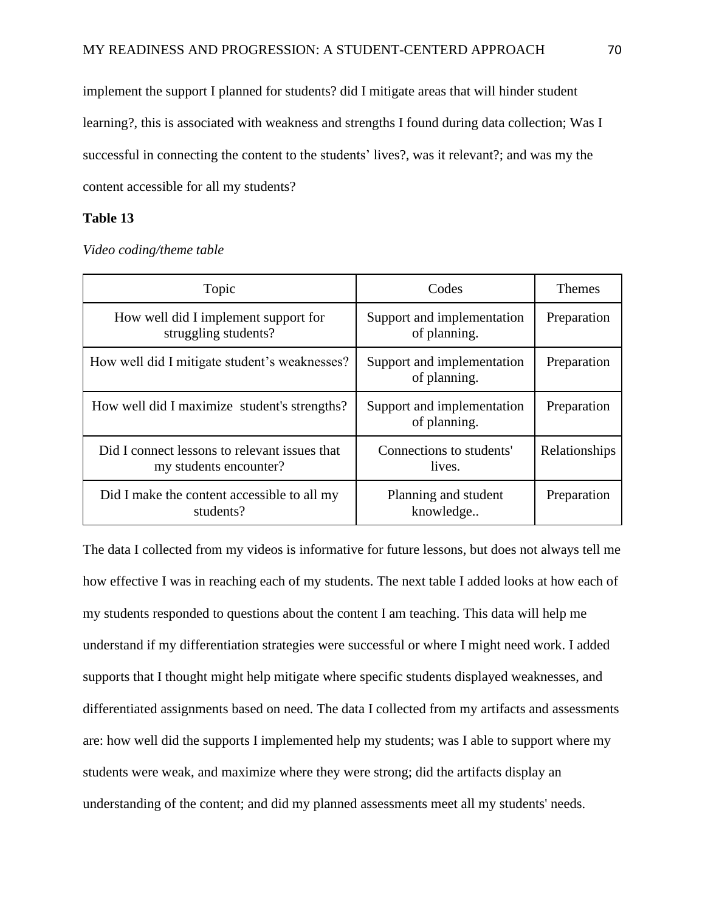implement the support I planned for students? did I mitigate areas that will hinder student learning?, this is associated with weakness and strengths I found during data collection; Was I successful in connecting the content to the students' lives?, was it relevant?; and was my the content accessible for all my students?

## **Table 13**

*Video coding/theme table*

| Topic                                                                   | Codes                                      | <b>Themes</b> |
|-------------------------------------------------------------------------|--------------------------------------------|---------------|
| How well did I implement support for<br>struggling students?            | Support and implementation<br>of planning. | Preparation   |
| How well did I mitigate student's weaknesses?                           | Support and implementation<br>of planning. | Preparation   |
| How well did I maximize student's strengths?                            | Support and implementation<br>of planning. | Preparation   |
| Did I connect lessons to relevant issues that<br>my students encounter? | Connections to students'<br>lives.         | Relationships |
| Did I make the content accessible to all my<br>students?                | Planning and student<br>knowledge          | Preparation   |

The data I collected from my videos is informative for future lessons, but does not always tell me how effective I was in reaching each of my students. The next table I added looks at how each of my students responded to questions about the content I am teaching. This data will help me understand if my differentiation strategies were successful or where I might need work. I added supports that I thought might help mitigate where specific students displayed weaknesses, and differentiated assignments based on need. The data I collected from my artifacts and assessments are: how well did the supports I implemented help my students; was I able to support where my students were weak, and maximize where they were strong; did the artifacts display an understanding of the content; and did my planned assessments meet all my students' needs.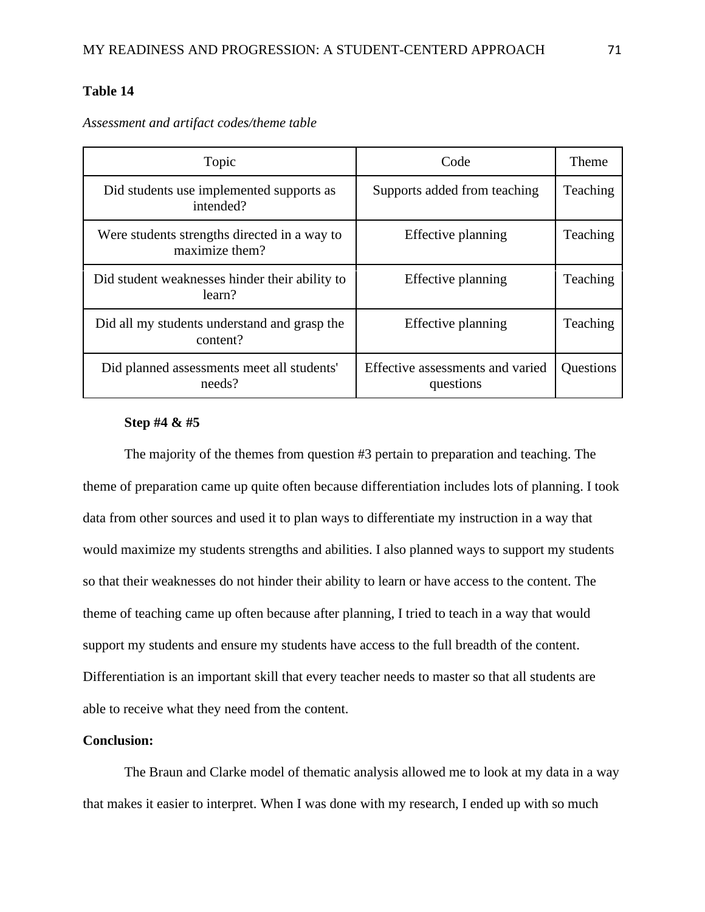# **Table 14**

*Assessment and artifact codes/theme table*

| Topic                                                          | Code                                          | <b>Theme</b> |
|----------------------------------------------------------------|-----------------------------------------------|--------------|
| Did students use implemented supports as<br>intended?          | Supports added from teaching                  | Teaching     |
| Were students strengths directed in a way to<br>maximize them? | Effective planning                            | Teaching     |
| Did student weaknesses hinder their ability to<br>learn?       | Effective planning                            | Teaching     |
| Did all my students understand and grasp the<br>content?       | Effective planning                            | Teaching     |
| Did planned assessments meet all students'<br>needs?           | Effective assessments and varied<br>questions | Questions    |

# **Step #4 & #5**

The majority of the themes from question #3 pertain to preparation and teaching. The theme of preparation came up quite often because differentiation includes lots of planning. I took data from other sources and used it to plan ways to differentiate my instruction in a way that would maximize my students strengths and abilities. I also planned ways to support my students so that their weaknesses do not hinder their ability to learn or have access to the content. The theme of teaching came up often because after planning, I tried to teach in a way that would support my students and ensure my students have access to the full breadth of the content. Differentiation is an important skill that every teacher needs to master so that all students are able to receive what they need from the content.

## **Conclusion:**

The Braun and Clarke model of thematic analysis allowed me to look at my data in a way that makes it easier to interpret. When I was done with my research, I ended up with so much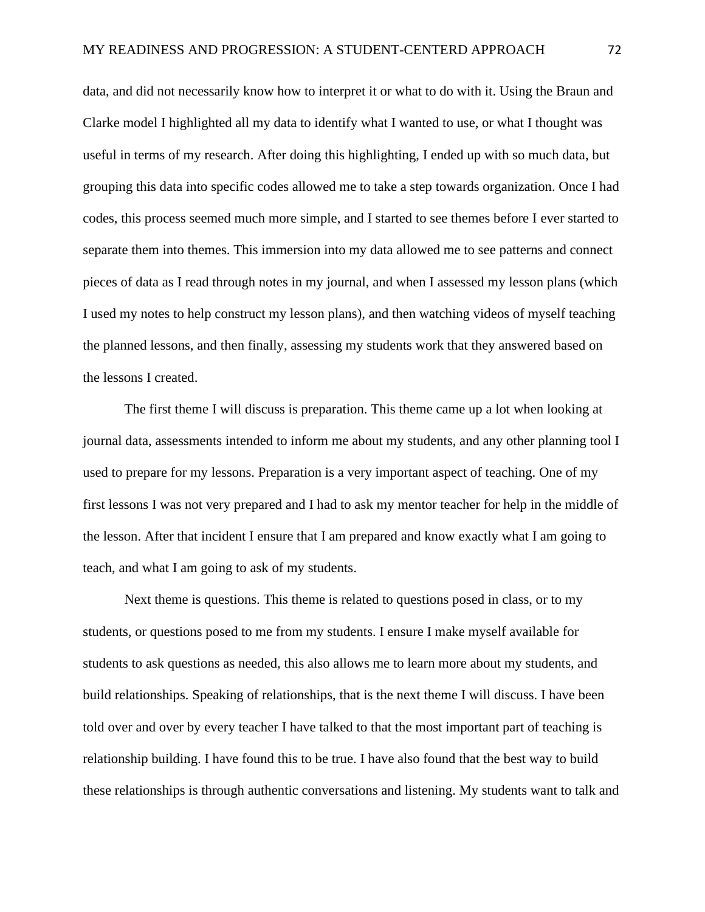data, and did not necessarily know how to interpret it or what to do with it. Using the Braun and Clarke model I highlighted all my data to identify what I wanted to use, or what I thought was useful in terms of my research. After doing this highlighting, I ended up with so much data, but grouping this data into specific codes allowed me to take a step towards organization. Once I had codes, this process seemed much more simple, and I started to see themes before I ever started to separate them into themes. This immersion into my data allowed me to see patterns and connect pieces of data as I read through notes in my journal, and when I assessed my lesson plans (which I used my notes to help construct my lesson plans), and then watching videos of myself teaching the planned lessons, and then finally, assessing my students work that they answered based on the lessons I created.

The first theme I will discuss is preparation. This theme came up a lot when looking at journal data, assessments intended to inform me about my students, and any other planning tool I used to prepare for my lessons. Preparation is a very important aspect of teaching. One of my first lessons I was not very prepared and I had to ask my mentor teacher for help in the middle of the lesson. After that incident I ensure that I am prepared and know exactly what I am going to teach, and what I am going to ask of my students.

Next theme is questions. This theme is related to questions posed in class, or to my students, or questions posed to me from my students. I ensure I make myself available for students to ask questions as needed, this also allows me to learn more about my students, and build relationships. Speaking of relationships, that is the next theme I will discuss. I have been told over and over by every teacher I have talked to that the most important part of teaching is relationship building. I have found this to be true. I have also found that the best way to build these relationships is through authentic conversations and listening. My students want to talk and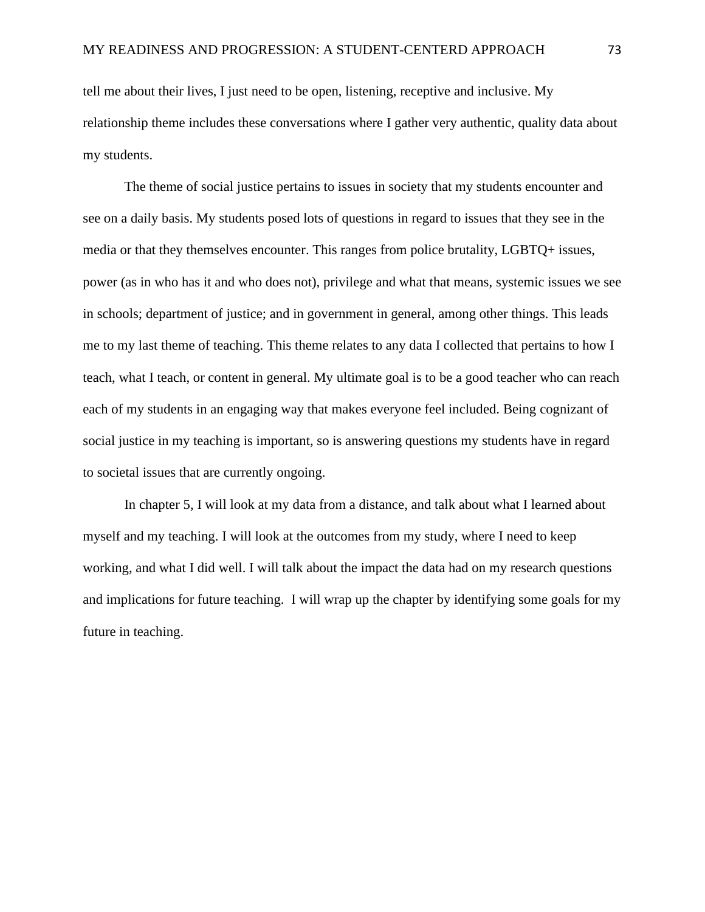tell me about their lives, I just need to be open, listening, receptive and inclusive. My relationship theme includes these conversations where I gather very authentic, quality data about my students.

The theme of social justice pertains to issues in society that my students encounter and see on a daily basis. My students posed lots of questions in regard to issues that they see in the media or that they themselves encounter. This ranges from police brutality, LGBTQ+ issues, power (as in who has it and who does not), privilege and what that means, systemic issues we see in schools; department of justice; and in government in general, among other things. This leads me to my last theme of teaching. This theme relates to any data I collected that pertains to how I teach, what I teach, or content in general. My ultimate goal is to be a good teacher who can reach each of my students in an engaging way that makes everyone feel included. Being cognizant of social justice in my teaching is important, so is answering questions my students have in regard to societal issues that are currently ongoing.

In chapter 5, I will look at my data from a distance, and talk about what I learned about myself and my teaching. I will look at the outcomes from my study, where I need to keep working, and what I did well. I will talk about the impact the data had on my research questions and implications for future teaching. I will wrap up the chapter by identifying some goals for my future in teaching.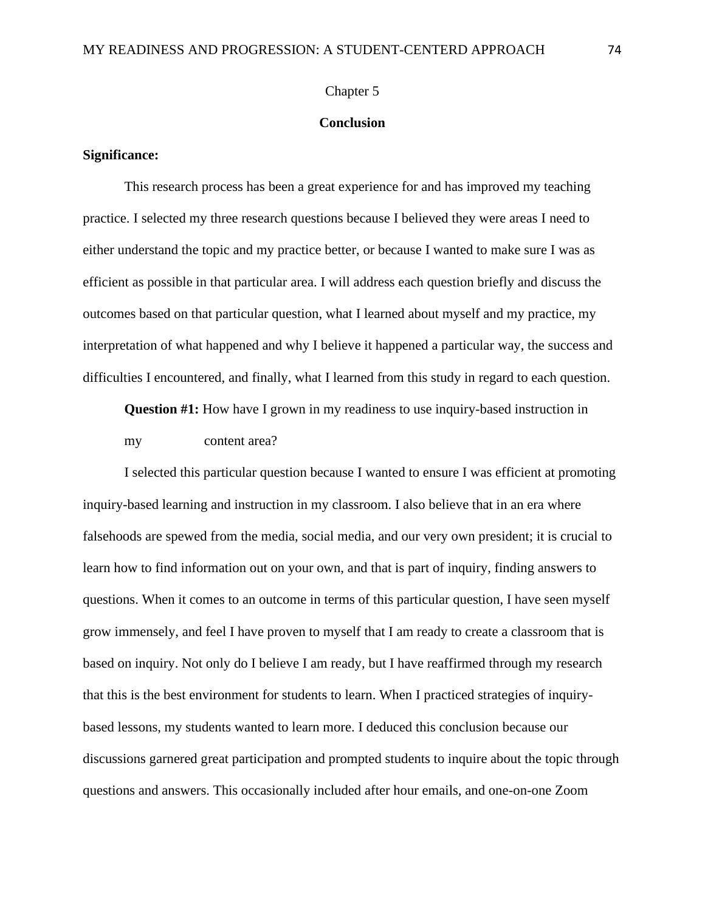### Chapter 5

## **Conclusion**

## **Significance:**

This research process has been a great experience for and has improved my teaching practice. I selected my three research questions because I believed they were areas I need to either understand the topic and my practice better, or because I wanted to make sure I was as efficient as possible in that particular area. I will address each question briefly and discuss the outcomes based on that particular question, what I learned about myself and my practice, my interpretation of what happened and why I believe it happened a particular way, the success and difficulties I encountered, and finally, what I learned from this study in regard to each question.

**Question #1:** How have I grown in my readiness to use inquiry-based instruction in my content area?

I selected this particular question because I wanted to ensure I was efficient at promoting inquiry-based learning and instruction in my classroom. I also believe that in an era where falsehoods are spewed from the media, social media, and our very own president; it is crucial to learn how to find information out on your own, and that is part of inquiry, finding answers to questions. When it comes to an outcome in terms of this particular question, I have seen myself grow immensely, and feel I have proven to myself that I am ready to create a classroom that is based on inquiry. Not only do I believe I am ready, but I have reaffirmed through my research that this is the best environment for students to learn. When I practiced strategies of inquirybased lessons, my students wanted to learn more. I deduced this conclusion because our discussions garnered great participation and prompted students to inquire about the topic through questions and answers. This occasionally included after hour emails, and one-on-one Zoom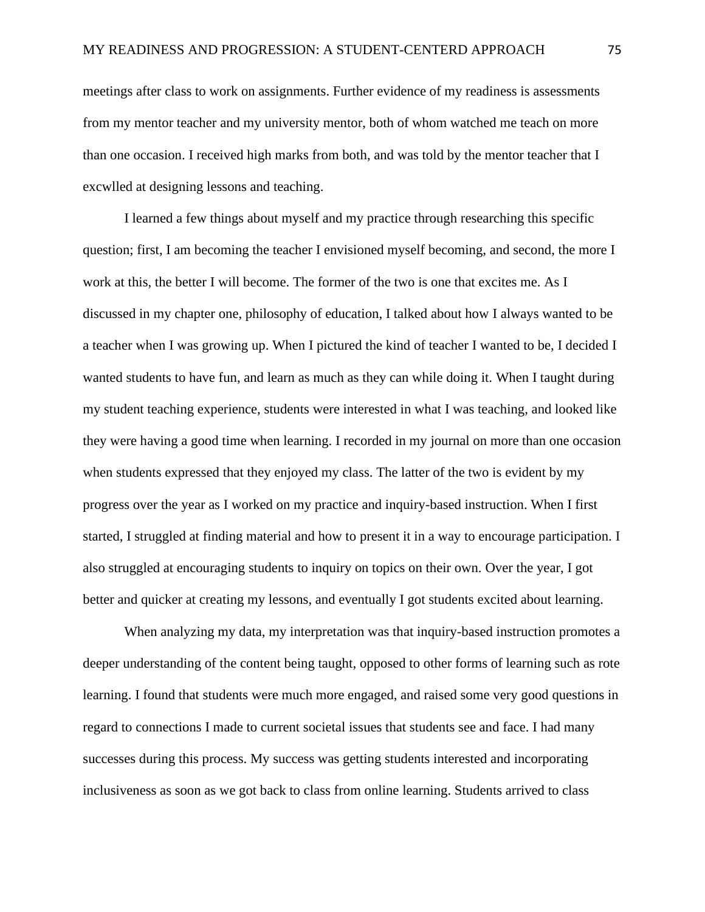meetings after class to work on assignments. Further evidence of my readiness is assessments from my mentor teacher and my university mentor, both of whom watched me teach on more than one occasion. I received high marks from both, and was told by the mentor teacher that I excwlled at designing lessons and teaching.

I learned a few things about myself and my practice through researching this specific question; first, I am becoming the teacher I envisioned myself becoming, and second, the more I work at this, the better I will become. The former of the two is one that excites me. As I discussed in my chapter one, philosophy of education, I talked about how I always wanted to be a teacher when I was growing up. When I pictured the kind of teacher I wanted to be, I decided I wanted students to have fun, and learn as much as they can while doing it. When I taught during my student teaching experience, students were interested in what I was teaching, and looked like they were having a good time when learning. I recorded in my journal on more than one occasion when students expressed that they enjoyed my class. The latter of the two is evident by my progress over the year as I worked on my practice and inquiry-based instruction. When I first started, I struggled at finding material and how to present it in a way to encourage participation. I also struggled at encouraging students to inquiry on topics on their own. Over the year, I got better and quicker at creating my lessons, and eventually I got students excited about learning.

When analyzing my data, my interpretation was that inquiry-based instruction promotes a deeper understanding of the content being taught, opposed to other forms of learning such as rote learning. I found that students were much more engaged, and raised some very good questions in regard to connections I made to current societal issues that students see and face. I had many successes during this process. My success was getting students interested and incorporating inclusiveness as soon as we got back to class from online learning. Students arrived to class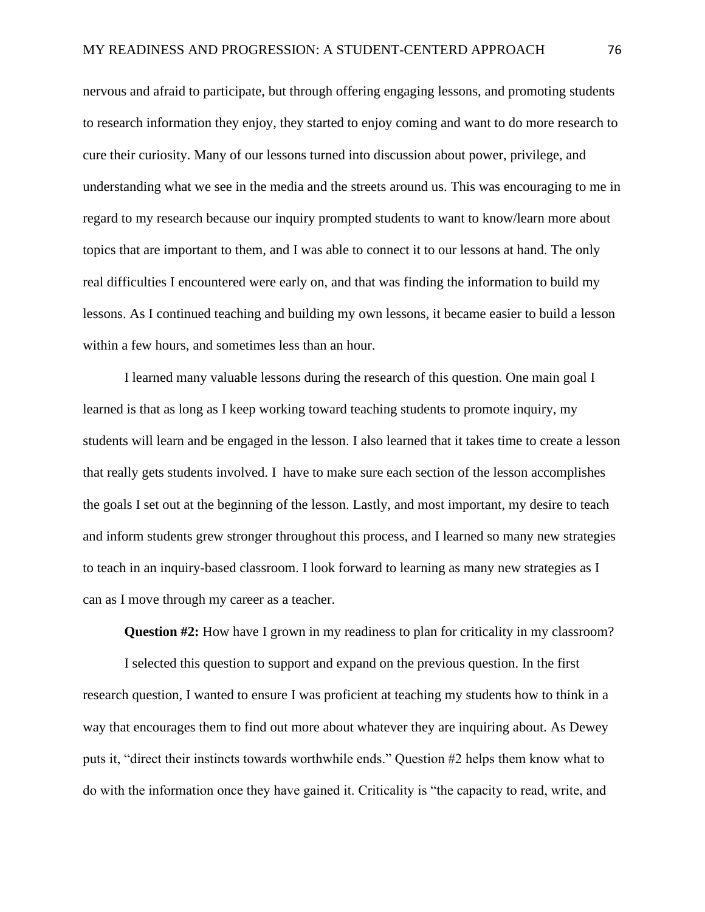nervous and afraid to participate, but through offering engaging lessons, and promoting students to research information they enjoy, they started to enjoy coming and want to do more research to cure their curiosity. Many of our lessons turned into discussion about power, privilege, and understanding what we see in the media and the streets around us. This was encouraging to me in regard to my research because our inquiry prompted students to want to know/learn more about topics that are important to them, and I was able to connect it to our lessons at hand. The only real difficulties I encountered were early on, and that was finding the information to build my lessons. As I continued teaching and building my own lessons, it became easier to build a lesson within a few hours, and sometimes less than an hour.

I learned many valuable lessons during the research of this question. One main goal I learned is that as long as I keep working toward teaching students to promote inquiry, my students will learn and be engaged in the lesson. I also learned that it takes time to create a lesson that really gets students involved. I have to make sure each section of the lesson accomplishes the goals I set out at the beginning of the lesson. Lastly, and most important, my desire to teach and inform students grew stronger throughout this process, and I learned so many new strategies to teach in an inquiry-based classroom. I look forward to learning as many new strategies as I can as I move through my career as a teacher.

**Question #2:** How have I grown in my readiness to plan for criticality in my classroom?

I selected this question to support and expand on the previous question. In the first research question, I wanted to ensure I was proficient at teaching my students how to think in a way that encourages them to find out more about whatever they are inquiring about. As Dewey puts it, "direct their instincts towards worthwhile ends." Question #2 helps them know what to do with the information once they have gained it. Criticality is "the capacity to read, write, and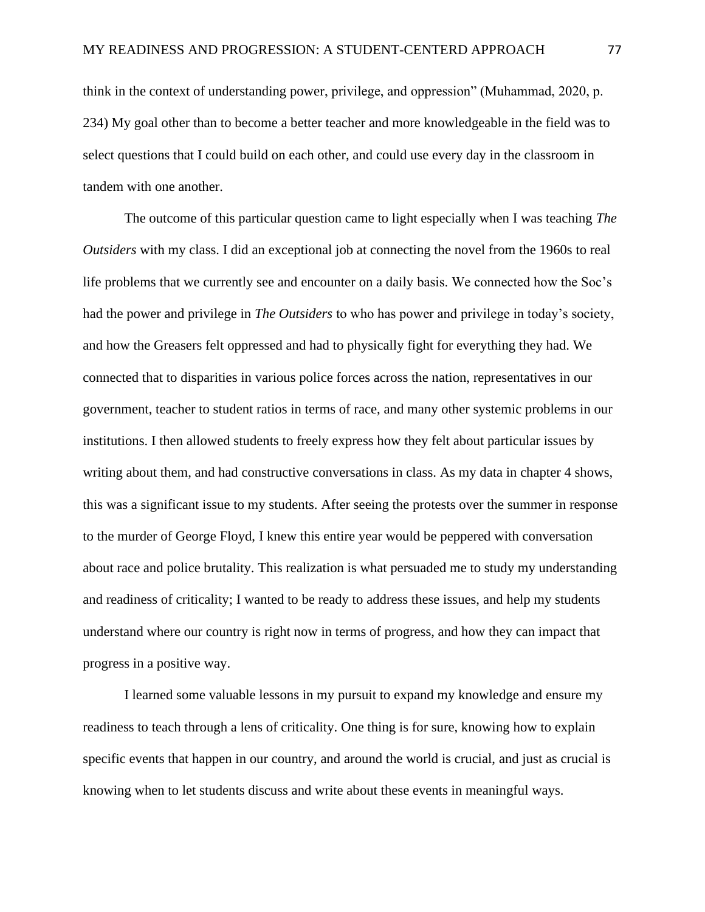think in the context of understanding power, privilege, and oppression" (Muhammad, 2020, p. 234) My goal other than to become a better teacher and more knowledgeable in the field was to select questions that I could build on each other, and could use every day in the classroom in tandem with one another.

The outcome of this particular question came to light especially when I was teaching *The Outsiders* with my class. I did an exceptional job at connecting the novel from the 1960s to real life problems that we currently see and encounter on a daily basis. We connected how the Soc's had the power and privilege in *The Outsiders* to who has power and privilege in today's society, and how the Greasers felt oppressed and had to physically fight for everything they had. We connected that to disparities in various police forces across the nation, representatives in our government, teacher to student ratios in terms of race, and many other systemic problems in our institutions. I then allowed students to freely express how they felt about particular issues by writing about them, and had constructive conversations in class. As my data in chapter 4 shows, this was a significant issue to my students. After seeing the protests over the summer in response to the murder of George Floyd, I knew this entire year would be peppered with conversation about race and police brutality. This realization is what persuaded me to study my understanding and readiness of criticality; I wanted to be ready to address these issues, and help my students understand where our country is right now in terms of progress, and how they can impact that progress in a positive way.

I learned some valuable lessons in my pursuit to expand my knowledge and ensure my readiness to teach through a lens of criticality. One thing is for sure, knowing how to explain specific events that happen in our country, and around the world is crucial, and just as crucial is knowing when to let students discuss and write about these events in meaningful ways.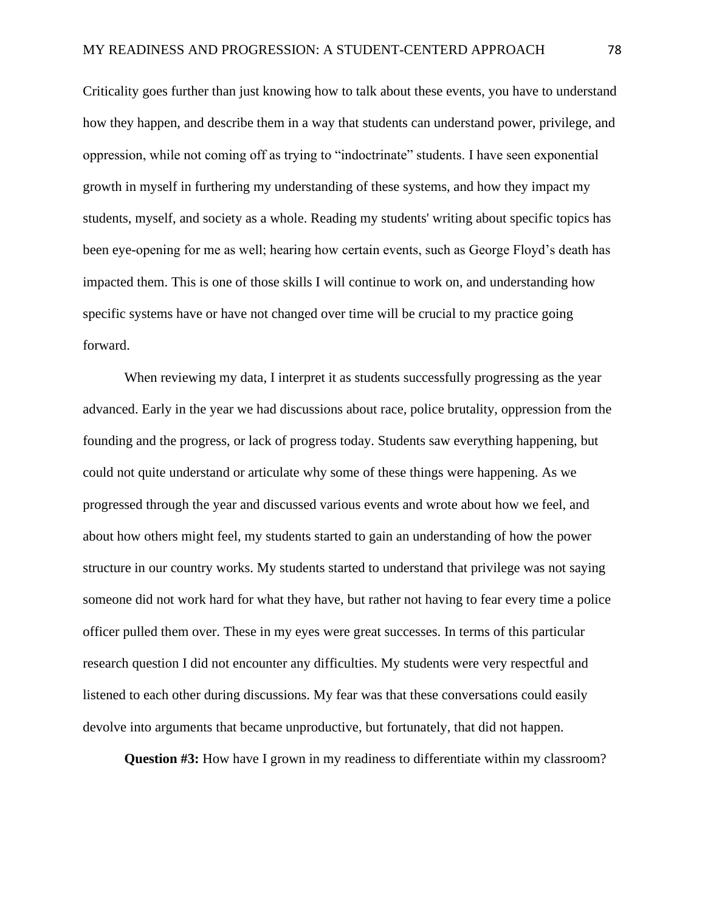Criticality goes further than just knowing how to talk about these events, you have to understand how they happen, and describe them in a way that students can understand power, privilege, and oppression, while not coming off as trying to "indoctrinate" students. I have seen exponential growth in myself in furthering my understanding of these systems, and how they impact my students, myself, and society as a whole. Reading my students' writing about specific topics has been eye-opening for me as well; hearing how certain events, such as George Floyd's death has impacted them. This is one of those skills I will continue to work on, and understanding how specific systems have or have not changed over time will be crucial to my practice going forward.

When reviewing my data, I interpret it as students successfully progressing as the year advanced. Early in the year we had discussions about race, police brutality, oppression from the founding and the progress, or lack of progress today. Students saw everything happening, but could not quite understand or articulate why some of these things were happening. As we progressed through the year and discussed various events and wrote about how we feel, and about how others might feel, my students started to gain an understanding of how the power structure in our country works. My students started to understand that privilege was not saying someone did not work hard for what they have, but rather not having to fear every time a police officer pulled them over. These in my eyes were great successes. In terms of this particular research question I did not encounter any difficulties. My students were very respectful and listened to each other during discussions. My fear was that these conversations could easily devolve into arguments that became unproductive, but fortunately, that did not happen.

**Question #3:** How have I grown in my readiness to differentiate within my classroom?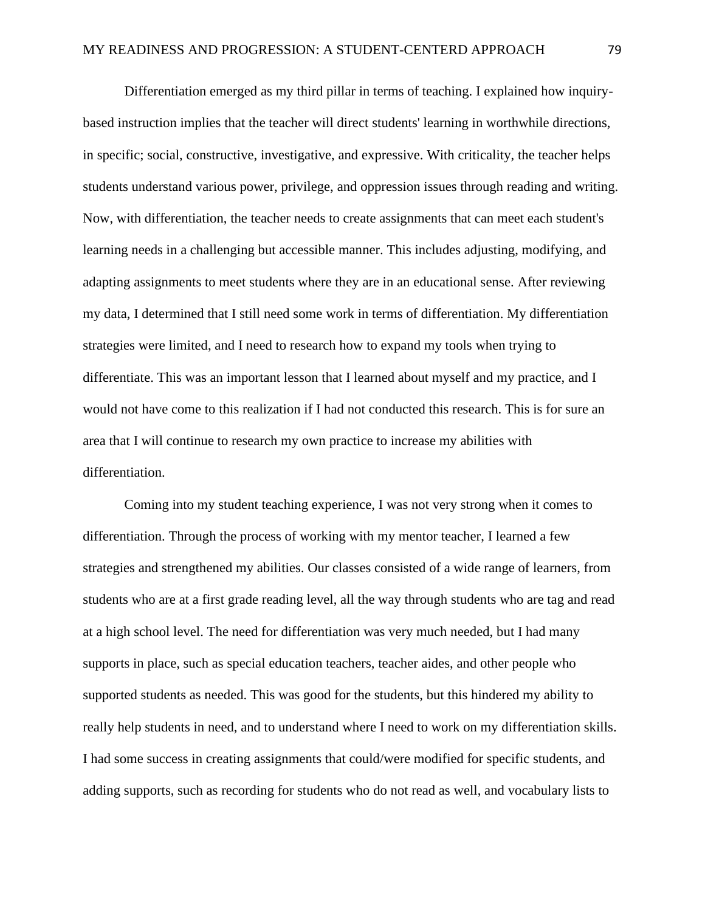Differentiation emerged as my third pillar in terms of teaching. I explained how inquirybased instruction implies that the teacher will direct students' learning in worthwhile directions, in specific; social, constructive, investigative, and expressive. With criticality, the teacher helps students understand various power, privilege, and oppression issues through reading and writing. Now, with differentiation, the teacher needs to create assignments that can meet each student's learning needs in a challenging but accessible manner. This includes adjusting, modifying, and adapting assignments to meet students where they are in an educational sense. After reviewing my data, I determined that I still need some work in terms of differentiation. My differentiation strategies were limited, and I need to research how to expand my tools when trying to differentiate. This was an important lesson that I learned about myself and my practice, and I would not have come to this realization if I had not conducted this research. This is for sure an area that I will continue to research my own practice to increase my abilities with differentiation.

Coming into my student teaching experience, I was not very strong when it comes to differentiation. Through the process of working with my mentor teacher, I learned a few strategies and strengthened my abilities. Our classes consisted of a wide range of learners, from students who are at a first grade reading level, all the way through students who are tag and read at a high school level. The need for differentiation was very much needed, but I had many supports in place, such as special education teachers, teacher aides, and other people who supported students as needed. This was good for the students, but this hindered my ability to really help students in need, and to understand where I need to work on my differentiation skills. I had some success in creating assignments that could/were modified for specific students, and adding supports, such as recording for students who do not read as well, and vocabulary lists to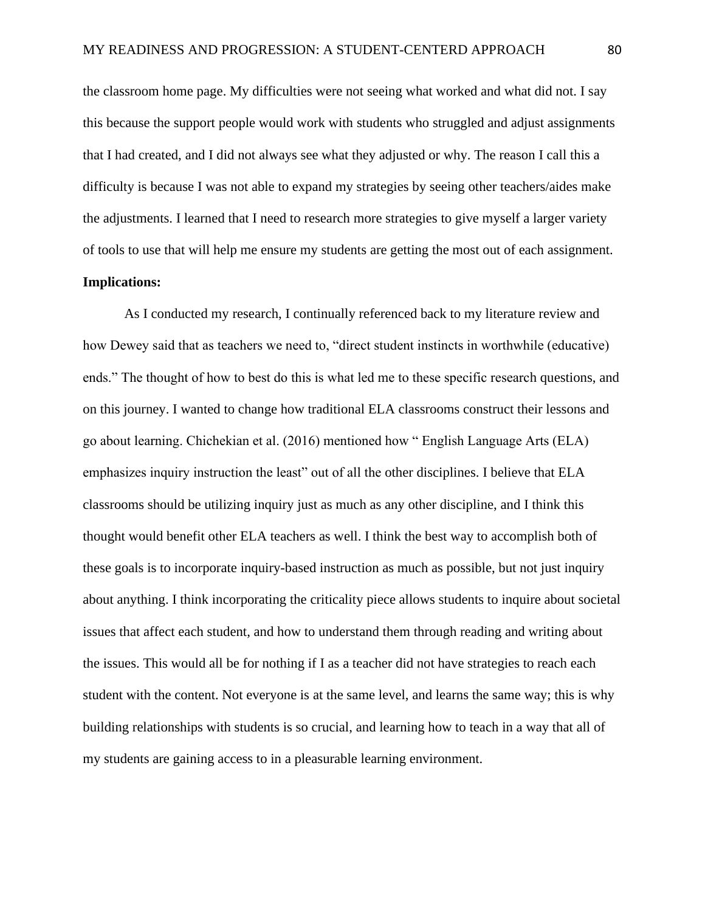the classroom home page. My difficulties were not seeing what worked and what did not. I say this because the support people would work with students who struggled and adjust assignments that I had created, and I did not always see what they adjusted or why. The reason I call this a difficulty is because I was not able to expand my strategies by seeing other teachers/aides make the adjustments. I learned that I need to research more strategies to give myself a larger variety of tools to use that will help me ensure my students are getting the most out of each assignment.

## **Implications:**

As I conducted my research, I continually referenced back to my literature review and how Dewey said that as teachers we need to, "direct student instincts in worthwhile (educative) ends." The thought of how to best do this is what led me to these specific research questions, and on this journey. I wanted to change how traditional ELA classrooms construct their lessons and go about learning. Chichekian et al. (2016) mentioned how " English Language Arts (ELA) emphasizes inquiry instruction the least" out of all the other disciplines. I believe that ELA classrooms should be utilizing inquiry just as much as any other discipline, and I think this thought would benefit other ELA teachers as well. I think the best way to accomplish both of these goals is to incorporate inquiry-based instruction as much as possible, but not just inquiry about anything. I think incorporating the criticality piece allows students to inquire about societal issues that affect each student, and how to understand them through reading and writing about the issues. This would all be for nothing if I as a teacher did not have strategies to reach each student with the content. Not everyone is at the same level, and learns the same way; this is why building relationships with students is so crucial, and learning how to teach in a way that all of my students are gaining access to in a pleasurable learning environment.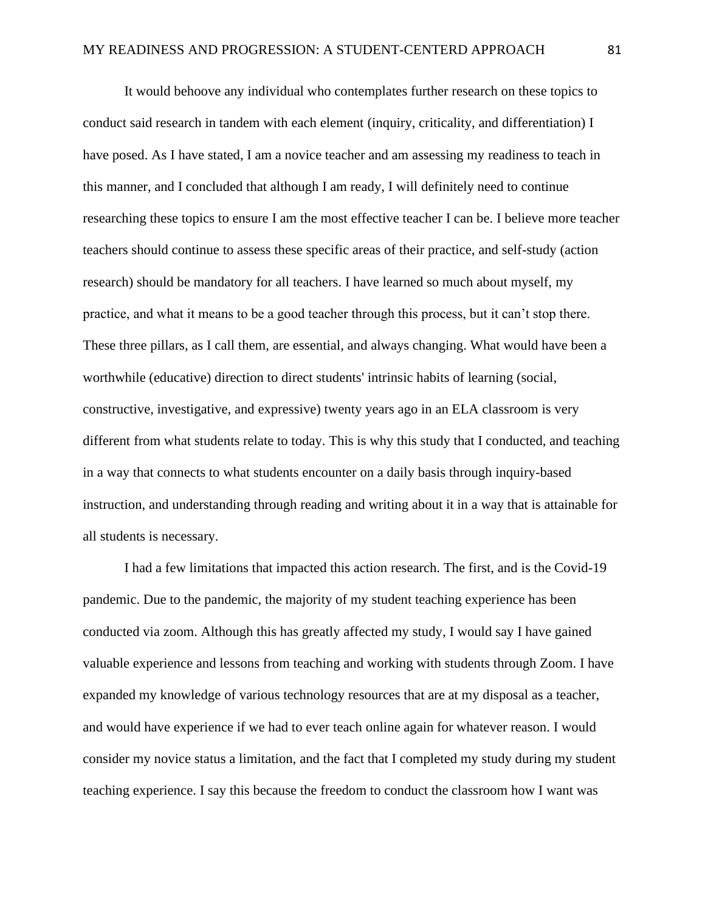It would behoove any individual who contemplates further research on these topics to conduct said research in tandem with each element (inquiry, criticality, and differentiation) I have posed. As I have stated, I am a novice teacher and am assessing my readiness to teach in this manner, and I concluded that although I am ready, I will definitely need to continue researching these topics to ensure I am the most effective teacher I can be. I believe more teacher teachers should continue to assess these specific areas of their practice, and self-study (action research) should be mandatory for all teachers. I have learned so much about myself, my practice, and what it means to be a good teacher through this process, but it can't stop there. These three pillars, as I call them, are essential, and always changing. What would have been a worthwhile (educative) direction to direct students' intrinsic habits of learning (social, constructive, investigative, and expressive) twenty years ago in an ELA classroom is very different from what students relate to today. This is why this study that I conducted, and teaching in a way that connects to what students encounter on a daily basis through inquiry-based instruction, and understanding through reading and writing about it in a way that is attainable for all students is necessary.

I had a few limitations that impacted this action research. The first, and is the Covid-19 pandemic. Due to the pandemic, the majority of my student teaching experience has been conducted via zoom. Although this has greatly affected my study, I would say I have gained valuable experience and lessons from teaching and working with students through Zoom. I have expanded my knowledge of various technology resources that are at my disposal as a teacher, and would have experience if we had to ever teach online again for whatever reason. I would consider my novice status a limitation, and the fact that I completed my study during my student teaching experience. I say this because the freedom to conduct the classroom how I want was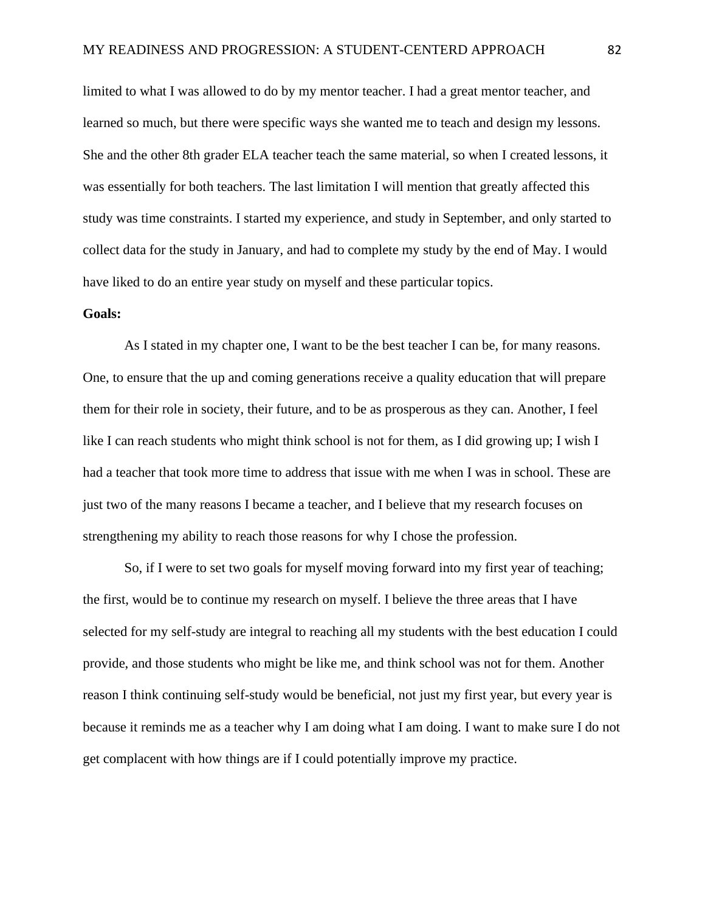limited to what I was allowed to do by my mentor teacher. I had a great mentor teacher, and learned so much, but there were specific ways she wanted me to teach and design my lessons. She and the other 8th grader ELA teacher teach the same material, so when I created lessons, it was essentially for both teachers. The last limitation I will mention that greatly affected this study was time constraints. I started my experience, and study in September, and only started to collect data for the study in January, and had to complete my study by the end of May. I would have liked to do an entire year study on myself and these particular topics.

### **Goals:**

As I stated in my chapter one, I want to be the best teacher I can be, for many reasons. One, to ensure that the up and coming generations receive a quality education that will prepare them for their role in society, their future, and to be as prosperous as they can. Another, I feel like I can reach students who might think school is not for them, as I did growing up; I wish I had a teacher that took more time to address that issue with me when I was in school. These are just two of the many reasons I became a teacher, and I believe that my research focuses on strengthening my ability to reach those reasons for why I chose the profession.

So, if I were to set two goals for myself moving forward into my first year of teaching; the first, would be to continue my research on myself. I believe the three areas that I have selected for my self-study are integral to reaching all my students with the best education I could provide, and those students who might be like me, and think school was not for them. Another reason I think continuing self-study would be beneficial, not just my first year, but every year is because it reminds me as a teacher why I am doing what I am doing. I want to make sure I do not get complacent with how things are if I could potentially improve my practice.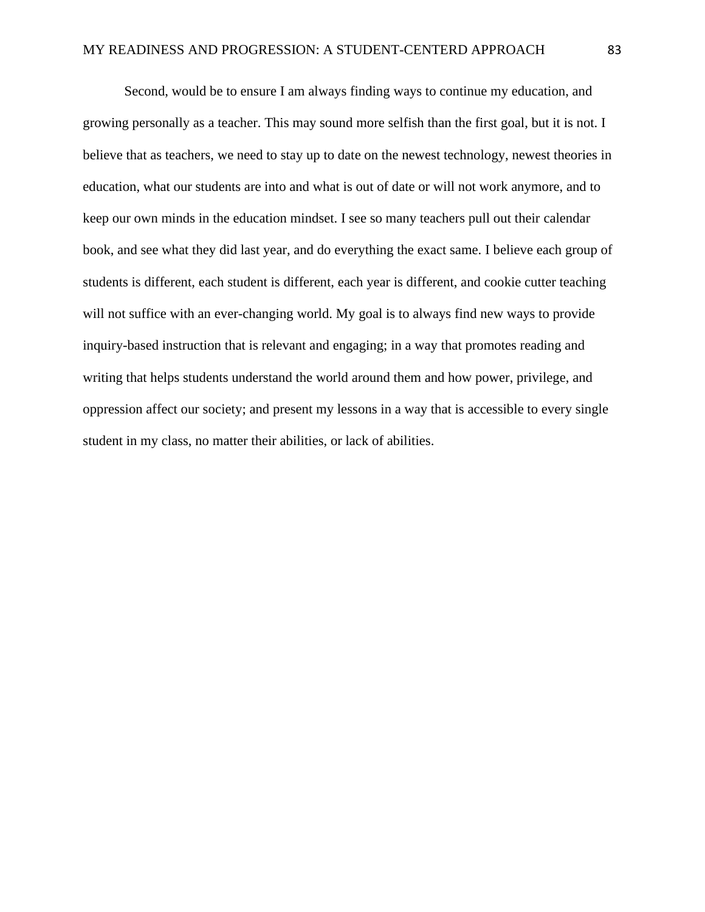Second, would be to ensure I am always finding ways to continue my education, and growing personally as a teacher. This may sound more selfish than the first goal, but it is not. I believe that as teachers, we need to stay up to date on the newest technology, newest theories in education, what our students are into and what is out of date or will not work anymore, and to keep our own minds in the education mindset. I see so many teachers pull out their calendar book, and see what they did last year, and do everything the exact same. I believe each group of students is different, each student is different, each year is different, and cookie cutter teaching will not suffice with an ever-changing world. My goal is to always find new ways to provide inquiry-based instruction that is relevant and engaging; in a way that promotes reading and writing that helps students understand the world around them and how power, privilege, and oppression affect our society; and present my lessons in a way that is accessible to every single student in my class, no matter their abilities, or lack of abilities.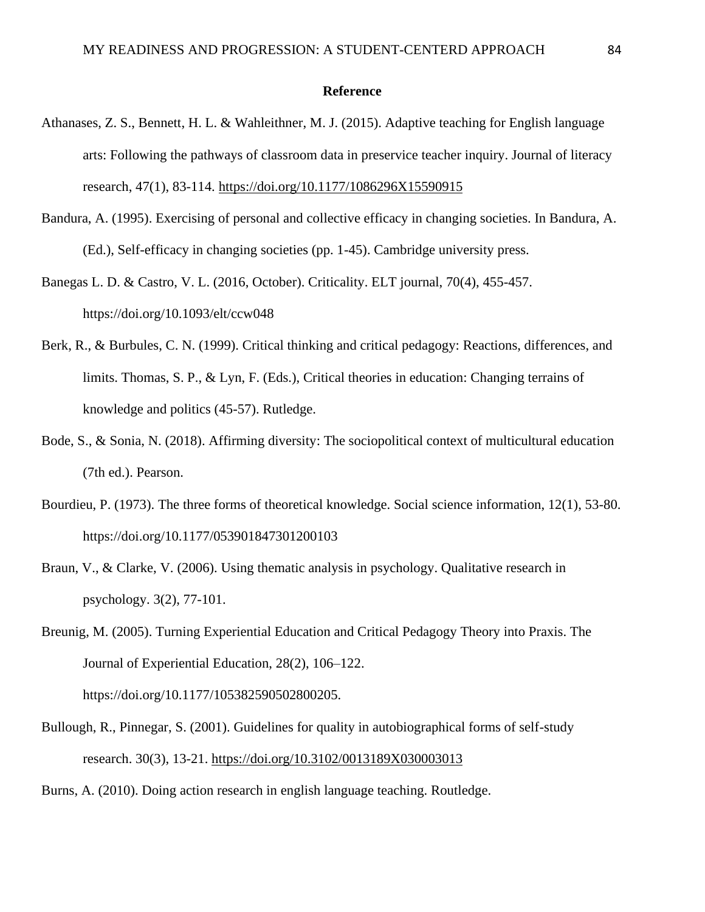### **Reference**

- Athanases, Z. S., Bennett, H. L. & Wahleithner, M. J. (2015). Adaptive teaching for English language arts: Following the pathways of classroom data in preservice teacher inquiry. Journal of literacy research, 47(1), 83-114.<https://doi.org/10.1177/1086296X15590915>
- Bandura, A. (1995). Exercising of personal and collective efficacy in changing societies. In Bandura, A. (Ed.), Self-efficacy in changing societies (pp. 1-45). Cambridge university press.
- Banegas L. D. & Castro, V. L. (2016, October). Criticality. ELT journal, 70(4), 455-457. https://doi.org/10.1093/elt/ccw048
- Berk, R., & Burbules, C. N. (1999). Critical thinking and critical pedagogy: Reactions, differences, and limits. Thomas, S. P., & Lyn, F. (Eds.), Critical theories in education: Changing terrains of knowledge and politics (45-57). Rutledge.
- Bode, S., & Sonia, N. (2018). Affirming diversity: The sociopolitical context of multicultural education (7th ed.). Pearson.
- Bourdieu, P. (1973). The three forms of theoretical knowledge. Social science information, 12(1), 53-80. https://doi.org/10.1177/053901847301200103
- Braun, V., & Clarke, V. (2006). Using thematic analysis in psychology. Qualitative research in psychology. 3(2), 77-101.
- Breunig, M. (2005). Turning Experiential Education and Critical Pedagogy Theory into Praxis. The Journal of Experiential Education, 28(2), 106–122. https://doi.org/10.1177/105382590502800205.
- Bullough, R., Pinnegar, S. (2001). Guidelines for quality in autobiographical forms of self-study research. 30(3), 13-21. [https://doi.org/10.3102/0013189X030003013](https://doi.org/10.3102%2F0013189X030003013)
- Burns, A. (2010). Doing action research in english language teaching. Routledge.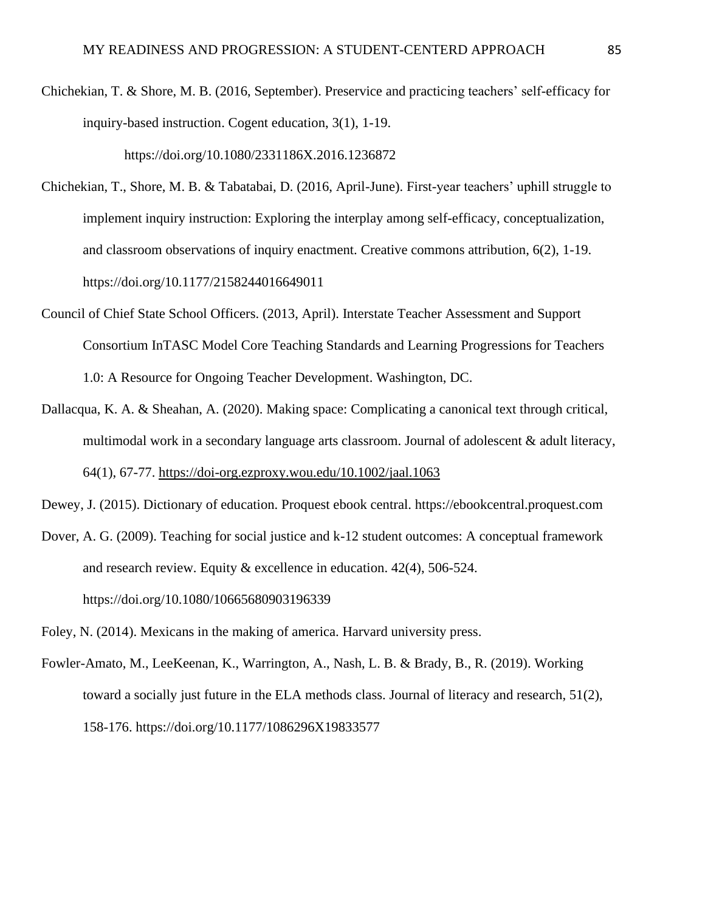Chichekian, T. & Shore, M. B. (2016, September). Preservice and practicing teachers' self-efficacy for inquiry-based instruction. Cogent education, 3(1), 1-19.

https://doi.org/10.1080/2331186X.2016.1236872

- Chichekian, T., Shore, M. B. & Tabatabai, D. (2016, April-June). First-year teachers' uphill struggle to implement inquiry instruction: Exploring the interplay among self-efficacy, conceptualization, and classroom observations of inquiry enactment. Creative commons attribution, 6(2), 1-19. https://doi.org/10.1177/2158244016649011
- Council of Chief State School Officers. (2013, April). Interstate Teacher Assessment and Support Consortium InTASC Model Core Teaching Standards and Learning Progressions for Teachers 1.0: A Resource for Ongoing Teacher Development. Washington, DC.
- Dallacqua, K. A. & Sheahan, A. (2020). Making space: Complicating a canonical text through critical, multimodal work in a secondary language arts classroom. Journal of adolescent  $\&$  adult literacy, 64(1), 67-77.<https://doi-org.ezproxy.wou.edu/10.1002/jaal.1063>

Dewey, J. (2015). Dictionary of education. Proquest ebook central. https://ebookcentral.proquest.com

Dover, A. G. (2009). Teaching for social justice and k-12 student outcomes: A conceptual framework and research review. Equity & excellence in education. 42(4), 506-524. https://doi.org/10.1080/10665680903196339

Foley, N. (2014). Mexicans in the making of america. Harvard university press.

Fowler-Amato, M., LeeKeenan, K., Warrington, A., Nash, L. B. & Brady, B., R. (2019). Working toward a socially just future in the ELA methods class. Journal of literacy and research, 51(2), 158-176. https://doi.org/10.1177/1086296X19833577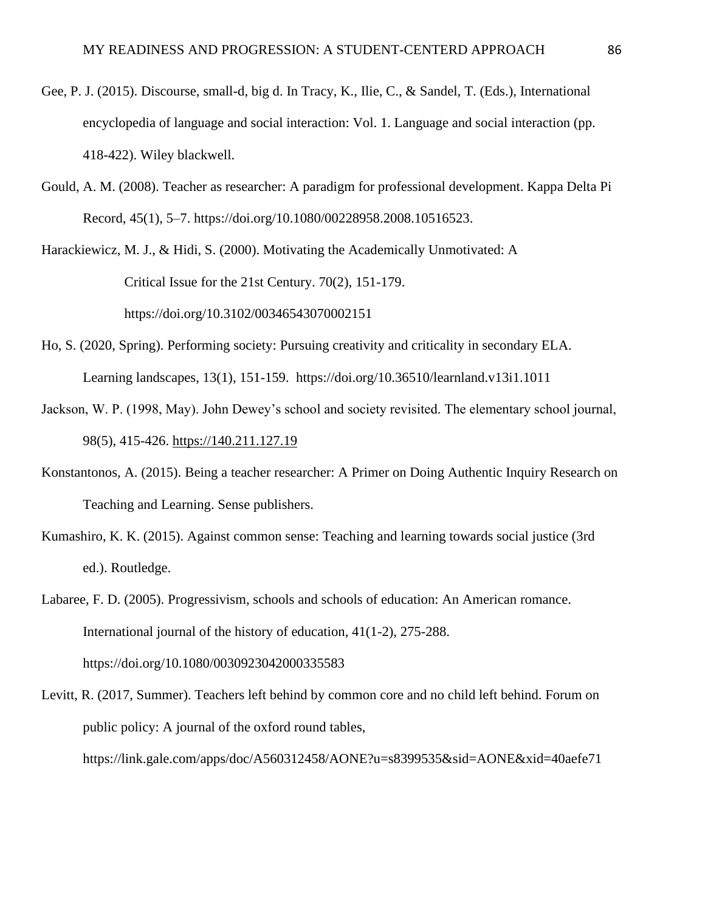- Gee, P. J. (2015). Discourse, small-d, big d. In Tracy, K., Ilie, C., & Sandel, T. (Eds.), International encyclopedia of language and social interaction: Vol. 1. Language and social interaction (pp. 418-422). Wiley blackwell.
- Gould, A. M. (2008). Teacher as researcher: A paradigm for professional development. Kappa Delta Pi Record, 45(1), 5–7. https://doi.org/10.1080/00228958.2008.10516523.
- Harackiewicz, M. J., & Hidi, S. (2000). Motivating the Academically Unmotivated: A Critical Issue for the 21st Century. 70(2), 151-179. https://doi.org/10.3102/00346543070002151
- Ho, S. (2020, Spring). Performing society: Pursuing creativity and criticality in secondary ELA. Learning landscapes, 13(1), 151-159. https://doi.org/10.36510/learnland.v13i1.1011
- Jackson, W. P. (1998, May). John Dewey's school and society revisited. The elementary school journal, 98(5), 415-426. [https://140.211.127.19](https://140.211.127.19/)
- Konstantonos, A. (2015). Being a teacher researcher: A Primer on Doing Authentic Inquiry Research on Teaching and Learning. Sense publishers.
- Kumashiro, K. K. (2015). Against common sense: Teaching and learning towards social justice (3rd ed.). Routledge.

Labaree, F. D. (2005). Progressivism, schools and schools of education: An American romance. International journal of the history of education, 41(1-2), 275-288. https://doi.org/10.1080/0030923042000335583

Levitt, R. (2017, Summer). Teachers left behind by common core and no child left behind. Forum on public policy: A journal of the oxford round tables, https://link.gale.com/apps/doc/A560312458/AONE?u=s8399535&sid=AONE&xid=40aefe71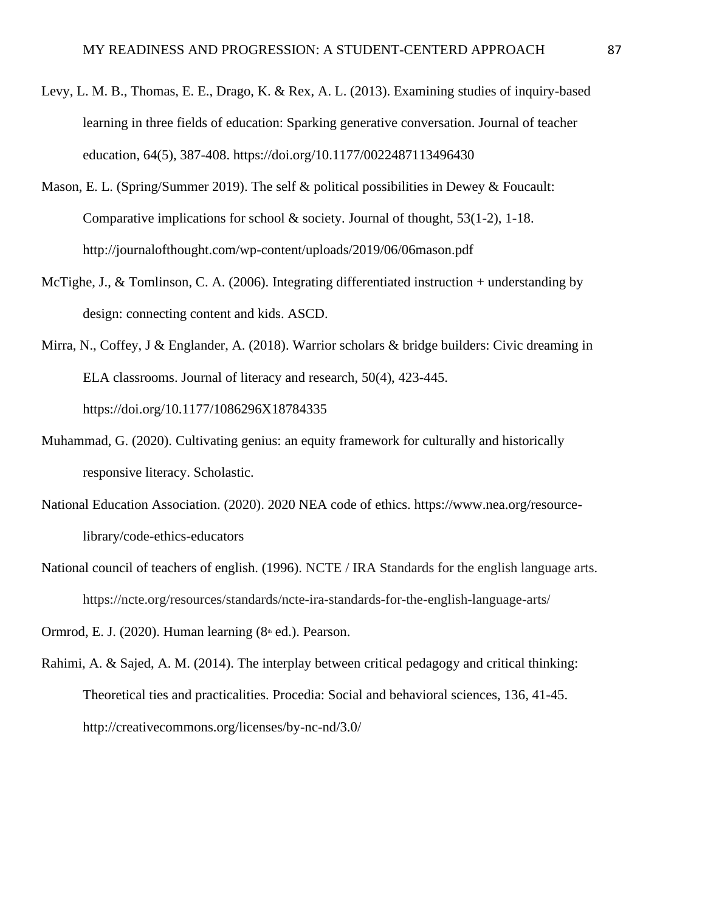- Levy, L. M. B., Thomas, E. E., Drago, K. & Rex, A. L. (2013). Examining studies of inquiry-based learning in three fields of education: Sparking generative conversation. Journal of teacher education, 64(5), 387-408. https://doi.org/10.1177/0022487113496430
- Mason, E. L. (Spring/Summer 2019). The self & political possibilities in Dewey & Foucault: Comparative implications for school  $\&$  society. Journal of thought, 53(1-2), 1-18. http://journalofthought.com/wp-content/uploads/2019/06/06mason.pdf
- McTighe, J., & Tomlinson, C. A. (2006). Integrating differentiated instruction + understanding by design: connecting content and kids. ASCD.
- Mirra, N., Coffey, J & Englander, A. (2018). Warrior scholars & bridge builders: Civic dreaming in ELA classrooms. Journal of literacy and research, 50(4), 423-445. https://doi.org/10.1177/1086296X18784335
- Muhammad, G. (2020). Cultivating genius: an equity framework for culturally and historically responsive literacy. Scholastic.
- National Education Association. (2020). 2020 NEA code of ethics. https://www.nea.org/resourcelibrary/code-ethics-educators
- National council of teachers of english. (1996). NCTE / IRA Standards for the english language arts. https://ncte.org/resources/standards/ncte-ira-standards-for-the-english-language-arts/

Ormrod, E. J. (2020). Human learning  $(8<sup>th</sup>$  ed.). Pearson.

Rahimi, A. & Sajed, A. M. (2014). The interplay between critical pedagogy and critical thinking: Theoretical ties and practicalities. Procedia: Social and behavioral sciences, 136, 41-45. http://creativecommons.org/licenses/by-nc-nd/3.0/